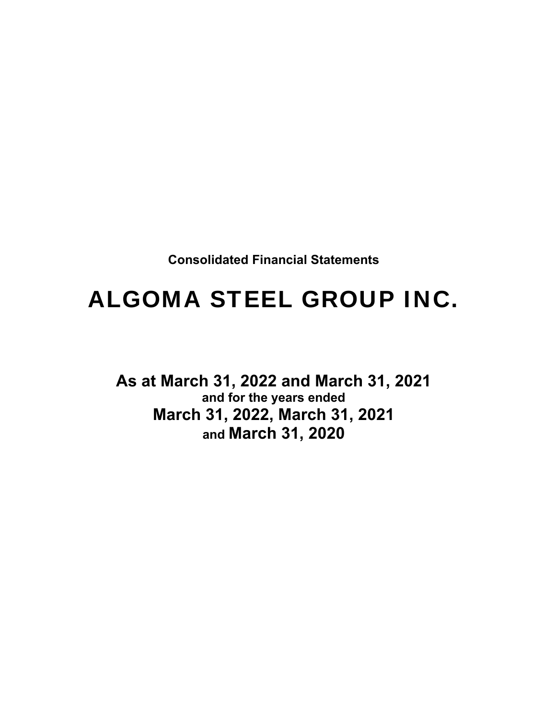**Consolidated Financial Statements** 

# ALGOMA STEEL GROUP INC.

**As at March 31, 2022 and March 31, 2021 and for the years ended March 31, 2022, March 31, 2021 and March 31, 2020**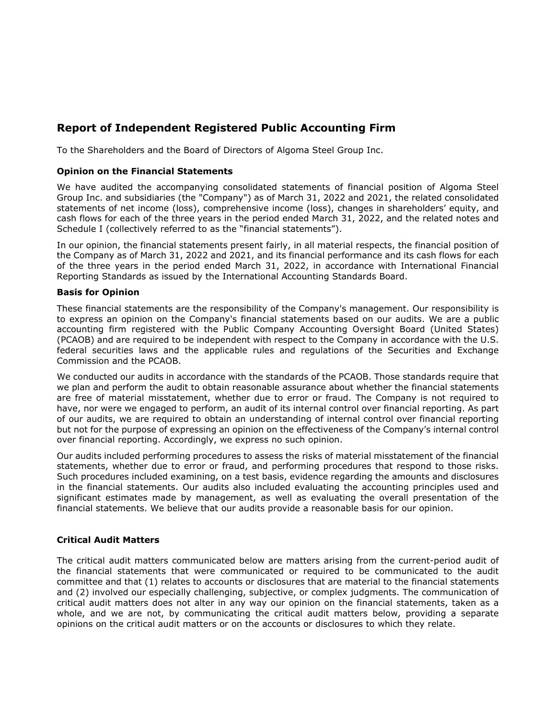# **Report of Independent Registered Public Accounting Firm**

To the Shareholders and the Board of Directors of Algoma Steel Group Inc.

### **Opinion on the Financial Statements**

We have audited the accompanying consolidated statements of financial position of Algoma Steel Group Inc. and subsidiaries (the "Company") as of March 31, 2022 and 2021, the related consolidated statements of net income (loss), comprehensive income (loss), changes in shareholders' equity, and cash flows for each of the three years in the period ended March 31, 2022, and the related notes and Schedule I (collectively referred to as the "financial statements").

In our opinion, the financial statements present fairly, in all material respects, the financial position of the Company as of March 31, 2022 and 2021, and its financial performance and its cash flows for each of the three years in the period ended March 31, 2022, in accordance with International Financial Reporting Standards as issued by the International Accounting Standards Board.

## **Basis for Opinion**

These financial statements are the responsibility of the Company's management. Our responsibility is to express an opinion on the Company's financial statements based on our audits. We are a public accounting firm registered with the Public Company Accounting Oversight Board (United States) (PCAOB) and are required to be independent with respect to the Company in accordance with the U.S. federal securities laws and the applicable rules and regulations of the Securities and Exchange Commission and the PCAOB.

We conducted our audits in accordance with the standards of the PCAOB. Those standards require that we plan and perform the audit to obtain reasonable assurance about whether the financial statements are free of material misstatement, whether due to error or fraud. The Company is not required to have, nor were we engaged to perform, an audit of its internal control over financial reporting. As part of our audits, we are required to obtain an understanding of internal control over financial reporting but not for the purpose of expressing an opinion on the effectiveness of the Company's internal control over financial reporting. Accordingly, we express no such opinion.

Our audits included performing procedures to assess the risks of material misstatement of the financial statements, whether due to error or fraud, and performing procedures that respond to those risks. Such procedures included examining, on a test basis, evidence regarding the amounts and disclosures in the financial statements. Our audits also included evaluating the accounting principles used and significant estimates made by management, as well as evaluating the overall presentation of the financial statements. We believe that our audits provide a reasonable basis for our opinion.

## **Critical Audit Matters**

The critical audit matters communicated below are matters arising from the current-period audit of the financial statements that were communicated or required to be communicated to the audit committee and that (1) relates to accounts or disclosures that are material to the financial statements and (2) involved our especially challenging, subjective, or complex judgments. The communication of critical audit matters does not alter in any way our opinion on the financial statements, taken as a whole, and we are not, by communicating the critical audit matters below, providing a separate opinions on the critical audit matters or on the accounts or disclosures to which they relate.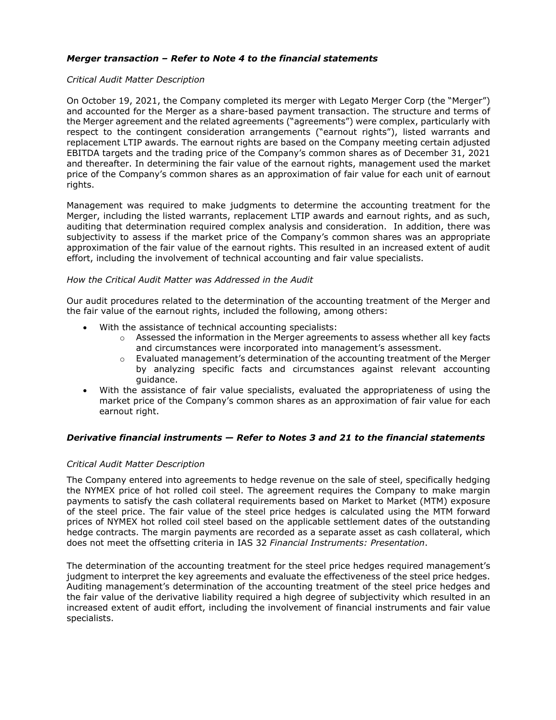## *Merger transaction – Refer to Note 4 to the financial statements*

#### *Critical Audit Matter Description*

On October 19, 2021, the Company completed its merger with Legato Merger Corp (the "Merger") and accounted for the Merger as a share-based payment transaction. The structure and terms of the Merger agreement and the related agreements ("agreements") were complex, particularly with respect to the contingent consideration arrangements ("earnout rights"), listed warrants and replacement LTIP awards. The earnout rights are based on the Company meeting certain adjusted EBITDA targets and the trading price of the Company's common shares as of December 31, 2021 and thereafter. In determining the fair value of the earnout rights, management used the market price of the Company's common shares as an approximation of fair value for each unit of earnout rights.

Management was required to make judgments to determine the accounting treatment for the Merger, including the listed warrants, replacement LTIP awards and earnout rights, and as such, auditing that determination required complex analysis and consideration. In addition, there was subjectivity to assess if the market price of the Company's common shares was an appropriate approximation of the fair value of the earnout rights. This resulted in an increased extent of audit effort, including the involvement of technical accounting and fair value specialists.

## *How the Critical Audit Matter was Addressed in the Audit*

Our audit procedures related to the determination of the accounting treatment of the Merger and the fair value of the earnout rights, included the following, among others:

- With the assistance of technical accounting specialists:
	- $\circ$  Assessed the information in the Merger agreements to assess whether all key facts and circumstances were incorporated into management's assessment.
	- $\circ$  Evaluated management's determination of the accounting treatment of the Merger by analyzing specific facts and circumstances against relevant accounting guidance.
- With the assistance of fair value specialists, evaluated the appropriateness of using the market price of the Company's common shares as an approximation of fair value for each earnout right.

## *Derivative financial instruments — Refer to Notes 3 and 21 to the financial statements*

#### *Critical Audit Matter Description*

The Company entered into agreements to hedge revenue on the sale of steel, specifically hedging the NYMEX price of hot rolled coil steel. The agreement requires the Company to make margin payments to satisfy the cash collateral requirements based on Market to Market (MTM) exposure of the steel price. The fair value of the steel price hedges is calculated using the MTM forward prices of NYMEX hot rolled coil steel based on the applicable settlement dates of the outstanding hedge contracts. The margin payments are recorded as a separate asset as cash collateral, which does not meet the offsetting criteria in IAS 32 *Financial Instruments: Presentation*.

The determination of the accounting treatment for the steel price hedges required management's judgment to interpret the key agreements and evaluate the effectiveness of the steel price hedges. Auditing management's determination of the accounting treatment of the steel price hedges and the fair value of the derivative liability required a high degree of subjectivity which resulted in an increased extent of audit effort, including the involvement of financial instruments and fair value specialists.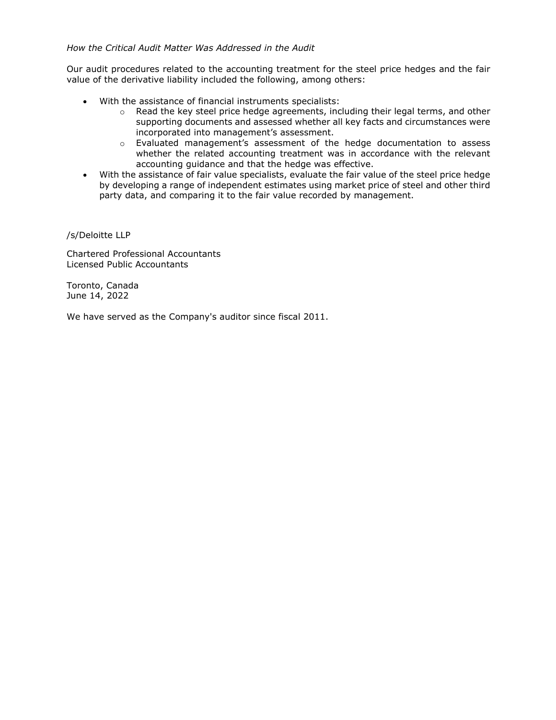## *How the Critical Audit Matter Was Addressed in the Audit*

Our audit procedures related to the accounting treatment for the steel price hedges and the fair value of the derivative liability included the following, among others:

- With the assistance of financial instruments specialists:
	- $\circ$  Read the key steel price hedge agreements, including their legal terms, and other supporting documents and assessed whether all key facts and circumstances were incorporated into management's assessment.
	- o Evaluated management's assessment of the hedge documentation to assess whether the related accounting treatment was in accordance with the relevant accounting guidance and that the hedge was effective.
- With the assistance of fair value specialists, evaluate the fair value of the steel price hedge by developing a range of independent estimates using market price of steel and other third party data, and comparing it to the fair value recorded by management.

/s/Deloitte LLP

Chartered Professional Accountants Licensed Public Accountants

Toronto, Canada June 14, 2022

We have served as the Company's auditor since fiscal 2011.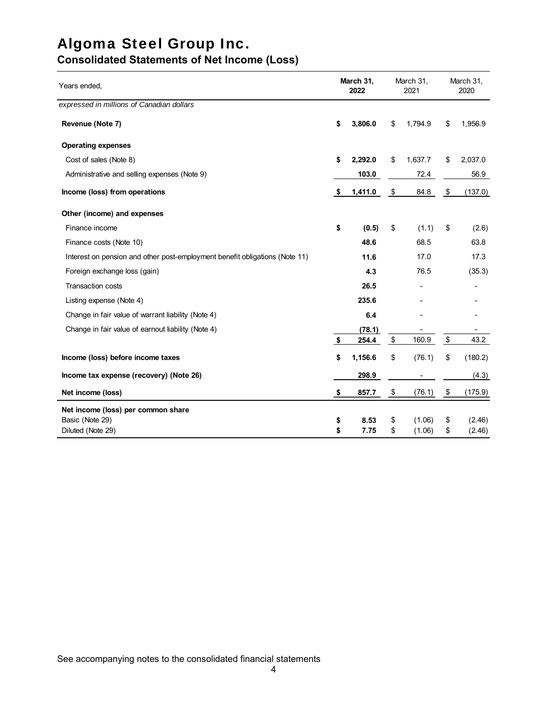# **Consolidated Statements of Net Income (Loss)**

| Years ended,                                                                | March 31,<br>2022 |              |                           | March 31,<br>2021 |                | March 31,<br>2020 |
|-----------------------------------------------------------------------------|-------------------|--------------|---------------------------|-------------------|----------------|-------------------|
| expressed in millions of Canadian dollars                                   |                   |              |                           |                   |                |                   |
| Revenue (Note 7)                                                            | \$                | 3,806.0      | \$                        | 1,794.9           | \$             | 1,956.9           |
| <b>Operating expenses</b>                                                   |                   |              |                           |                   |                |                   |
| Cost of sales (Note 8)                                                      | \$                | 2,292.0      | \$                        | 1,637.7           | \$             | 2,037.0           |
| Administrative and selling expenses (Note 9)                                |                   | 103.0        |                           | 72.4              |                | 56.9              |
| Income (loss) from operations                                               | \$                | 1,411.0      | \$                        | 84.8              | \$             | (137.0)           |
| Other (income) and expenses                                                 |                   |              |                           |                   |                |                   |
| Finance income                                                              | \$                | (0.5)        | \$                        | (1.1)             | \$             | (2.6)             |
| Finance costs (Note 10)                                                     |                   | 48.6         |                           | 68.5              |                | 63.8              |
| Interest on pension and other post-employment benefit obligations (Note 11) |                   | 11.6         |                           | 17.0              |                | 17.3              |
| Foreign exchange loss (gain)                                                |                   | 4.3          |                           | 76.5              |                | (35.3)            |
| <b>Transaction costs</b>                                                    |                   | 26.5         |                           |                   |                |                   |
| Listing expense (Note 4)                                                    |                   | 235.6        |                           |                   |                |                   |
| Change in fair value of warrant liability (Note 4)                          |                   | 6.4          |                           |                   |                |                   |
| Change in fair value of earnout liability (Note 4)                          |                   | (78.1)       |                           |                   |                |                   |
|                                                                             | \$                | 254.4        | $\boldsymbol{\mathsf{S}}$ | 160.9             | \$             | 43.2              |
| Income (loss) before income taxes                                           | \$                | 1,156.6      | \$                        | (76.1)            | \$             | (180.2)           |
| Income tax expense (recovery) (Note 26)                                     |                   | 298.9        |                           |                   |                | (4.3)             |
| Net income (loss)                                                           | \$.               | 857.7        | $\mathfrak{F}$            | (76.1)            | $\mathfrak{F}$ | (175.9)           |
| Net income (loss) per common share                                          |                   |              |                           |                   |                |                   |
| Basic (Note 29)<br>Diluted (Note 29)                                        | \$<br>\$          | 8.53<br>7.75 | \$<br>\$                  | (1.06)<br>(1.06)  | \$<br>\$       | (2.46)<br>(2.46)  |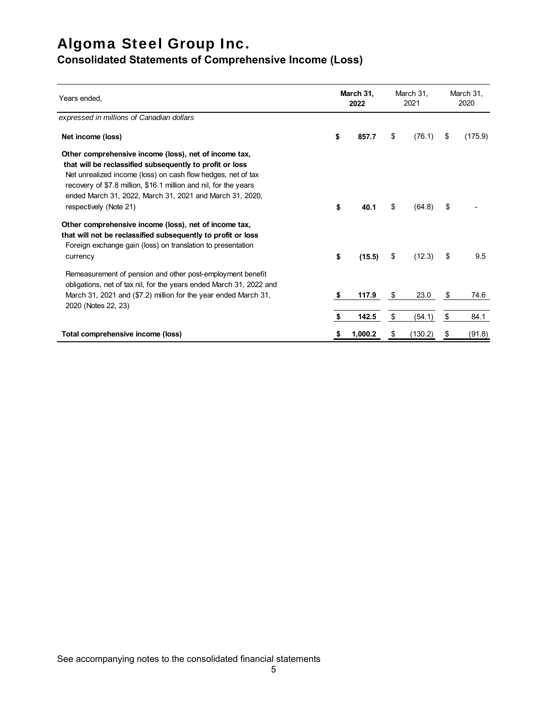# **Consolidated Statements of Comprehensive Income (Loss)**

| Years ended.                                                                                                                                                                                                                                                                                                                                | March 31,<br>2022 |                |          | March 31.<br>2021 | March 31.<br>2020 |              |
|---------------------------------------------------------------------------------------------------------------------------------------------------------------------------------------------------------------------------------------------------------------------------------------------------------------------------------------------|-------------------|----------------|----------|-------------------|-------------------|--------------|
| expressed in millions of Canadian dollars                                                                                                                                                                                                                                                                                                   |                   |                |          |                   |                   |              |
| Net income (loss)                                                                                                                                                                                                                                                                                                                           | \$                | 857.7          | \$       | (76.1)            | \$                | (175.9)      |
| Other comprehensive income (loss), net of income tax,<br>that will be reclassified subsequently to profit or loss<br>Net unrealized income (loss) on cash flow hedges, net of tax<br>recovery of \$7.8 million, \$16.1 million and nil, for the years<br>ended March 31, 2022, March 31, 2021 and March 31, 2020,<br>respectively (Note 21) | \$                | 40.1           | \$       | (64.8)            | \$                |              |
| Other comprehensive income (loss), net of income tax,<br>that will not be reclassified subsequently to profit or loss<br>Foreign exchange gain (loss) on translation to presentation<br>currency                                                                                                                                            | \$                | (15.5)         | \$       | (12.3)            | \$                | 9.5          |
| Remeasurement of pension and other post-employment benefit<br>obligations, net of tax nil, for the years ended March 31, 2022 and<br>March 31, 2021 and (\$7.2) million for the year ended March 31,<br>2020 (Notes 22, 23)                                                                                                                 | S<br>Ŝ.           | 117.9<br>142.5 | \$<br>\$ | 23.0<br>(54.1)    | \$<br>\$          | 74.6<br>84.1 |
| Total comprehensive income (loss)                                                                                                                                                                                                                                                                                                           | \$                | 1,000.2        | \$       | (130.2)           | \$                | (91.8)       |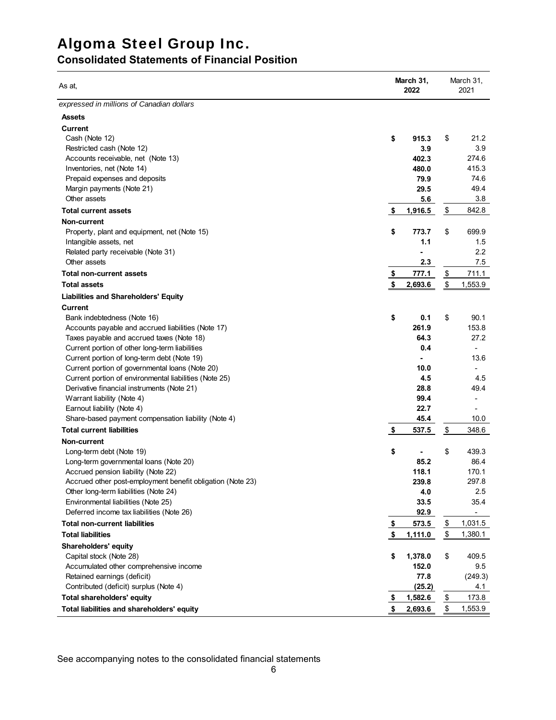# **Consolidated Statements of Financial Position**

| As at,                                                                           |               | March 31,<br>2022 | March 31,<br>2021        |
|----------------------------------------------------------------------------------|---------------|-------------------|--------------------------|
| expressed in millions of Canadian dollars                                        |               |                   |                          |
| <b>Assets</b>                                                                    |               |                   |                          |
| Current                                                                          |               |                   |                          |
| Cash (Note 12)                                                                   | \$            | 915.3             | \$<br>21.2               |
| Restricted cash (Note 12)                                                        |               | 3.9               | 3.9                      |
| Accounts receivable, net (Note 13)                                               |               | 402.3             | 274.6                    |
| Inventories, net (Note 14)                                                       |               | 480.0             | 415.3                    |
| Prepaid expenses and deposits                                                    |               | 79.9              | 74.6                     |
| Margin payments (Note 21)                                                        |               | 29.5              | 49.4                     |
| Other assets                                                                     |               | 5.6               | 3.8                      |
| <b>Total current assets</b>                                                      | \$            | 1,916.5           | \$<br>842.8              |
| Non-current                                                                      |               |                   |                          |
| Property, plant and equipment, net (Note 15)                                     | \$            | 773.7             | \$<br>699.9              |
| Intangible assets, net                                                           |               | 1.1               | 1.5                      |
| Related party receivable (Note 31)                                               |               |                   | 2.2                      |
| Other assets                                                                     |               | 2.3               | 7.5                      |
| <b>Total non-current assets</b>                                                  | \$            | 777.1             | \$<br>711.1              |
| <b>Total assets</b>                                                              |               | 2,693.6           | \$<br>1,553.9            |
| <b>Liabilities and Shareholders' Equity</b>                                      |               |                   |                          |
| <b>Current</b>                                                                   |               |                   |                          |
| Bank indebtedness (Note 16)                                                      | \$            | 0.1               | \$<br>90.1               |
| Accounts payable and accrued liabilities (Note 17)                               |               | 261.9             | 153.8                    |
| Taxes payable and accrued taxes (Note 18)                                        |               | 64.3              | 27.2                     |
| Current portion of other long-term liabilities                                   |               | 0.4               | $\overline{\phantom{0}}$ |
| Current portion of long-term debt (Note 19)                                      |               |                   | 13.6                     |
| Current portion of governmental loans (Note 20)                                  |               | 10.0              | $\overline{\phantom{a}}$ |
| Current portion of environmental liabilities (Note 25)                           |               | 4.5               | 4.5                      |
| Derivative financial instruments (Note 21)                                       |               | 28.8              | 49.4                     |
| Warrant liability (Note 4)                                                       |               | 99.4              | $\overline{\phantom{a}}$ |
| Earnout liability (Note 4)                                                       |               | 22.7              | ٠                        |
| Share-based payment compensation liability (Note 4)                              |               | 45.4              | 10.0                     |
| <b>Total current liabilities</b>                                                 | \$            | 537.5             | \$<br>348.6              |
| Non-current                                                                      |               |                   |                          |
| Long-term debt (Note 19)                                                         | \$            |                   | \$<br>439.3              |
| Long-term governmental loans (Note 20)                                           |               | 85.2              | 86.4                     |
| Accrued pension liability (Note 22)                                              |               | 118.1             | 170.1                    |
| Accrued other post-employment benefit obligation (Note 23)                       |               | 239.8             | 297.8                    |
| Other long-term liabilities (Note 24)                                            |               | 4.0               | 2.5                      |
| Environmental liabilities (Note 25)<br>Deferred income tax liabilities (Note 26) |               | 33.5              | 35.4                     |
|                                                                                  |               | 92.9              | $\blacksquare$           |
| <b>Total non-current liabilities</b>                                             | $\frac{1}{2}$ | 573.5             | \$<br>1,031.5            |
| <b>Total liabilities</b>                                                         | \$            | 1,111.0           | \$<br>1,380.1            |
| Shareholders' equity                                                             |               |                   |                          |
| Capital stock (Note 28)                                                          | \$            | 1,378.0           | \$<br>409.5              |
| Accumulated other comprehensive income                                           |               | 152.0             | 9.5                      |
| Retained earnings (deficit)                                                      |               | 77.8              | (249.3)                  |
| Contributed (deficit) surplus (Note 4)                                           |               | (25.2)            | $4.1$                    |
| <b>Total shareholders' equity</b>                                                | \$            | 1,582.6           | \$<br>173.8              |
| Total liabilities and shareholders' equity                                       | \$            | 2,693.6           | \$<br>1,553.9            |

See accompanying notes to the consolidated financial statements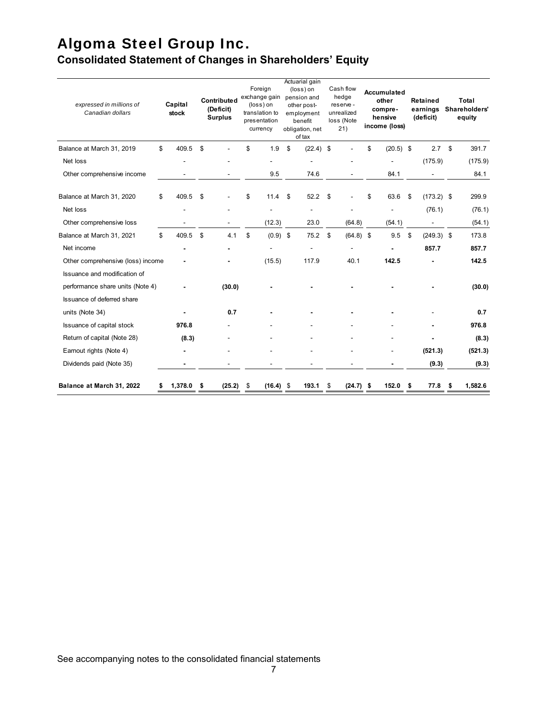# Algoma Steel Group Inc. **Consolidated Statement of Changes in Shareholders' Equity**

| expressed in millions of<br>Canadian dollars |    | Capital<br>stock | Contributed<br>(Deficit)<br><b>Surplus</b> | Foreign<br>exchange gain<br>(loss) on<br>translation to<br>presentation<br>currency | Actuarial gain<br>(loss) on<br>pension and<br>other post-<br>employment<br>benefit<br>obligation, net<br>of tax |      | Cash flow<br>hedge<br>reserve -<br>unrealized<br>loss (Note<br>21) | Accumulated<br>other<br>compre-<br>hensive<br>income (loss) |     | Retained<br>earnings<br>(deficit) | Total<br>Shareholders'<br>equity |
|----------------------------------------------|----|------------------|--------------------------------------------|-------------------------------------------------------------------------------------|-----------------------------------------------------------------------------------------------------------------|------|--------------------------------------------------------------------|-------------------------------------------------------------|-----|-----------------------------------|----------------------------------|
| Balance at March 31, 2019                    | \$ | 409.5            | \$                                         | \$<br>1.9                                                                           | \$<br>$(22.4)$ \$                                                                                               |      |                                                                    | \$<br>$(20.5)$ \$                                           |     | 2.7                               | \$<br>391.7                      |
| Net loss                                     |    |                  |                                            |                                                                                     |                                                                                                                 |      |                                                                    |                                                             |     | (175.9)                           | (175.9)                          |
| Other comprehensive income                   |    |                  |                                            | 9.5                                                                                 | 74.6                                                                                                            |      |                                                                    | 84.1                                                        |     |                                   | 84.1                             |
| Balance at March 31, 2020                    | \$ | 409.5            | \$                                         | \$<br>11.4                                                                          | \$<br>52.2                                                                                                      | - \$ |                                                                    | \$<br>63.6                                                  | -\$ | $(173.2)$ \$                      | 299.9                            |
| Net loss                                     |    |                  |                                            |                                                                                     |                                                                                                                 |      |                                                                    |                                                             |     | (76.1)                            | (76.1)                           |
| Other comprehensive loss                     |    |                  | $\overline{\phantom{a}}$                   | (12.3)                                                                              | 23.0                                                                                                            |      | (64.8)                                                             | (54.1)                                                      |     | $\overline{\phantom{a}}$          | (54.1)                           |
| Balance at March 31, 2021                    | \$ | 409.5            | \$<br>4.1                                  | \$<br>$(0.9)$ \$                                                                    | 75.2                                                                                                            | \$   | $(64.8)$ \$                                                        | 9.5                                                         | \$  | $(249.3)$ \$                      | 173.8                            |
| Net income                                   |    |                  |                                            |                                                                                     |                                                                                                                 |      |                                                                    |                                                             |     | 857.7                             | 857.7                            |
| Other comprehensive (loss) income            |    |                  |                                            | (15.5)                                                                              | 117.9                                                                                                           |      | 40.1                                                               | 142.5                                                       |     |                                   | 142.5                            |
| Issuance and modification of                 |    |                  |                                            |                                                                                     |                                                                                                                 |      |                                                                    |                                                             |     |                                   |                                  |
| performance share units (Note 4)             |    |                  | (30.0)                                     |                                                                                     |                                                                                                                 |      |                                                                    |                                                             |     |                                   | (30.0)                           |
| Issuance of deferred share                   |    |                  |                                            |                                                                                     |                                                                                                                 |      |                                                                    |                                                             |     |                                   |                                  |
| units (Note 34)                              |    |                  | 0.7                                        |                                                                                     |                                                                                                                 |      |                                                                    |                                                             |     |                                   | 0.7                              |
| Issuance of capital stock                    |    | 976.8            |                                            |                                                                                     |                                                                                                                 |      |                                                                    |                                                             |     |                                   | 976.8                            |
| Return of capital (Note 28)                  |    | (8.3)            |                                            |                                                                                     |                                                                                                                 |      |                                                                    |                                                             |     |                                   | (8.3)                            |
| Earnout rights (Note 4)                      |    |                  |                                            |                                                                                     |                                                                                                                 |      |                                                                    |                                                             |     | (521.3)                           | (521.3)                          |
| Dividends paid (Note 35)                     |    |                  |                                            |                                                                                     |                                                                                                                 |      |                                                                    |                                                             |     | (9.3)                             | (9.3)                            |
| Balance at March 31, 2022                    | S  | 1,378.0          | \$<br>(25.2)                               | \$<br>$(16.4)$ \$                                                                   | 193.1                                                                                                           | S    | (24.7)                                                             | \$<br>152.0                                                 | S   | 77.8                              | \$<br>1,582.6                    |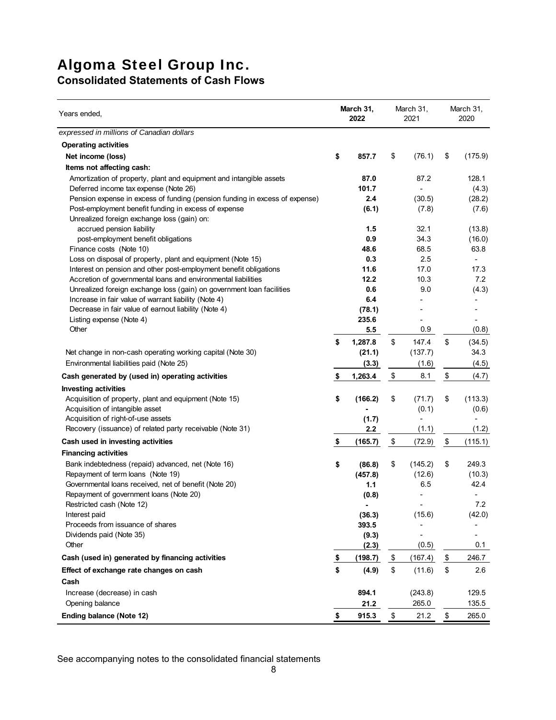# **Consolidated Statements of Cash Flows**

| Years ended,                                                                |               | March 31,<br>2022 | March 31,<br>2021 | March 31,<br>2020                         |                              |
|-----------------------------------------------------------------------------|---------------|-------------------|-------------------|-------------------------------------------|------------------------------|
| expressed in millions of Canadian dollars                                   |               |                   |                   |                                           |                              |
| <b>Operating activities</b>                                                 |               |                   |                   |                                           |                              |
| Net income (loss)                                                           | \$            | 857.7             | \$<br>(76.1)      | \$                                        | (175.9)                      |
| Items not affecting cash:                                                   |               |                   |                   |                                           |                              |
| Amortization of property, plant and equipment and intangible assets         |               | 87.0              | 87.2              |                                           | 128.1                        |
| Deferred income tax expense (Note 26)                                       |               | 101.7             | ä,                |                                           | (4.3)                        |
| Pension expense in excess of funding (pension funding in excess of expense) |               | 2.4               | (30.5)            |                                           | (28.2)                       |
| Post-employment benefit funding in excess of expense                        |               | (6.1)             | (7.8)             |                                           | (7.6)                        |
| Unrealized foreign exchange loss (gain) on:                                 |               |                   |                   |                                           |                              |
| accrued pension liability                                                   |               | 1.5               | 32.1              |                                           | (13.8)                       |
| post-employment benefit obligations                                         |               | 0.9               | 34.3              |                                           | (16.0)                       |
| Finance costs (Note 10)                                                     |               | 48.6              | 68.5              |                                           | 63.8                         |
| Loss on disposal of property, plant and equipment (Note 15)                 |               | 0.3               | 2.5               |                                           |                              |
| Interest on pension and other post-employment benefit obligations           |               | 11.6              | 17.0              |                                           | 17.3                         |
| Accretion of governmental loans and environmental liabilities               |               | 12.2              | 10.3              |                                           | 7.2                          |
| Unrealized foreign exchange loss (gain) on government loan facilities       |               | 0.6               | 9.0               |                                           | (4.3)                        |
| Increase in fair value of warrant liability (Note 4)                        |               | 6.4               |                   |                                           |                              |
| Decrease in fair value of earnout liability (Note 4)                        |               | (78.1)            |                   |                                           |                              |
| Listing expense (Note 4)                                                    |               | 235.6             |                   |                                           | $\qquad \qquad \blacksquare$ |
| Other                                                                       |               | 5.5               | 0.9               |                                           | (0.8)                        |
|                                                                             | \$            | 1,287.8           | \$<br>147.4       | \$                                        | (34.5)                       |
| Net change in non-cash operating working capital (Note 30)                  |               | (21.1)            | (137.7)           |                                           | 34.3                         |
| Environmental liabilities paid (Note 25)                                    |               | (3.3)             | (1.6)             |                                           | (4.5)                        |
| Cash generated by (used in) operating activities                            | \$            | 1,263.4           | \$<br>8.1         | \$                                        | (4.7)                        |
| <b>Investing activities</b>                                                 |               |                   |                   |                                           |                              |
| Acquisition of property, plant and equipment (Note 15)                      | \$            | (166.2)           | \$<br>(71.7)      | \$                                        | (113.3)                      |
| Acquisition of intangible asset                                             |               |                   | (0.1)             |                                           | (0.6)                        |
| Acquisition of right-of-use assets                                          |               | (1.7)             |                   |                                           |                              |
| Recovery (issuance) of related party receivable (Note 31)                   |               | 2.2               | (1.1)             |                                           | (1.2)                        |
| Cash used in investing activities                                           | \$            | (165.7)           | \$<br>(72.9)      | $\, \, \raisebox{12pt}{$\scriptstyle \$}$ | (115.1)                      |
| <b>Financing activities</b>                                                 |               |                   |                   |                                           |                              |
| Bank indebtedness (repaid) advanced, net (Note 16)                          | \$            | (86.8)            | \$<br>(145.2)     | \$                                        | 249.3                        |
| Repayment of term loans (Note 19)                                           |               | (457.8)           | (12.6)            |                                           | (10.3)                       |
| Governmental loans received, net of benefit (Note 20)                       |               | 1.1               | 6.5               |                                           | 42.4                         |
| Repayment of government loans (Note 20)                                     |               | (0.8)             |                   |                                           | $\frac{1}{2}$                |
| Restricted cash (Note 12)                                                   |               |                   |                   |                                           | 7.2                          |
| Interest paid                                                               |               | (36.3)            | (15.6)            |                                           | (42.0)                       |
| Proceeds from issuance of shares                                            |               | 393.5             |                   |                                           |                              |
| Dividends paid (Note 35)                                                    |               | (9.3)             |                   |                                           | $\overline{a}$               |
| Other                                                                       |               | (2.3)             | (0.5)             |                                           | 0.1                          |
| Cash (used in) generated by financing activities                            | $\frac{\$}{}$ | (198.7)           | \$<br>(167.4)     | \$                                        | 246.7                        |
| Effect of exchange rate changes on cash                                     | \$            | (4.9)             | \$<br>(11.6)      | \$                                        | 2.6                          |
| Cash<br>Increase (decrease) in cash                                         |               | 894.1             | (243.8)           |                                           | 129.5                        |
|                                                                             |               |                   |                   |                                           |                              |
| Opening balance                                                             |               | 21.2              | 265.0             |                                           | 135.5                        |
| Ending balance (Note 12)                                                    | \$            | 915.3             | \$<br>21.2        | \$                                        | 265.0                        |

See accompanying notes to the consolidated financial statements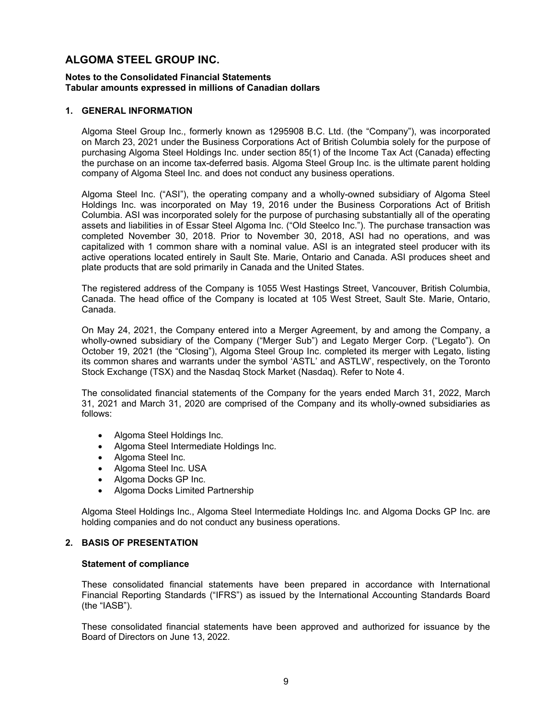#### **Notes to the Consolidated Financial Statements Tabular amounts expressed in millions of Canadian dollars**

### **1. GENERAL INFORMATION**

Algoma Steel Group Inc., formerly known as 1295908 B.C. Ltd. (the "Company"), was incorporated on March 23, 2021 under the Business Corporations Act of British Columbia solely for the purpose of purchasing Algoma Steel Holdings Inc. under section 85(1) of the Income Tax Act (Canada) effecting the purchase on an income tax-deferred basis. Algoma Steel Group Inc. is the ultimate parent holding company of Algoma Steel Inc. and does not conduct any business operations.

Algoma Steel Inc. ("ASI"), the operating company and a wholly-owned subsidiary of Algoma Steel Holdings Inc. was incorporated on May 19, 2016 under the Business Corporations Act of British Columbia. ASI was incorporated solely for the purpose of purchasing substantially all of the operating assets and liabilities in of Essar Steel Algoma Inc. ("Old Steelco Inc."). The purchase transaction was completed November 30, 2018. Prior to November 30, 2018, ASI had no operations, and was capitalized with 1 common share with a nominal value. ASI is an integrated steel producer with its active operations located entirely in Sault Ste. Marie, Ontario and Canada. ASI produces sheet and plate products that are sold primarily in Canada and the United States.

The registered address of the Company is 1055 West Hastings Street, Vancouver, British Columbia, Canada. The head office of the Company is located at 105 West Street, Sault Ste. Marie, Ontario, Canada.

On May 24, 2021, the Company entered into a Merger Agreement, by and among the Company, a wholly-owned subsidiary of the Company ("Merger Sub") and Legato Merger Corp. ("Legato"). On October 19, 2021 (the "Closing"), Algoma Steel Group Inc. completed its merger with Legato, listing its common shares and warrants under the symbol 'ASTL' and ASTLW', respectively, on the Toronto Stock Exchange (TSX) and the Nasdaq Stock Market (Nasdaq). Refer to Note 4.

The consolidated financial statements of the Company for the years ended March 31, 2022, March 31, 2021 and March 31, 2020 are comprised of the Company and its wholly-owned subsidiaries as follows:

- Algoma Steel Holdings Inc.
- Algoma Steel Intermediate Holdings Inc.
- Algoma Steel Inc.
- Algoma Steel Inc. USA
- Algoma Docks GP Inc.
- Algoma Docks Limited Partnership

Algoma Steel Holdings Inc., Algoma Steel Intermediate Holdings Inc. and Algoma Docks GP Inc. are holding companies and do not conduct any business operations.

#### **2. BASIS OF PRESENTATION**

#### **Statement of compliance**

These consolidated financial statements have been prepared in accordance with International Financial Reporting Standards ("IFRS") as issued by the International Accounting Standards Board (the "IASB").

These consolidated financial statements have been approved and authorized for issuance by the Board of Directors on June 13, 2022.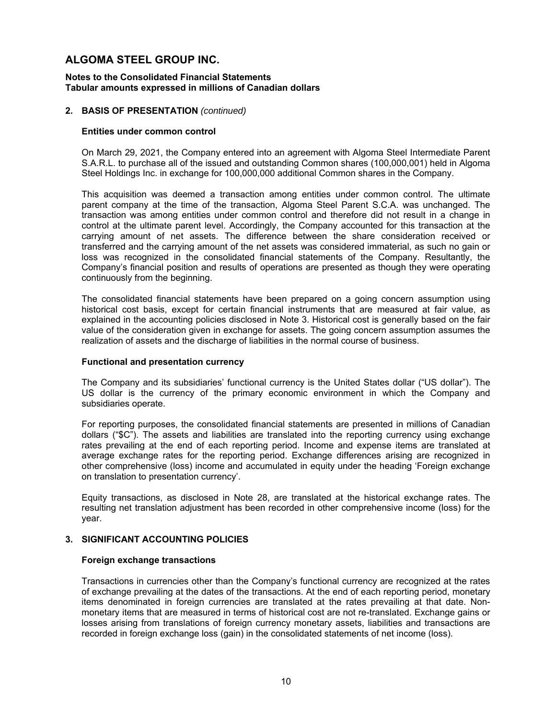#### **Notes to the Consolidated Financial Statements Tabular amounts expressed in millions of Canadian dollars**

#### **2. BASIS OF PRESENTATION** *(continued)*

#### **Entities under common control**

On March 29, 2021, the Company entered into an agreement with Algoma Steel Intermediate Parent S.A.R.L. to purchase all of the issued and outstanding Common shares (100,000,001) held in Algoma Steel Holdings Inc. in exchange for 100,000,000 additional Common shares in the Company.

This acquisition was deemed a transaction among entities under common control. The ultimate parent company at the time of the transaction, Algoma Steel Parent S.C.A. was unchanged. The transaction was among entities under common control and therefore did not result in a change in control at the ultimate parent level. Accordingly, the Company accounted for this transaction at the carrying amount of net assets. The difference between the share consideration received or transferred and the carrying amount of the net assets was considered immaterial, as such no gain or loss was recognized in the consolidated financial statements of the Company. Resultantly, the Company's financial position and results of operations are presented as though they were operating continuously from the beginning.

The consolidated financial statements have been prepared on a going concern assumption using historical cost basis, except for certain financial instruments that are measured at fair value, as explained in the accounting policies disclosed in Note 3. Historical cost is generally based on the fair value of the consideration given in exchange for assets. The going concern assumption assumes the realization of assets and the discharge of liabilities in the normal course of business.

#### **Functional and presentation currency**

The Company and its subsidiaries' functional currency is the United States dollar ("US dollar"). The US dollar is the currency of the primary economic environment in which the Company and subsidiaries operate.

For reporting purposes, the consolidated financial statements are presented in millions of Canadian dollars ("\$C"). The assets and liabilities are translated into the reporting currency using exchange rates prevailing at the end of each reporting period. Income and expense items are translated at average exchange rates for the reporting period. Exchange differences arising are recognized in other comprehensive (loss) income and accumulated in equity under the heading 'Foreign exchange on translation to presentation currency'.

Equity transactions, as disclosed in Note 28, are translated at the historical exchange rates. The resulting net translation adjustment has been recorded in other comprehensive income (loss) for the year.

### **3. SIGNIFICANT ACCOUNTING POLICIES**

#### **Foreign exchange transactions**

Transactions in currencies other than the Company's functional currency are recognized at the rates of exchange prevailing at the dates of the transactions. At the end of each reporting period, monetary items denominated in foreign currencies are translated at the rates prevailing at that date. Nonmonetary items that are measured in terms of historical cost are not re-translated. Exchange gains or losses arising from translations of foreign currency monetary assets, liabilities and transactions are recorded in foreign exchange loss (gain) in the consolidated statements of net income (loss).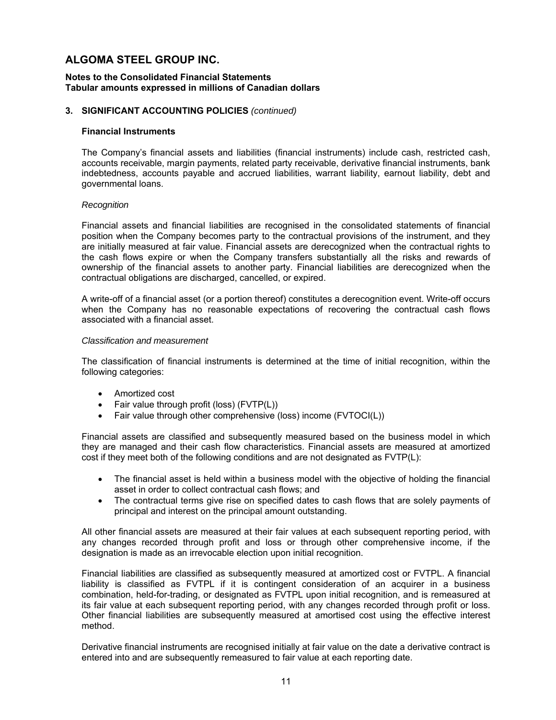#### **Notes to the Consolidated Financial Statements Tabular amounts expressed in millions of Canadian dollars**

#### **3. SIGNIFICANT ACCOUNTING POLICIES** *(continued)*

#### **Financial Instruments**

The Company's financial assets and liabilities (financial instruments) include cash, restricted cash, accounts receivable, margin payments, related party receivable, derivative financial instruments, bank indebtedness, accounts payable and accrued liabilities, warrant liability, earnout liability, debt and governmental loans.

#### *Recognition*

Financial assets and financial liabilities are recognised in the consolidated statements of financial position when the Company becomes party to the contractual provisions of the instrument, and they are initially measured at fair value. Financial assets are derecognized when the contractual rights to the cash flows expire or when the Company transfers substantially all the risks and rewards of ownership of the financial assets to another party. Financial liabilities are derecognized when the contractual obligations are discharged, cancelled, or expired.

A write-off of a financial asset (or a portion thereof) constitutes a derecognition event. Write-off occurs when the Company has no reasonable expectations of recovering the contractual cash flows associated with a financial asset.

#### *Classification and measurement*

The classification of financial instruments is determined at the time of initial recognition, within the following categories:

- Amortized cost
- Fair value through profit (loss) (FVTP(L))
- Fair value through other comprehensive (loss) income (FVTOCI(L))

Financial assets are classified and subsequently measured based on the business model in which they are managed and their cash flow characteristics. Financial assets are measured at amortized cost if they meet both of the following conditions and are not designated as FVTP(L):

- The financial asset is held within a business model with the objective of holding the financial asset in order to collect contractual cash flows; and
- The contractual terms give rise on specified dates to cash flows that are solely payments of principal and interest on the principal amount outstanding.

All other financial assets are measured at their fair values at each subsequent reporting period, with any changes recorded through profit and loss or through other comprehensive income, if the designation is made as an irrevocable election upon initial recognition.

Financial liabilities are classified as subsequently measured at amortized cost or FVTPL. A financial liability is classified as FVTPL if it is contingent consideration of an acquirer in a business combination, held-for-trading, or designated as FVTPL upon initial recognition, and is remeasured at its fair value at each subsequent reporting period, with any changes recorded through profit or loss. Other financial liabilities are subsequently measured at amortised cost using the effective interest method.

Derivative financial instruments are recognised initially at fair value on the date a derivative contract is entered into and are subsequently remeasured to fair value at each reporting date.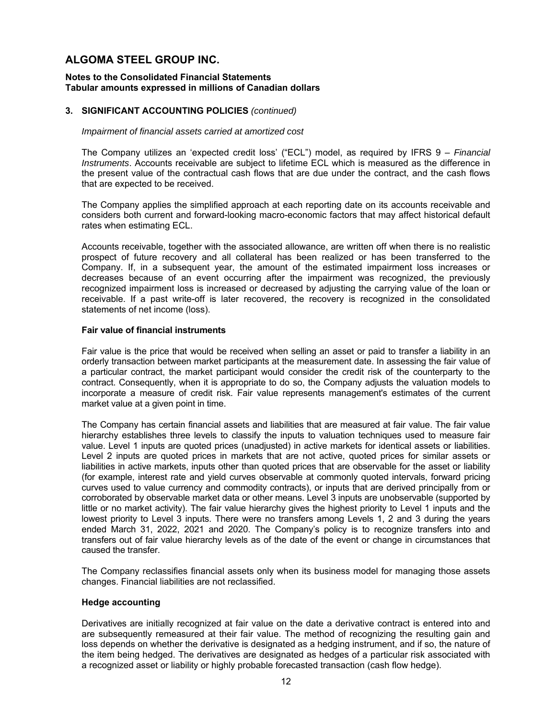#### **Notes to the Consolidated Financial Statements Tabular amounts expressed in millions of Canadian dollars**

## **3. SIGNIFICANT ACCOUNTING POLICIES** *(continued)*

#### *Impairment of financial assets carried at amortized cost*

The Company utilizes an 'expected credit loss' ("ECL") model, as required by IFRS 9 – *Financial Instruments*. Accounts receivable are subject to lifetime ECL which is measured as the difference in the present value of the contractual cash flows that are due under the contract, and the cash flows that are expected to be received.

The Company applies the simplified approach at each reporting date on its accounts receivable and considers both current and forward-looking macro-economic factors that may affect historical default rates when estimating ECL.

Accounts receivable, together with the associated allowance, are written off when there is no realistic prospect of future recovery and all collateral has been realized or has been transferred to the Company. If, in a subsequent year, the amount of the estimated impairment loss increases or decreases because of an event occurring after the impairment was recognized, the previously recognized impairment loss is increased or decreased by adjusting the carrying value of the loan or receivable. If a past write-off is later recovered, the recovery is recognized in the consolidated statements of net income (loss).

### **Fair value of financial instruments**

Fair value is the price that would be received when selling an asset or paid to transfer a liability in an orderly transaction between market participants at the measurement date. In assessing the fair value of a particular contract, the market participant would consider the credit risk of the counterparty to the contract. Consequently, when it is appropriate to do so, the Company adjusts the valuation models to incorporate a measure of credit risk. Fair value represents management's estimates of the current market value at a given point in time.

The Company has certain financial assets and liabilities that are measured at fair value. The fair value hierarchy establishes three levels to classify the inputs to valuation techniques used to measure fair value. Level 1 inputs are quoted prices (unadjusted) in active markets for identical assets or liabilities. Level 2 inputs are quoted prices in markets that are not active, quoted prices for similar assets or liabilities in active markets, inputs other than quoted prices that are observable for the asset or liability (for example, interest rate and yield curves observable at commonly quoted intervals, forward pricing curves used to value currency and commodity contracts), or inputs that are derived principally from or corroborated by observable market data or other means. Level 3 inputs are unobservable (supported by little or no market activity). The fair value hierarchy gives the highest priority to Level 1 inputs and the lowest priority to Level 3 inputs. There were no transfers among Levels 1, 2 and 3 during the years ended March 31, 2022, 2021 and 2020. The Company's policy is to recognize transfers into and transfers out of fair value hierarchy levels as of the date of the event or change in circumstances that caused the transfer.

The Company reclassifies financial assets only when its business model for managing those assets changes. Financial liabilities are not reclassified.

#### **Hedge accounting**

Derivatives are initially recognized at fair value on the date a derivative contract is entered into and are subsequently remeasured at their fair value. The method of recognizing the resulting gain and loss depends on whether the derivative is designated as a hedging instrument, and if so, the nature of the item being hedged. The derivatives are designated as hedges of a particular risk associated with a recognized asset or liability or highly probable forecasted transaction (cash flow hedge).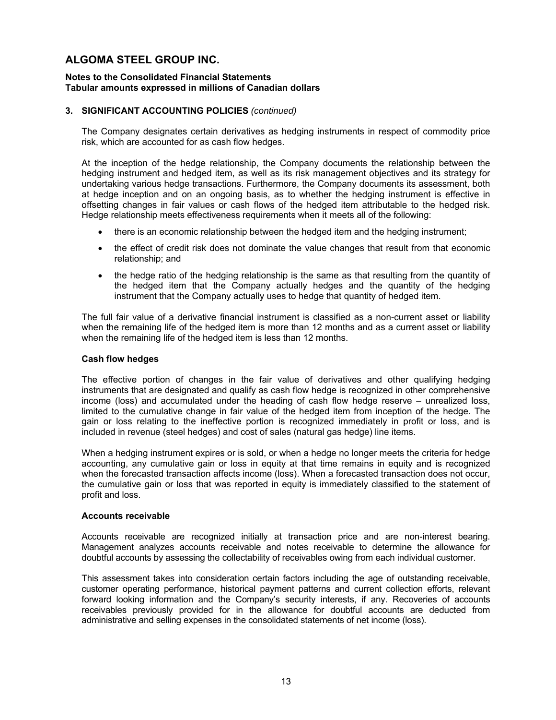#### **Notes to the Consolidated Financial Statements Tabular amounts expressed in millions of Canadian dollars**

## **3. SIGNIFICANT ACCOUNTING POLICIES** *(continued)*

The Company designates certain derivatives as hedging instruments in respect of commodity price risk, which are accounted for as cash flow hedges.

At the inception of the hedge relationship, the Company documents the relationship between the hedging instrument and hedged item, as well as its risk management objectives and its strategy for undertaking various hedge transactions. Furthermore, the Company documents its assessment, both at hedge inception and on an ongoing basis, as to whether the hedging instrument is effective in offsetting changes in fair values or cash flows of the hedged item attributable to the hedged risk. Hedge relationship meets effectiveness requirements when it meets all of the following:

- there is an economic relationship between the hedged item and the hedging instrument;
- the effect of credit risk does not dominate the value changes that result from that economic relationship; and
- the hedge ratio of the hedging relationship is the same as that resulting from the quantity of the hedged item that the Company actually hedges and the quantity of the hedging instrument that the Company actually uses to hedge that quantity of hedged item.

The full fair value of a derivative financial instrument is classified as a non-current asset or liability when the remaining life of the hedged item is more than 12 months and as a current asset or liability when the remaining life of the hedged item is less than 12 months.

#### **Cash flow hedges**

The effective portion of changes in the fair value of derivatives and other qualifying hedging instruments that are designated and qualify as cash flow hedge is recognized in other comprehensive income (loss) and accumulated under the heading of cash flow hedge reserve – unrealized loss, limited to the cumulative change in fair value of the hedged item from inception of the hedge. The gain or loss relating to the ineffective portion is recognized immediately in profit or loss, and is included in revenue (steel hedges) and cost of sales (natural gas hedge) line items.

When a hedging instrument expires or is sold, or when a hedge no longer meets the criteria for hedge accounting, any cumulative gain or loss in equity at that time remains in equity and is recognized when the forecasted transaction affects income (loss). When a forecasted transaction does not occur, the cumulative gain or loss that was reported in equity is immediately classified to the statement of profit and loss.

#### **Accounts receivable**

Accounts receivable are recognized initially at transaction price and are non-interest bearing. Management analyzes accounts receivable and notes receivable to determine the allowance for doubtful accounts by assessing the collectability of receivables owing from each individual customer.

This assessment takes into consideration certain factors including the age of outstanding receivable, customer operating performance, historical payment patterns and current collection efforts, relevant forward looking information and the Company's security interests, if any. Recoveries of accounts receivables previously provided for in the allowance for doubtful accounts are deducted from administrative and selling expenses in the consolidated statements of net income (loss).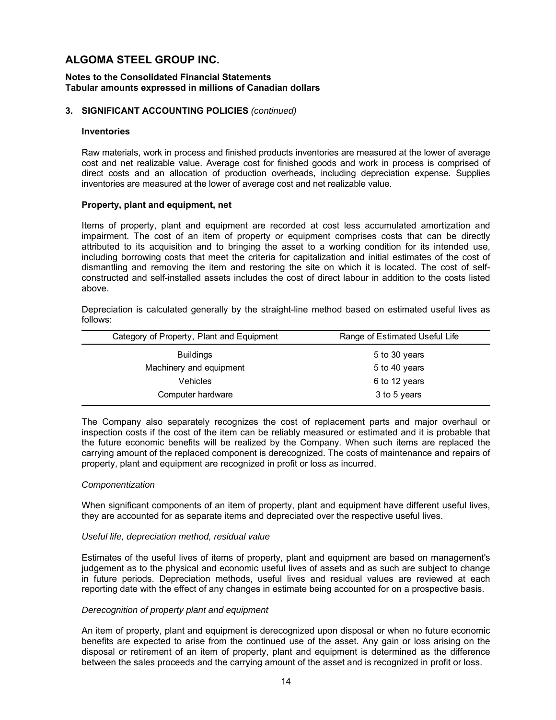#### **Notes to the Consolidated Financial Statements Tabular amounts expressed in millions of Canadian dollars**

#### **3. SIGNIFICANT ACCOUNTING POLICIES** *(continued)*

#### **Inventories**

Raw materials, work in process and finished products inventories are measured at the lower of average cost and net realizable value. Average cost for finished goods and work in process is comprised of direct costs and an allocation of production overheads, including depreciation expense. Supplies inventories are measured at the lower of average cost and net realizable value.

#### **Property, plant and equipment, net**

Items of property, plant and equipment are recorded at cost less accumulated amortization and impairment. The cost of an item of property or equipment comprises costs that can be directly attributed to its acquisition and to bringing the asset to a working condition for its intended use, including borrowing costs that meet the criteria for capitalization and initial estimates of the cost of dismantling and removing the item and restoring the site on which it is located. The cost of selfconstructed and self-installed assets includes the cost of direct labour in addition to the costs listed above.

Depreciation is calculated generally by the straight-line method based on estimated useful lives as follows:

| Category of Property, Plant and Equipment | Range of Estimated Useful Life |
|-------------------------------------------|--------------------------------|
| <b>Buildings</b>                          | 5 to 30 years                  |
| Machinery and equipment                   | 5 to 40 years                  |
| <b>Vehicles</b>                           | 6 to 12 years                  |
| Computer hardware                         | 3 to 5 years                   |
|                                           |                                |

The Company also separately recognizes the cost of replacement parts and major overhaul or inspection costs if the cost of the item can be reliably measured or estimated and it is probable that the future economic benefits will be realized by the Company. When such items are replaced the carrying amount of the replaced component is derecognized. The costs of maintenance and repairs of property, plant and equipment are recognized in profit or loss as incurred.

#### *Componentization*

When significant components of an item of property, plant and equipment have different useful lives, they are accounted for as separate items and depreciated over the respective useful lives.

#### *Useful life, depreciation method, residual value*

Estimates of the useful lives of items of property, plant and equipment are based on management's judgement as to the physical and economic useful lives of assets and as such are subject to change in future periods. Depreciation methods, useful lives and residual values are reviewed at each reporting date with the effect of any changes in estimate being accounted for on a prospective basis.

#### *Derecognition of property plant and equipment*

An item of property, plant and equipment is derecognized upon disposal or when no future economic benefits are expected to arise from the continued use of the asset. Any gain or loss arising on the disposal or retirement of an item of property, plant and equipment is determined as the difference between the sales proceeds and the carrying amount of the asset and is recognized in profit or loss.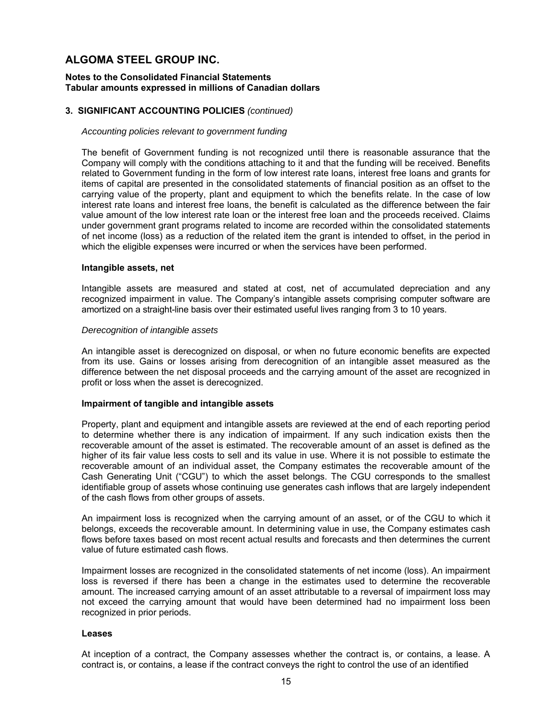#### **Notes to the Consolidated Financial Statements Tabular amounts expressed in millions of Canadian dollars**

## **3. SIGNIFICANT ACCOUNTING POLICIES** *(continued)*

#### *Accounting policies relevant to government funding*

The benefit of Government funding is not recognized until there is reasonable assurance that the Company will comply with the conditions attaching to it and that the funding will be received. Benefits related to Government funding in the form of low interest rate loans, interest free loans and grants for items of capital are presented in the consolidated statements of financial position as an offset to the carrying value of the property, plant and equipment to which the benefits relate. In the case of low interest rate loans and interest free loans, the benefit is calculated as the difference between the fair value amount of the low interest rate loan or the interest free loan and the proceeds received. Claims under government grant programs related to income are recorded within the consolidated statements of net income (loss) as a reduction of the related item the grant is intended to offset, in the period in which the eligible expenses were incurred or when the services have been performed.

#### **Intangible assets, net**

Intangible assets are measured and stated at cost, net of accumulated depreciation and any recognized impairment in value. The Company's intangible assets comprising computer software are amortized on a straight-line basis over their estimated useful lives ranging from 3 to 10 years.

#### *Derecognition of intangible assets*

An intangible asset is derecognized on disposal, or when no future economic benefits are expected from its use. Gains or losses arising from derecognition of an intangible asset measured as the difference between the net disposal proceeds and the carrying amount of the asset are recognized in profit or loss when the asset is derecognized.

#### **Impairment of tangible and intangible assets**

Property, plant and equipment and intangible assets are reviewed at the end of each reporting period to determine whether there is any indication of impairment. If any such indication exists then the recoverable amount of the asset is estimated. The recoverable amount of an asset is defined as the higher of its fair value less costs to sell and its value in use. Where it is not possible to estimate the recoverable amount of an individual asset, the Company estimates the recoverable amount of the Cash Generating Unit ("CGU") to which the asset belongs. The CGU corresponds to the smallest identifiable group of assets whose continuing use generates cash inflows that are largely independent of the cash flows from other groups of assets.

An impairment loss is recognized when the carrying amount of an asset, or of the CGU to which it belongs, exceeds the recoverable amount. In determining value in use, the Company estimates cash flows before taxes based on most recent actual results and forecasts and then determines the current value of future estimated cash flows.

Impairment losses are recognized in the consolidated statements of net income (loss). An impairment loss is reversed if there has been a change in the estimates used to determine the recoverable amount. The increased carrying amount of an asset attributable to a reversal of impairment loss may not exceed the carrying amount that would have been determined had no impairment loss been recognized in prior periods.

#### **Leases**

At inception of a contract, the Company assesses whether the contract is, or contains, a lease. A contract is, or contains, a lease if the contract conveys the right to control the use of an identified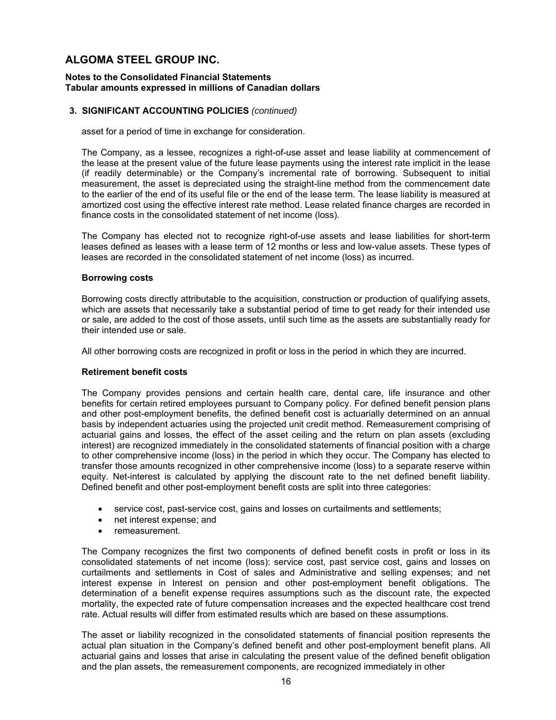#### **Notes to the Consolidated Financial Statements Tabular amounts expressed in millions of Canadian dollars**

## **3. SIGNIFICANT ACCOUNTING POLICIES** *(continued)*

asset for a period of time in exchange for consideration.

The Company, as a lessee, recognizes a right-of-use asset and lease liability at commencement of the lease at the present value of the future lease payments using the interest rate implicit in the lease (if readily determinable) or the Company's incremental rate of borrowing. Subsequent to initial measurement, the asset is depreciated using the straight-line method from the commencement date to the earlier of the end of its useful file or the end of the lease term. The lease liability is measured at amortized cost using the effective interest rate method. Lease related finance charges are recorded in finance costs in the consolidated statement of net income (loss).

The Company has elected not to recognize right-of-use assets and lease liabilities for short-term leases defined as leases with a lease term of 12 months or less and low-value assets. These types of leases are recorded in the consolidated statement of net income (loss) as incurred.

#### **Borrowing costs**

Borrowing costs directly attributable to the acquisition, construction or production of qualifying assets, which are assets that necessarily take a substantial period of time to get ready for their intended use or sale, are added to the cost of those assets, until such time as the assets are substantially ready for their intended use or sale.

All other borrowing costs are recognized in profit or loss in the period in which they are incurred.

#### **Retirement benefit costs**

The Company provides pensions and certain health care, dental care, life insurance and other benefits for certain retired employees pursuant to Company policy. For defined benefit pension plans and other post-employment benefits, the defined benefit cost is actuarially determined on an annual basis by independent actuaries using the projected unit credit method. Remeasurement comprising of actuarial gains and losses, the effect of the asset ceiling and the return on plan assets (excluding interest) are recognized immediately in the consolidated statements of financial position with a charge to other comprehensive income (loss) in the period in which they occur. The Company has elected to transfer those amounts recognized in other comprehensive income (loss) to a separate reserve within equity. Net-interest is calculated by applying the discount rate to the net defined benefit liability. Defined benefit and other post-employment benefit costs are split into three categories:

- service cost, past-service cost, gains and losses on curtailments and settlements;
- net interest expense; and
- remeasurement.

The Company recognizes the first two components of defined benefit costs in profit or loss in its consolidated statements of net income (loss): service cost, past service cost, gains and losses on curtailments and settlements in Cost of sales and Administrative and selling expenses; and net interest expense in Interest on pension and other post-employment benefit obligations. The determination of a benefit expense requires assumptions such as the discount rate, the expected mortality, the expected rate of future compensation increases and the expected healthcare cost trend rate. Actual results will differ from estimated results which are based on these assumptions.

The asset or liability recognized in the consolidated statements of financial position represents the actual plan situation in the Company's defined benefit and other post-employment benefit plans. All actuarial gains and losses that arise in calculating the present value of the defined benefit obligation and the plan assets, the remeasurement components, are recognized immediately in other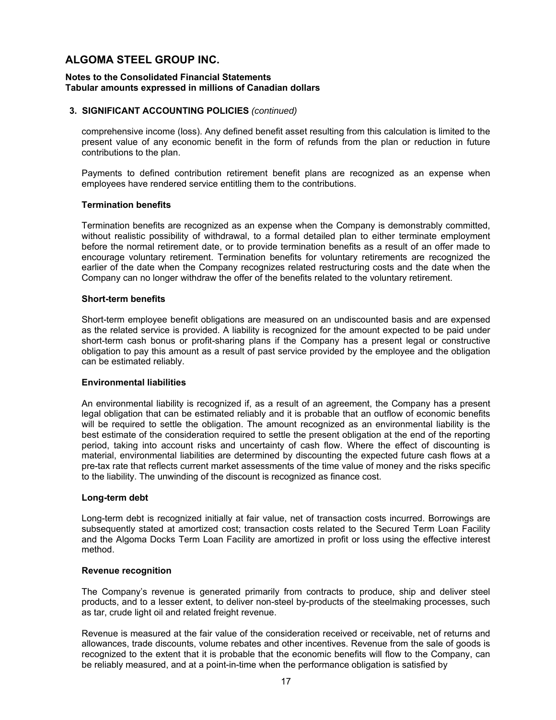#### **Notes to the Consolidated Financial Statements Tabular amounts expressed in millions of Canadian dollars**

### **3. SIGNIFICANT ACCOUNTING POLICIES** *(continued)*

comprehensive income (loss). Any defined benefit asset resulting from this calculation is limited to the present value of any economic benefit in the form of refunds from the plan or reduction in future contributions to the plan.

Payments to defined contribution retirement benefit plans are recognized as an expense when employees have rendered service entitling them to the contributions.

#### **Termination benefits**

Termination benefits are recognized as an expense when the Company is demonstrably committed, without realistic possibility of withdrawal, to a formal detailed plan to either terminate employment before the normal retirement date, or to provide termination benefits as a result of an offer made to encourage voluntary retirement. Termination benefits for voluntary retirements are recognized the earlier of the date when the Company recognizes related restructuring costs and the date when the Company can no longer withdraw the offer of the benefits related to the voluntary retirement.

#### **Short-term benefits**

Short-term employee benefit obligations are measured on an undiscounted basis and are expensed as the related service is provided. A liability is recognized for the amount expected to be paid under short-term cash bonus or profit-sharing plans if the Company has a present legal or constructive obligation to pay this amount as a result of past service provided by the employee and the obligation can be estimated reliably.

#### **Environmental liabilities**

An environmental liability is recognized if, as a result of an agreement, the Company has a present legal obligation that can be estimated reliably and it is probable that an outflow of economic benefits will be required to settle the obligation. The amount recognized as an environmental liability is the best estimate of the consideration required to settle the present obligation at the end of the reporting period, taking into account risks and uncertainty of cash flow. Where the effect of discounting is material, environmental liabilities are determined by discounting the expected future cash flows at a pre-tax rate that reflects current market assessments of the time value of money and the risks specific to the liability. The unwinding of the discount is recognized as finance cost.

#### **Long-term debt**

Long-term debt is recognized initially at fair value, net of transaction costs incurred. Borrowings are subsequently stated at amortized cost; transaction costs related to the Secured Term Loan Facility and the Algoma Docks Term Loan Facility are amortized in profit or loss using the effective interest method.

#### **Revenue recognition**

The Company's revenue is generated primarily from contracts to produce, ship and deliver steel products, and to a lesser extent, to deliver non-steel by-products of the steelmaking processes, such as tar, crude light oil and related freight revenue.

Revenue is measured at the fair value of the consideration received or receivable, net of returns and allowances, trade discounts, volume rebates and other incentives. Revenue from the sale of goods is recognized to the extent that it is probable that the economic benefits will flow to the Company, can be reliably measured, and at a point-in-time when the performance obligation is satisfied by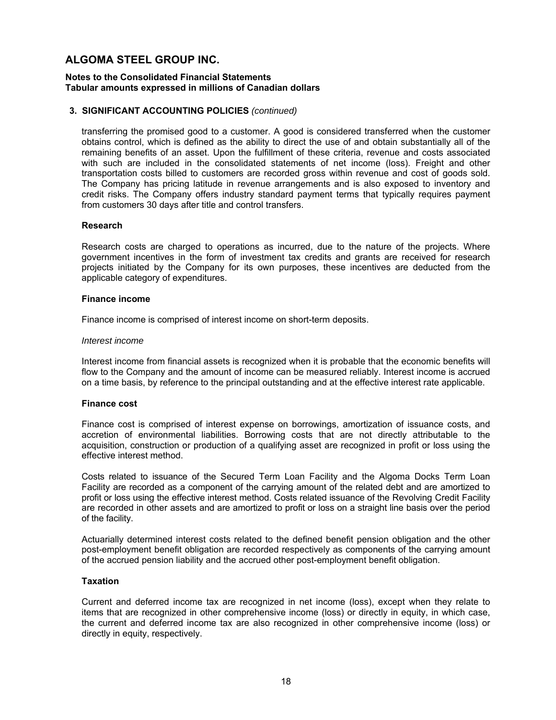#### **Notes to the Consolidated Financial Statements Tabular amounts expressed in millions of Canadian dollars**

### **3. SIGNIFICANT ACCOUNTING POLICIES** *(continued)*

transferring the promised good to a customer. A good is considered transferred when the customer obtains control, which is defined as the ability to direct the use of and obtain substantially all of the remaining benefits of an asset. Upon the fulfillment of these criteria, revenue and costs associated with such are included in the consolidated statements of net income (loss). Freight and other transportation costs billed to customers are recorded gross within revenue and cost of goods sold. The Company has pricing latitude in revenue arrangements and is also exposed to inventory and credit risks. The Company offers industry standard payment terms that typically requires payment from customers 30 days after title and control transfers.

#### **Research**

Research costs are charged to operations as incurred, due to the nature of the projects. Where government incentives in the form of investment tax credits and grants are received for research projects initiated by the Company for its own purposes, these incentives are deducted from the applicable category of expenditures.

#### **Finance income**

Finance income is comprised of interest income on short-term deposits.

#### *Interest income*

Interest income from financial assets is recognized when it is probable that the economic benefits will flow to the Company and the amount of income can be measured reliably. Interest income is accrued on a time basis, by reference to the principal outstanding and at the effective interest rate applicable.

#### **Finance cost**

Finance cost is comprised of interest expense on borrowings, amortization of issuance costs, and accretion of environmental liabilities. Borrowing costs that are not directly attributable to the acquisition, construction or production of a qualifying asset are recognized in profit or loss using the effective interest method.

Costs related to issuance of the Secured Term Loan Facility and the Algoma Docks Term Loan Facility are recorded as a component of the carrying amount of the related debt and are amortized to profit or loss using the effective interest method. Costs related issuance of the Revolving Credit Facility are recorded in other assets and are amortized to profit or loss on a straight line basis over the period of the facility.

Actuarially determined interest costs related to the defined benefit pension obligation and the other post-employment benefit obligation are recorded respectively as components of the carrying amount of the accrued pension liability and the accrued other post-employment benefit obligation.

#### **Taxation**

Current and deferred income tax are recognized in net income (loss), except when they relate to items that are recognized in other comprehensive income (loss) or directly in equity, in which case, the current and deferred income tax are also recognized in other comprehensive income (loss) or directly in equity, respectively.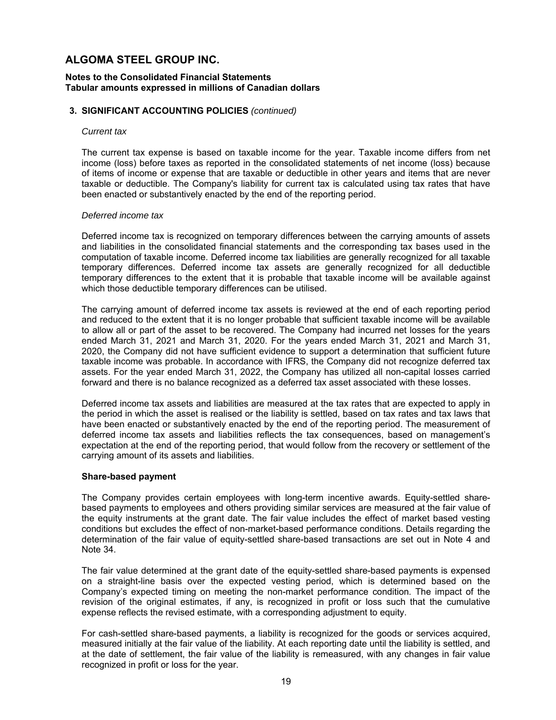#### **Notes to the Consolidated Financial Statements Tabular amounts expressed in millions of Canadian dollars**

### **3. SIGNIFICANT ACCOUNTING POLICIES** *(continued)*

#### *Current tax*

The current tax expense is based on taxable income for the year. Taxable income differs from net income (loss) before taxes as reported in the consolidated statements of net income (loss) because of items of income or expense that are taxable or deductible in other years and items that are never taxable or deductible. The Company's liability for current tax is calculated using tax rates that have been enacted or substantively enacted by the end of the reporting period.

#### *Deferred income tax*

Deferred income tax is recognized on temporary differences between the carrying amounts of assets and liabilities in the consolidated financial statements and the corresponding tax bases used in the computation of taxable income. Deferred income tax liabilities are generally recognized for all taxable temporary differences. Deferred income tax assets are generally recognized for all deductible temporary differences to the extent that it is probable that taxable income will be available against which those deductible temporary differences can be utilised.

The carrying amount of deferred income tax assets is reviewed at the end of each reporting period and reduced to the extent that it is no longer probable that sufficient taxable income will be available to allow all or part of the asset to be recovered. The Company had incurred net losses for the years ended March 31, 2021 and March 31, 2020. For the years ended March 31, 2021 and March 31, 2020, the Company did not have sufficient evidence to support a determination that sufficient future taxable income was probable. In accordance with IFRS, the Company did not recognize deferred tax assets. For the year ended March 31, 2022, the Company has utilized all non-capital losses carried forward and there is no balance recognized as a deferred tax asset associated with these losses.

Deferred income tax assets and liabilities are measured at the tax rates that are expected to apply in the period in which the asset is realised or the liability is settled, based on tax rates and tax laws that have been enacted or substantively enacted by the end of the reporting period. The measurement of deferred income tax assets and liabilities reflects the tax consequences, based on management's expectation at the end of the reporting period, that would follow from the recovery or settlement of the carrying amount of its assets and liabilities.

#### **Share-based payment**

The Company provides certain employees with long-term incentive awards. Equity-settled sharebased payments to employees and others providing similar services are measured at the fair value of the equity instruments at the grant date. The fair value includes the effect of market based vesting conditions but excludes the effect of non-market-based performance conditions. Details regarding the determination of the fair value of equity-settled share-based transactions are set out in Note 4 and Note 34.

The fair value determined at the grant date of the equity-settled share-based payments is expensed on a straight-line basis over the expected vesting period, which is determined based on the Company's expected timing on meeting the non-market performance condition. The impact of the revision of the original estimates, if any, is recognized in profit or loss such that the cumulative expense reflects the revised estimate, with a corresponding adjustment to equity.

For cash-settled share-based payments, a liability is recognized for the goods or services acquired, measured initially at the fair value of the liability. At each reporting date until the liability is settled, and at the date of settlement, the fair value of the liability is remeasured, with any changes in fair value recognized in profit or loss for the year.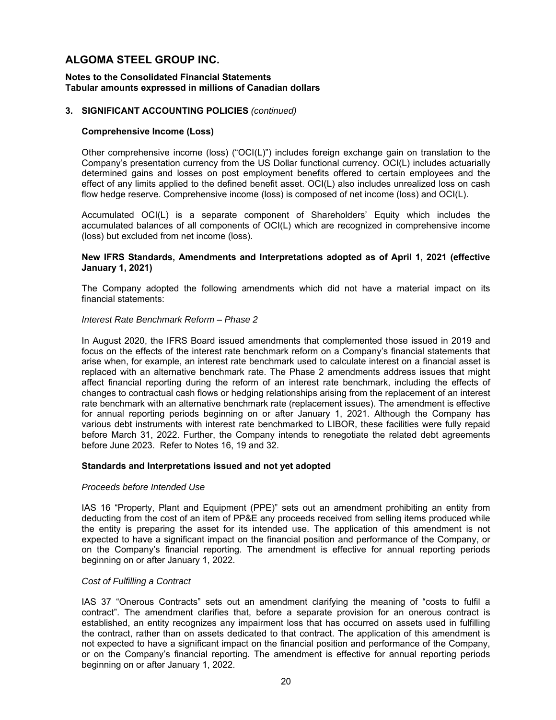#### **Notes to the Consolidated Financial Statements Tabular amounts expressed in millions of Canadian dollars**

### **3. SIGNIFICANT ACCOUNTING POLICIES** *(continued)*

#### **Comprehensive Income (Loss)**

Other comprehensive income (loss) ("OCI(L)") includes foreign exchange gain on translation to the Company's presentation currency from the US Dollar functional currency. OCI(L) includes actuarially determined gains and losses on post employment benefits offered to certain employees and the effect of any limits applied to the defined benefit asset. OCI(L) also includes unrealized loss on cash flow hedge reserve. Comprehensive income (loss) is composed of net income (loss) and OCI(L).

Accumulated OCI(L) is a separate component of Shareholders' Equity which includes the accumulated balances of all components of OCI(L) which are recognized in comprehensive income (loss) but excluded from net income (loss).

### **New IFRS Standards, Amendments and Interpretations adopted as of April 1, 2021 (effective January 1, 2021)**

The Company adopted the following amendments which did not have a material impact on its financial statements:

#### *Interest Rate Benchmark Reform – Phase 2*

In August 2020, the IFRS Board issued amendments that complemented those issued in 2019 and focus on the effects of the interest rate benchmark reform on a Company's financial statements that arise when, for example, an interest rate benchmark used to calculate interest on a financial asset is replaced with an alternative benchmark rate. The Phase 2 amendments address issues that might affect financial reporting during the reform of an interest rate benchmark, including the effects of changes to contractual cash flows or hedging relationships arising from the replacement of an interest rate benchmark with an alternative benchmark rate (replacement issues). The amendment is effective for annual reporting periods beginning on or after January 1, 2021. Although the Company has various debt instruments with interest rate benchmarked to LIBOR, these facilities were fully repaid before March 31, 2022. Further, the Company intends to renegotiate the related debt agreements before June 2023. Refer to Notes 16, 19 and 32.

#### **Standards and Interpretations issued and not yet adopted**

#### *Proceeds before Intended Use*

IAS 16 "Property, Plant and Equipment (PPE)" sets out an amendment prohibiting an entity from deducting from the cost of an item of PP&E any proceeds received from selling items produced while the entity is preparing the asset for its intended use. The application of this amendment is not expected to have a significant impact on the financial position and performance of the Company, or on the Company's financial reporting. The amendment is effective for annual reporting periods beginning on or after January 1, 2022.

#### *Cost of Fulfilling a Contract*

IAS 37 "Onerous Contracts" sets out an amendment clarifying the meaning of "costs to fulfil a contract". The amendment clarifies that, before a separate provision for an onerous contract is established, an entity recognizes any impairment loss that has occurred on assets used in fulfilling the contract, rather than on assets dedicated to that contract. The application of this amendment is not expected to have a significant impact on the financial position and performance of the Company, or on the Company's financial reporting. The amendment is effective for annual reporting periods beginning on or after January 1, 2022.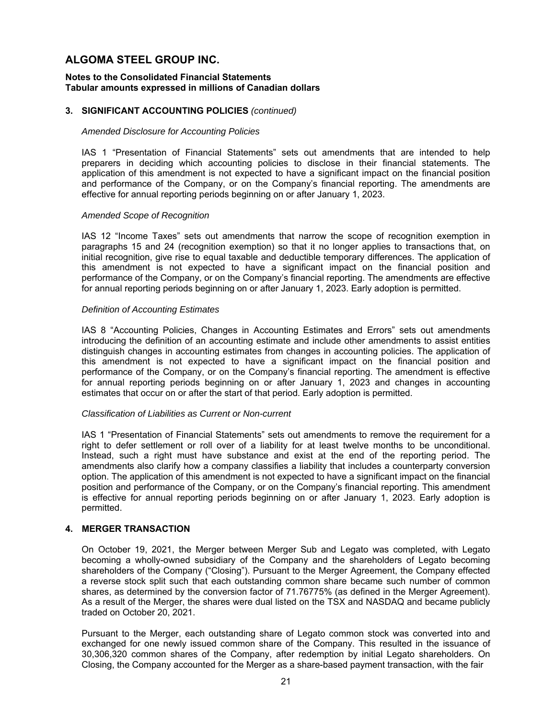#### **Notes to the Consolidated Financial Statements Tabular amounts expressed in millions of Canadian dollars**

### **3. SIGNIFICANT ACCOUNTING POLICIES** *(continued)*

#### *Amended Disclosure for Accounting Policies*

IAS 1 "Presentation of Financial Statements" sets out amendments that are intended to help preparers in deciding which accounting policies to disclose in their financial statements. The application of this amendment is not expected to have a significant impact on the financial position and performance of the Company, or on the Company's financial reporting. The amendments are effective for annual reporting periods beginning on or after January 1, 2023.

#### *Amended Scope of Recognition*

IAS 12 "Income Taxes" sets out amendments that narrow the scope of recognition exemption in paragraphs 15 and 24 (recognition exemption) so that it no longer applies to transactions that, on initial recognition, give rise to equal taxable and deductible temporary differences. The application of this amendment is not expected to have a significant impact on the financial position and performance of the Company, or on the Company's financial reporting. The amendments are effective for annual reporting periods beginning on or after January 1, 2023. Early adoption is permitted.

#### *Definition of Accounting Estimates*

IAS 8 "Accounting Policies, Changes in Accounting Estimates and Errors" sets out amendments introducing the definition of an accounting estimate and include other amendments to assist entities distinguish changes in accounting estimates from changes in accounting policies. The application of this amendment is not expected to have a significant impact on the financial position and performance of the Company, or on the Company's financial reporting. The amendment is effective for annual reporting periods beginning on or after January 1, 2023 and changes in accounting estimates that occur on or after the start of that period. Early adoption is permitted.

#### *Classification of Liabilities as Current or Non-current*

IAS 1 "Presentation of Financial Statements" sets out amendments to remove the requirement for a right to defer settlement or roll over of a liability for at least twelve months to be unconditional. Instead, such a right must have substance and exist at the end of the reporting period. The amendments also clarify how a company classifies a liability that includes a counterparty conversion option. The application of this amendment is not expected to have a significant impact on the financial position and performance of the Company, or on the Company's financial reporting. This amendment is effective for annual reporting periods beginning on or after January 1, 2023. Early adoption is permitted.

#### **4. MERGER TRANSACTION**

On October 19, 2021, the Merger between Merger Sub and Legato was completed, with Legato becoming a wholly-owned subsidiary of the Company and the shareholders of Legato becoming shareholders of the Company ("Closing"). Pursuant to the Merger Agreement, the Company effected a reverse stock split such that each outstanding common share became such number of common shares, as determined by the conversion factor of 71.76775% (as defined in the Merger Agreement). As a result of the Merger, the shares were dual listed on the TSX and NASDAQ and became publicly traded on October 20, 2021.

Pursuant to the Merger, each outstanding share of Legato common stock was converted into and exchanged for one newly issued common share of the Company. This resulted in the issuance of 30,306,320 common shares of the Company, after redemption by initial Legato shareholders. On Closing, the Company accounted for the Merger as a share-based payment transaction, with the fair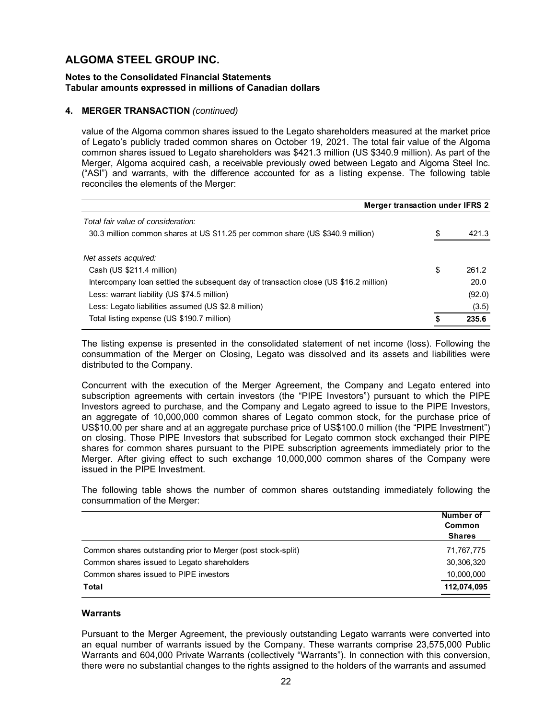#### **Notes to the Consolidated Financial Statements Tabular amounts expressed in millions of Canadian dollars**

## **4. MERGER TRANSACTION** *(continued)*

value of the Algoma common shares issued to the Legato shareholders measured at the market price of Legato's publicly traded common shares on October 19, 2021. The total fair value of the Algoma common shares issued to Legato shareholders was \$421.3 million (US \$340.9 million). As part of the Merger, Algoma acquired cash, a receivable previously owed between Legato and Algoma Steel Inc. ("ASI") and warrants, with the difference accounted for as a listing expense. The following table reconciles the elements of the Merger:

| <b>Merger transaction under IFRS 2</b> |        |
|----------------------------------------|--------|
|                                        |        |
| \$                                     | 421.3  |
|                                        |        |
| \$                                     | 261.2  |
|                                        | 20.0   |
|                                        | (92.0) |
|                                        | (3.5)  |
|                                        | 235.6  |
|                                        |        |

The listing expense is presented in the consolidated statement of net income (loss). Following the consummation of the Merger on Closing, Legato was dissolved and its assets and liabilities were distributed to the Company.

Concurrent with the execution of the Merger Agreement, the Company and Legato entered into subscription agreements with certain investors (the "PIPE Investors") pursuant to which the PIPE Investors agreed to purchase, and the Company and Legato agreed to issue to the PIPE Investors, an aggregate of 10,000,000 common shares of Legato common stock, for the purchase price of US\$10.00 per share and at an aggregate purchase price of US\$100.0 million (the "PIPE Investment") on closing. Those PIPE Investors that subscribed for Legato common stock exchanged their PIPE shares for common shares pursuant to the PIPE subscription agreements immediately prior to the Merger. After giving effect to such exchange 10,000,000 common shares of the Company were issued in the PIPE Investment.

The following table shows the number of common shares outstanding immediately following the consummation of the Merger:

|                                                              | Number of<br>Common<br><b>Shares</b> |
|--------------------------------------------------------------|--------------------------------------|
| Common shares outstanding prior to Merger (post stock-split) | 71,767,775                           |
| Common shares issued to Legato shareholders                  | 30,306,320                           |
| Common shares issued to PIPE investors                       | 10,000,000                           |
| Total                                                        | 112,074,095                          |

#### **Warrants**

Pursuant to the Merger Agreement, the previously outstanding Legato warrants were converted into an equal number of warrants issued by the Company. These warrants comprise 23,575,000 Public Warrants and 604,000 Private Warrants (collectively "Warrants"). In connection with this conversion, there were no substantial changes to the rights assigned to the holders of the warrants and assumed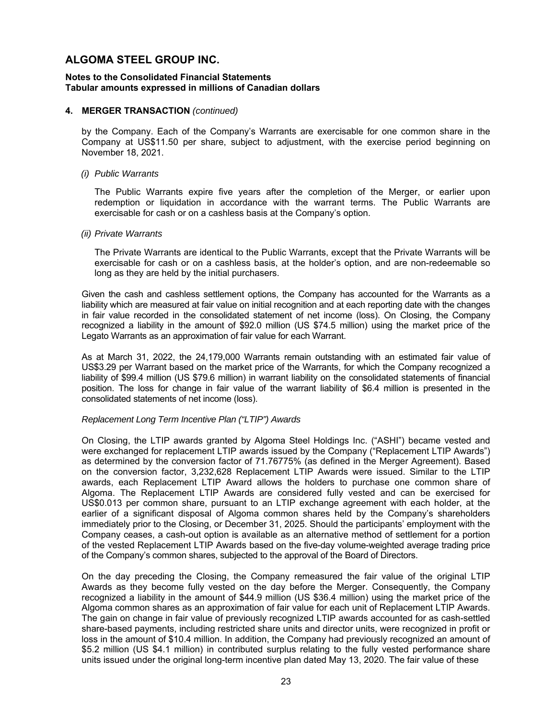#### **Notes to the Consolidated Financial Statements Tabular amounts expressed in millions of Canadian dollars**

### **4. MERGER TRANSACTION** *(continued)*

by the Company. Each of the Company's Warrants are exercisable for one common share in the Company at US\$11.50 per share, subject to adjustment, with the exercise period beginning on November 18, 2021.

#### *(i) Public Warrants*

The Public Warrants expire five years after the completion of the Merger, or earlier upon redemption or liquidation in accordance with the warrant terms. The Public Warrants are exercisable for cash or on a cashless basis at the Company's option.

#### *(ii) Private Warrants*

The Private Warrants are identical to the Public Warrants, except that the Private Warrants will be exercisable for cash or on a cashless basis, at the holder's option, and are non-redeemable so long as they are held by the initial purchasers.

Given the cash and cashless settlement options, the Company has accounted for the Warrants as a liability which are measured at fair value on initial recognition and at each reporting date with the changes in fair value recorded in the consolidated statement of net income (loss). On Closing, the Company recognized a liability in the amount of \$92.0 million (US \$74.5 million) using the market price of the Legato Warrants as an approximation of fair value for each Warrant.

As at March 31, 2022, the 24,179,000 Warrants remain outstanding with an estimated fair value of US\$3.29 per Warrant based on the market price of the Warrants, for which the Company recognized a liability of \$99.4 million (US \$79.6 million) in warrant liability on the consolidated statements of financial position. The loss for change in fair value of the warrant liability of \$6.4 million is presented in the consolidated statements of net income (loss).

## *Replacement Long Term Incentive Plan ("LTIP") Awards*

On Closing, the LTIP awards granted by Algoma Steel Holdings Inc. ("ASHI") became vested and were exchanged for replacement LTIP awards issued by the Company ("Replacement LTIP Awards") as determined by the conversion factor of 71.76775% (as defined in the Merger Agreement). Based on the conversion factor, 3,232,628 Replacement LTIP Awards were issued. Similar to the LTIP awards, each Replacement LTIP Award allows the holders to purchase one common share of Algoma. The Replacement LTIP Awards are considered fully vested and can be exercised for US\$0.013 per common share, pursuant to an LTIP exchange agreement with each holder, at the earlier of a significant disposal of Algoma common shares held by the Company's shareholders immediately prior to the Closing, or December 31, 2025. Should the participants' employment with the Company ceases, a cash-out option is available as an alternative method of settlement for a portion of the vested Replacement LTIP Awards based on the five-day volume-weighted average trading price of the Company's common shares, subjected to the approval of the Board of Directors.

On the day preceding the Closing, the Company remeasured the fair value of the original LTIP Awards as they become fully vested on the day before the Merger. Consequently, the Company recognized a liability in the amount of \$44.9 million (US \$36.4 million) using the market price of the Algoma common shares as an approximation of fair value for each unit of Replacement LTIP Awards. The gain on change in fair value of previously recognized LTIP awards accounted for as cash-settled share-based payments, including restricted share units and director units, were recognized in profit or loss in the amount of \$10.4 million. In addition, the Company had previously recognized an amount of \$5.2 million (US \$4.1 million) in contributed surplus relating to the fully vested performance share units issued under the original long-term incentive plan dated May 13, 2020. The fair value of these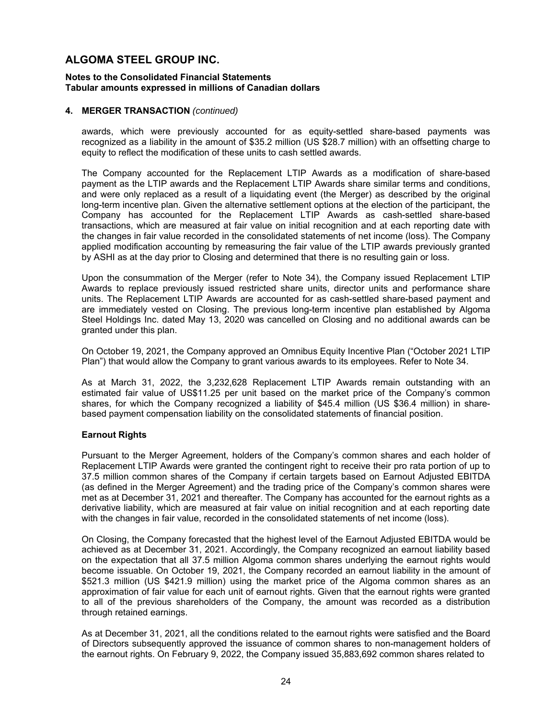#### **Notes to the Consolidated Financial Statements Tabular amounts expressed in millions of Canadian dollars**

### **4. MERGER TRANSACTION** *(continued)*

awards, which were previously accounted for as equity-settled share-based payments was recognized as a liability in the amount of \$35.2 million (US \$28.7 million) with an offsetting charge to equity to reflect the modification of these units to cash settled awards.

The Company accounted for the Replacement LTIP Awards as a modification of share-based payment as the LTIP awards and the Replacement LTIP Awards share similar terms and conditions, and were only replaced as a result of a liquidating event (the Merger) as described by the original long-term incentive plan. Given the alternative settlement options at the election of the participant, the Company has accounted for the Replacement LTIP Awards as cash-settled share-based transactions, which are measured at fair value on initial recognition and at each reporting date with the changes in fair value recorded in the consolidated statements of net income (loss). The Company applied modification accounting by remeasuring the fair value of the LTIP awards previously granted by ASHI as at the day prior to Closing and determined that there is no resulting gain or loss.

Upon the consummation of the Merger (refer to Note 34), the Company issued Replacement LTIP Awards to replace previously issued restricted share units, director units and performance share units. The Replacement LTIP Awards are accounted for as cash-settled share-based payment and are immediately vested on Closing. The previous long-term incentive plan established by Algoma Steel Holdings Inc. dated May 13, 2020 was cancelled on Closing and no additional awards can be granted under this plan.

On October 19, 2021, the Company approved an Omnibus Equity Incentive Plan ("October 2021 LTIP Plan") that would allow the Company to grant various awards to its employees. Refer to Note 34.

As at March 31, 2022, the 3,232,628 Replacement LTIP Awards remain outstanding with an estimated fair value of US\$11.25 per unit based on the market price of the Company's common shares, for which the Company recognized a liability of \$45.4 million (US \$36.4 million) in sharebased payment compensation liability on the consolidated statements of financial position.

## **Earnout Rights**

Pursuant to the Merger Agreement, holders of the Company's common shares and each holder of Replacement LTIP Awards were granted the contingent right to receive their pro rata portion of up to 37.5 million common shares of the Company if certain targets based on Earnout Adjusted EBITDA (as defined in the Merger Agreement) and the trading price of the Company's common shares were met as at December 31, 2021 and thereafter. The Company has accounted for the earnout rights as a derivative liability, which are measured at fair value on initial recognition and at each reporting date with the changes in fair value, recorded in the consolidated statements of net income (loss).

On Closing, the Company forecasted that the highest level of the Earnout Adjusted EBITDA would be achieved as at December 31, 2021. Accordingly, the Company recognized an earnout liability based on the expectation that all 37.5 million Algoma common shares underlying the earnout rights would become issuable. On October 19, 2021, the Company recorded an earnout liability in the amount of \$521.3 million (US \$421.9 million) using the market price of the Algoma common shares as an approximation of fair value for each unit of earnout rights. Given that the earnout rights were granted to all of the previous shareholders of the Company, the amount was recorded as a distribution through retained earnings.

As at December 31, 2021, all the conditions related to the earnout rights were satisfied and the Board of Directors subsequently approved the issuance of common shares to non-management holders of the earnout rights. On February 9, 2022, the Company issued 35,883,692 common shares related to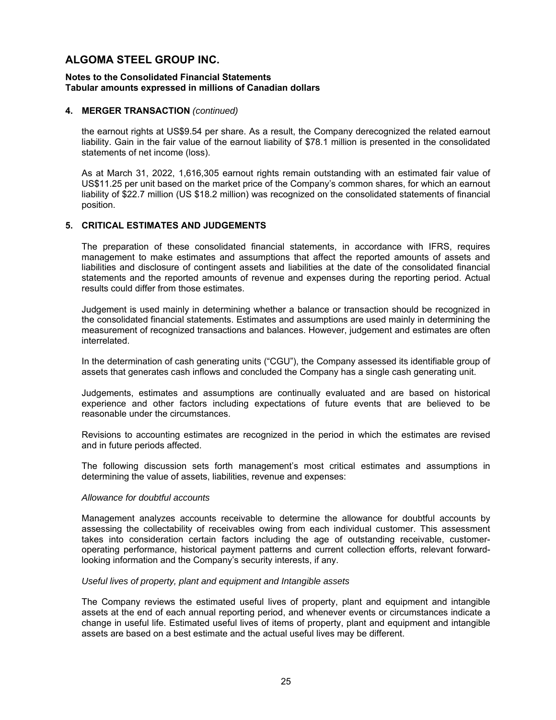#### **Notes to the Consolidated Financial Statements Tabular amounts expressed in millions of Canadian dollars**

#### **4. MERGER TRANSACTION** *(continued)*

the earnout rights at US\$9.54 per share. As a result, the Company derecognized the related earnout liability. Gain in the fair value of the earnout liability of \$78.1 million is presented in the consolidated statements of net income (loss).

As at March 31, 2022, 1,616,305 earnout rights remain outstanding with an estimated fair value of US\$11.25 per unit based on the market price of the Company's common shares, for which an earnout liability of \$22.7 million (US \$18.2 million) was recognized on the consolidated statements of financial position.

## **5. CRITICAL ESTIMATES AND JUDGEMENTS**

The preparation of these consolidated financial statements, in accordance with IFRS, requires management to make estimates and assumptions that affect the reported amounts of assets and liabilities and disclosure of contingent assets and liabilities at the date of the consolidated financial statements and the reported amounts of revenue and expenses during the reporting period. Actual results could differ from those estimates.

Judgement is used mainly in determining whether a balance or transaction should be recognized in the consolidated financial statements. Estimates and assumptions are used mainly in determining the measurement of recognized transactions and balances. However, judgement and estimates are often interrelated.

In the determination of cash generating units ("CGU"), the Company assessed its identifiable group of assets that generates cash inflows and concluded the Company has a single cash generating unit.

Judgements, estimates and assumptions are continually evaluated and are based on historical experience and other factors including expectations of future events that are believed to be reasonable under the circumstances.

Revisions to accounting estimates are recognized in the period in which the estimates are revised and in future periods affected.

The following discussion sets forth management's most critical estimates and assumptions in determining the value of assets, liabilities, revenue and expenses:

#### *Allowance for doubtful accounts*

Management analyzes accounts receivable to determine the allowance for doubtful accounts by assessing the collectability of receivables owing from each individual customer. This assessment takes into consideration certain factors including the age of outstanding receivable, customeroperating performance, historical payment patterns and current collection efforts, relevant forwardlooking information and the Company's security interests, if any.

#### *Useful lives of property, plant and equipment and Intangible assets*

The Company reviews the estimated useful lives of property, plant and equipment and intangible assets at the end of each annual reporting period, and whenever events or circumstances indicate a change in useful life. Estimated useful lives of items of property, plant and equipment and intangible assets are based on a best estimate and the actual useful lives may be different.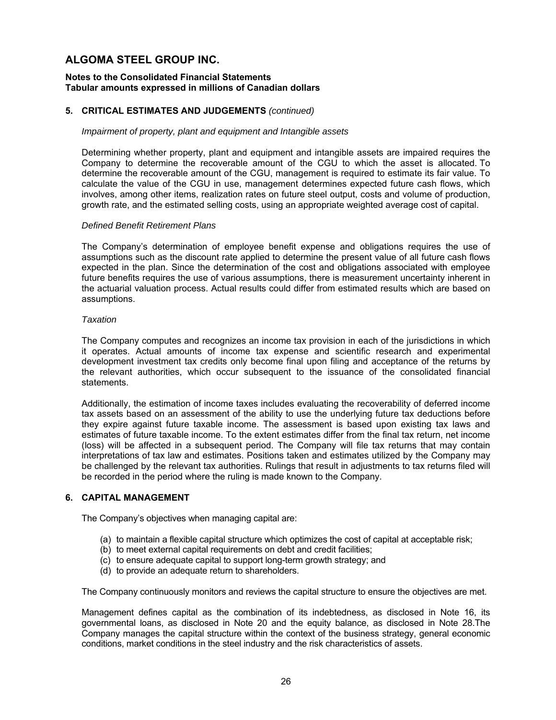#### **Notes to the Consolidated Financial Statements Tabular amounts expressed in millions of Canadian dollars**

### **5. CRITICAL ESTIMATES AND JUDGEMENTS** *(continued)*

## *Impairment of property, plant and equipment and Intangible assets*

Determining whether property, plant and equipment and intangible assets are impaired requires the Company to determine the recoverable amount of the CGU to which the asset is allocated. To determine the recoverable amount of the CGU, management is required to estimate its fair value. To calculate the value of the CGU in use, management determines expected future cash flows, which involves, among other items, realization rates on future steel output, costs and volume of production, growth rate, and the estimated selling costs, using an appropriate weighted average cost of capital.

#### *Defined Benefit Retirement Plans*

The Company's determination of employee benefit expense and obligations requires the use of assumptions such as the discount rate applied to determine the present value of all future cash flows expected in the plan. Since the determination of the cost and obligations associated with employee future benefits requires the use of various assumptions, there is measurement uncertainty inherent in the actuarial valuation process. Actual results could differ from estimated results which are based on assumptions.

#### *Taxation*

The Company computes and recognizes an income tax provision in each of the jurisdictions in which it operates. Actual amounts of income tax expense and scientific research and experimental development investment tax credits only become final upon filing and acceptance of the returns by the relevant authorities, which occur subsequent to the issuance of the consolidated financial statements.

Additionally, the estimation of income taxes includes evaluating the recoverability of deferred income tax assets based on an assessment of the ability to use the underlying future tax deductions before they expire against future taxable income. The assessment is based upon existing tax laws and estimates of future taxable income. To the extent estimates differ from the final tax return, net income (loss) will be affected in a subsequent period. The Company will file tax returns that may contain interpretations of tax law and estimates. Positions taken and estimates utilized by the Company may be challenged by the relevant tax authorities. Rulings that result in adjustments to tax returns filed will be recorded in the period where the ruling is made known to the Company.

#### **6. CAPITAL MANAGEMENT**

The Company's objectives when managing capital are:

- (a) to maintain a flexible capital structure which optimizes the cost of capital at acceptable risk;
- (b) to meet external capital requirements on debt and credit facilities;
- (c) to ensure adequate capital to support long-term growth strategy; and
- (d) to provide an adequate return to shareholders.

The Company continuously monitors and reviews the capital structure to ensure the objectives are met.

Management defines capital as the combination of its indebtedness, as disclosed in Note 16, its governmental loans, as disclosed in Note 20 and the equity balance, as disclosed in Note 28.The Company manages the capital structure within the context of the business strategy, general economic conditions, market conditions in the steel industry and the risk characteristics of assets.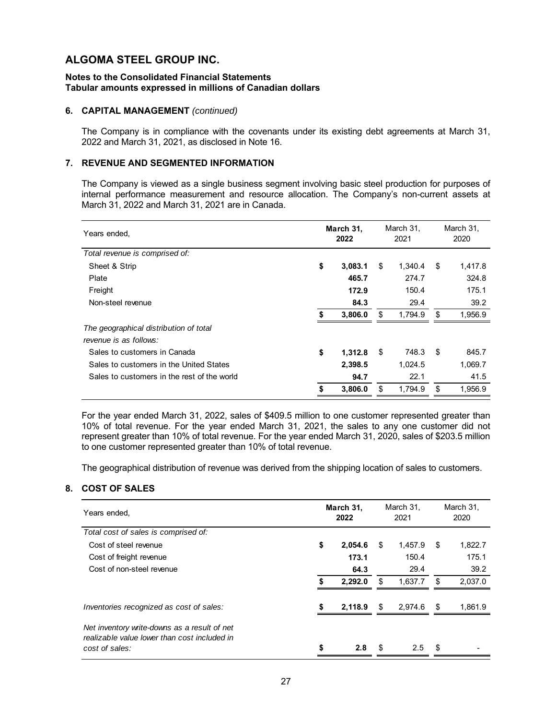#### **Notes to the Consolidated Financial Statements Tabular amounts expressed in millions of Canadian dollars**

### **6. CAPITAL MANAGEMENT** *(continued)*

The Company is in compliance with the covenants under its existing debt agreements at March 31, 2022 and March 31, 2021, as disclosed in Note 16.

## **7. REVENUE AND SEGMENTED INFORMATION**

The Company is viewed as a single business segment involving basic steel production for purposes of internal performance measurement and resource allocation. The Company's non-current assets at March 31, 2022 and March 31, 2021 are in Canada.

| Years ended,                                |    | March 31,<br>2022 |     | March 31,<br>2021 | March 31,<br>2020 |         |  |
|---------------------------------------------|----|-------------------|-----|-------------------|-------------------|---------|--|
| Total revenue is comprised of:              |    |                   |     |                   |                   |         |  |
| Sheet & Strip                               | \$ | 3,083.1           | \$  | 1,340.4           | S                 | 1,417.8 |  |
| Plate                                       |    | 465.7             |     | 274.7             |                   | 324.8   |  |
| Freight                                     |    | 172.9             |     | 150.4             |                   | 175.1   |  |
| Non-steel revenue                           |    | 84.3              |     | 29.4              |                   | 39.2    |  |
|                                             |    | 3,806.0           | \$  | 1,794.9           | \$                | 1,956.9 |  |
| The geographical distribution of total      |    |                   |     |                   |                   |         |  |
| revenue is as follows:                      |    |                   |     |                   |                   |         |  |
| Sales to customers in Canada                | \$ | 1,312.8           | -\$ | 748.3             | \$                | 845.7   |  |
| Sales to customers in the United States     |    | 2,398.5           |     | 1,024.5           |                   | 1,069.7 |  |
| Sales to customers in the rest of the world |    | 94.7              |     | 22.1              |                   | 41.5    |  |
|                                             |    | 3,806.0           | \$  | 1,794.9           | \$                | 1,956.9 |  |

For the year ended March 31, 2022, sales of \$409.5 million to one customer represented greater than 10% of total revenue. For the year ended March 31, 2021, the sales to any one customer did not represent greater than 10% of total revenue. For the year ended March 31, 2020, sales of \$203.5 million to one customer represented greater than 10% of total revenue.

The geographical distribution of revenue was derived from the shipping location of sales to customers.

## **8. COST OF SALES**

| Years ended,                                                                                                   | March 31,<br>2022 |    |         | March 31,<br>2020 |         |  |
|----------------------------------------------------------------------------------------------------------------|-------------------|----|---------|-------------------|---------|--|
| Total cost of sales is comprised of:                                                                           |                   |    |         |                   |         |  |
| Cost of steel revenue                                                                                          | \$<br>2,054.6     | \$ | 1,457.9 | S                 | 1,822.7 |  |
| Cost of freight revenue                                                                                        | 173.1             |    | 150.4   |                   | 175.1   |  |
| Cost of non-steel revenue                                                                                      | 64.3              |    | 29.4    |                   | 39.2    |  |
|                                                                                                                | 2,292.0           | \$ | 1,637.7 | \$                | 2,037.0 |  |
| Inventories recognized as cost of sales:                                                                       | $2,118.9$ \$      |    | 2.974.6 | \$                | 1,861.9 |  |
| Net inventory write-downs as a result of net<br>realizable value lower than cost included in<br>cost of sales: | \$<br>2.8         | \$ | 2.5     | \$                |         |  |
|                                                                                                                |                   |    |         |                   |         |  |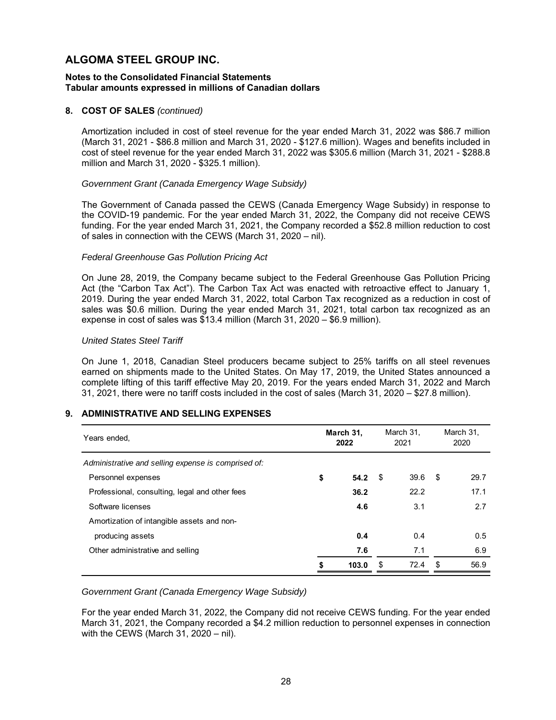#### **Notes to the Consolidated Financial Statements Tabular amounts expressed in millions of Canadian dollars**

### **8. COST OF SALES** *(continued)*

Amortization included in cost of steel revenue for the year ended March 31, 2022 was \$86.7 million (March 31, 2021 - \$86.8 million and March 31, 2020 - \$127.6 million). Wages and benefits included in cost of steel revenue for the year ended March 31, 2022 was \$305.6 million (March 31, 2021 - \$288.8 million and March 31, 2020 - \$325.1 million).

#### *Government Grant (Canada Emergency Wage Subsidy)*

The Government of Canada passed the CEWS (Canada Emergency Wage Subsidy) in response to the COVID-19 pandemic. For the year ended March 31, 2022, the Company did not receive CEWS funding. For the year ended March 31, 2021, the Company recorded a \$52.8 million reduction to cost of sales in connection with the CEWS (March 31, 2020 – nil).

## *Federal Greenhouse Gas Pollution Pricing Act*

On June 28, 2019, the Company became subject to the Federal Greenhouse Gas Pollution Pricing Act (the "Carbon Tax Act"). The Carbon Tax Act was enacted with retroactive effect to January 1, 2019. During the year ended March 31, 2022, total Carbon Tax recognized as a reduction in cost of sales was \$0.6 million. During the year ended March 31, 2021, total carbon tax recognized as an expense in cost of sales was \$13.4 million (March 31, 2020 – \$6.9 million).

#### *United States Steel Tariff*

On June 1, 2018, Canadian Steel producers became subject to 25% tariffs on all steel revenues earned on shipments made to the United States. On May 17, 2019, the United States announced a complete lifting of this tariff effective May 20, 2019. For the years ended March 31, 2022 and March 31, 2021, there were no tariff costs included in the cost of sales (March 31, 2020 – \$27.8 million).

## **9. ADMINISTRATIVE AND SELLING EXPENSES**

| Years ended.                                        | March 31,<br>2022 |       | March 31,<br>2021 |      |      | March 31,<br>2020 |
|-----------------------------------------------------|-------------------|-------|-------------------|------|------|-------------------|
| Administrative and selling expense is comprised of: |                   |       |                   |      |      |                   |
| Personnel expenses                                  | \$                | 54.2  | -S                | 39.6 | - \$ | 29.7              |
| Professional, consulting, legal and other fees      |                   | 36.2  |                   | 22.2 |      | 17.1              |
| Software licenses                                   |                   | 4.6   |                   | 3.1  |      | 2.7               |
| Amortization of intangible assets and non-          |                   |       |                   |      |      |                   |
| producing assets                                    |                   | 0.4   |                   | 0.4  |      | 0.5               |
| Other administrative and selling                    |                   | 7.6   |                   | 7.1  |      | 6.9               |
|                                                     |                   | 103.0 | -S                | 72.4 | S    | 56.9              |

*Government Grant (Canada Emergency Wage Subsidy)* 

For the year ended March 31, 2022, the Company did not receive CEWS funding. For the year ended March 31, 2021, the Company recorded a \$4.2 million reduction to personnel expenses in connection with the CEWS (March 31, 2020 – nil).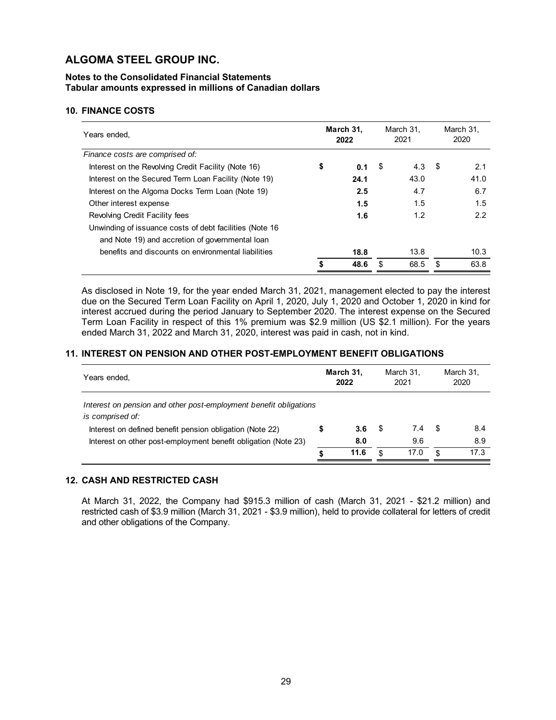#### **Notes to the Consolidated Financial Statements Tabular amounts expressed in millions of Canadian dollars**

## **10. FINANCE COSTS**

| Years ended.                                            | March 31,<br>2022 |     | March 31,<br>2021 | March 31.<br>2020 |      |  |
|---------------------------------------------------------|-------------------|-----|-------------------|-------------------|------|--|
| Finance costs are comprised of:                         |                   |     |                   |                   |      |  |
| Interest on the Revolving Credit Facility (Note 16)     | \$<br>0.1         | -\$ | 4.3               | - \$              | 2.1  |  |
| Interest on the Secured Term Loan Facility (Note 19)    | 24.1              |     | 43.0              |                   | 41.0 |  |
| Interest on the Algoma Docks Term Loan (Note 19)        | 2.5               |     | 4.7               |                   | 6.7  |  |
| Other interest expense                                  | 1.5               |     | 1.5               |                   | 1.5  |  |
| Revolving Credit Facility fees                          | 1.6               |     | 1.2               |                   | 2.2  |  |
| Unwinding of issuance costs of debt facilities (Note 16 |                   |     |                   |                   |      |  |
| and Note 19) and accretion of governmental loan         |                   |     |                   |                   |      |  |
| benefits and discounts on environmental liabilities     | 18.8              |     | 13.8              |                   | 10.3 |  |
|                                                         | 48.6              | £.  | 68.5              | \$.               | 63.8 |  |

As disclosed in Note 19, for the year ended March 31, 2021, management elected to pay the interest due on the Secured Term Loan Facility on April 1, 2020, July 1, 2020 and October 1, 2020 in kind for interest accrued during the period January to September 2020. The interest expense on the Secured Term Loan Facility in respect of this 1% premium was \$2.9 million (US \$2.1 million). For the years ended March 31, 2022 and March 31, 2020, interest was paid in cash, not in kind.

#### **11. INTEREST ON PENSION AND OTHER POST-EMPLOYMENT BENEFIT OBLIGATIONS**

| Years ended,                                                                                                                                                                                                        |  | March 31,<br>2022 |     | March 31,<br>2021 | March 31,<br>2020 |            |  |
|---------------------------------------------------------------------------------------------------------------------------------------------------------------------------------------------------------------------|--|-------------------|-----|-------------------|-------------------|------------|--|
| Interest on pension and other post-employment benefit obligations<br>is comprised of:<br>Interest on defined benefit pension obligation (Note 22)<br>Interest on other post-employment benefit obligation (Note 23) |  | 3.6<br>8.0        | \$. | 7.4<br>9.6        | \$.               | 8.4<br>8.9 |  |
|                                                                                                                                                                                                                     |  | 11.6              | \$  | 17.0              | \$.               | 17.3       |  |

## **12. CASH AND RESTRICTED CASH**

At March 31, 2022, the Company had \$915.3 million of cash (March 31, 2021 - \$21.2 million) and restricted cash of \$3.9 million (March 31, 2021 - \$3.9 million), held to provide collateral for letters of credit and other obligations of the Company.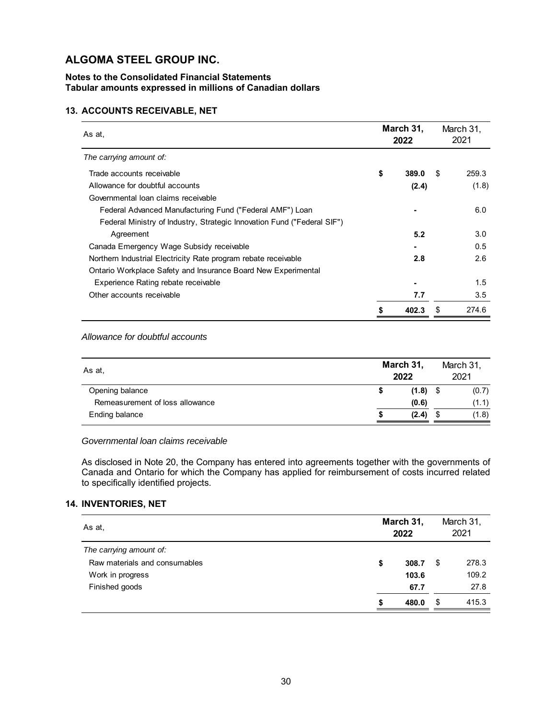### **Notes to the Consolidated Financial Statements Tabular amounts expressed in millions of Canadian dollars**

## **13. ACCOUNTS RECEIVABLE, NET**

| As at,                                                                  |    | March 31,<br>2022 |    | March 31,<br>2021 |
|-------------------------------------------------------------------------|----|-------------------|----|-------------------|
| The carrying amount of:                                                 |    |                   |    |                   |
| Trade accounts receivable                                               | \$ | 389.0             | -S | 259.3             |
| Allowance for doubtful accounts                                         |    | (2.4)             |    | (1.8)             |
| Governmental loan claims receivable                                     |    |                   |    |                   |
| Federal Advanced Manufacturing Fund ("Federal AMF") Loan                |    |                   |    | 6.0               |
| Federal Ministry of Industry, Strategic Innovation Fund ("Federal SIF") |    |                   |    |                   |
| Agreement                                                               |    | 5.2               |    | 3.0               |
| Canada Emergency Wage Subsidy receivable                                |    |                   |    | 0.5               |
| Northern Industrial Electricity Rate program rebate receivable          |    | 2.8               |    | 2.6               |
| Ontario Workplace Safety and Insurance Board New Experimental           |    |                   |    |                   |
| Experience Rating rebate receivable                                     |    |                   |    | 1.5               |
| Other accounts receivable                                               |    | 7.7               |    | 3.5               |
|                                                                         | \$ | 402.3             |    | 274.6             |

## *Allowance for doubtful accounts*

| As at,                          | March 31,<br>2022 |       |      |       |  |
|---------------------------------|-------------------|-------|------|-------|--|
| Opening balance                 | S                 | (1.8) | - \$ | (0.7) |  |
| Remeasurement of loss allowance |                   | (0.6) |      | (1.1) |  |
| Ending balance                  | S                 | (2.4) | \$.  | (1.8) |  |

## *Governmental loan claims receivable*

As disclosed in Note 20, the Company has entered into agreements together with the governments of Canada and Ontario for which the Company has applied for reimbursement of costs incurred related to specifically identified projects.

## **14. INVENTORIES, NET**

| As at,                        | March 31,<br>2022 | March 31,<br>2021 |   |       |  |
|-------------------------------|-------------------|-------------------|---|-------|--|
| The carrying amount of:       |                   |                   |   |       |  |
| Raw materials and consumables | \$                | 308.7             | S | 278.3 |  |
| Work in progress              |                   | 103.6             |   | 109.2 |  |
| Finished goods                |                   | 67.7              |   | 27.8  |  |
|                               | S                 | 480.0             | S | 415.3 |  |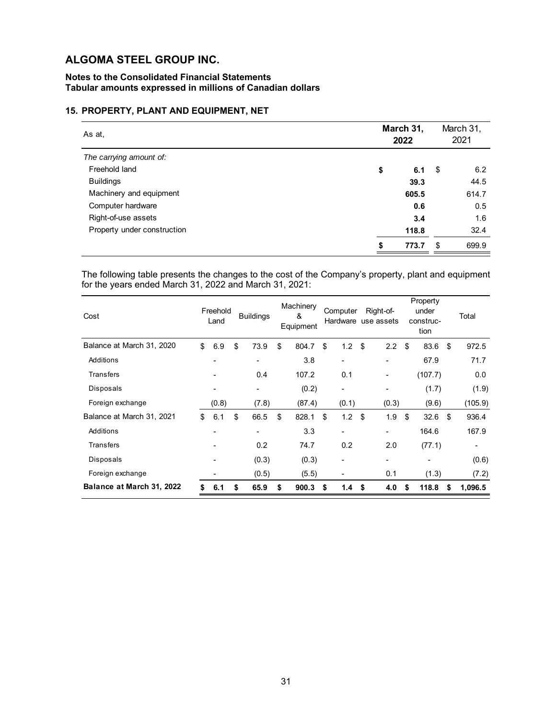**Notes to the Consolidated Financial Statements Tabular amounts expressed in millions of Canadian dollars** 

## **15. PROPERTY, PLANT AND EQUIPMENT, NET**

| As at,                      | March 31,<br>2022 |       |    |       |
|-----------------------------|-------------------|-------|----|-------|
| The carrying amount of:     |                   |       |    |       |
| Freehold land               | \$                | 6.1   | \$ | 6.2   |
| <b>Buildings</b>            |                   | 39.3  |    | 44.5  |
| Machinery and equipment     |                   | 605.5 |    | 614.7 |
| Computer hardware           |                   | 0.6   |    | 0.5   |
| Right-of-use assets         |                   | 3.4   |    | 1.6   |
| Property under construction |                   | 118.8 |    | 32.4  |
|                             | \$                | 773.7 | \$ | 699.9 |

The following table presents the changes to the cost of the Company's property, plant and equipment for the years ended March 31, 2022 and March 31, 2021:

| Cost                      |    | Freehold<br>Land         | <b>Buildings</b>         | Machinery<br>&<br>Equipment |    | Computer<br>Hardware use assets |      | Right-of-                |    | Property<br>under<br>construc-<br>tion |    | Total   |
|---------------------------|----|--------------------------|--------------------------|-----------------------------|----|---------------------------------|------|--------------------------|----|----------------------------------------|----|---------|
| Balance at March 31, 2020 | \$ | 6.9                      | \$<br>73.9               | \$<br>804.7                 | \$ | 1.2                             | \$   | 2.2                      | \$ | 83.6                                   | \$ | 972.5   |
| Additions                 |    | ٠                        | $\overline{\phantom{a}}$ | 3.8                         |    | $\overline{\phantom{a}}$        |      | $\overline{\phantom{a}}$ |    | 67.9                                   |    | 71.7    |
| Transfers                 |    |                          | 0.4                      | 107.2                       |    | 0.1                             |      | ٠                        |    | (107.7)                                |    | 0.0     |
| Disposals                 |    |                          | -                        | (0.2)                       |    | $\overline{\phantom{0}}$        |      |                          |    | (1.7)                                  |    | (1.9)   |
| Foreign exchange          |    | (0.8)                    | (7.8)                    | (87.4)                      |    | (0.1)                           |      | (0.3)                    |    | (9.6)                                  |    | (105.9) |
| Balance at March 31, 2021 | \$ | 6.1                      | \$<br>66.5               | \$<br>828.1                 | \$ | 1.2                             | - \$ | 1.9                      | \$ | 32.6                                   | \$ | 936.4   |
| Additions                 |    |                          | $\overline{\phantom{0}}$ | 3.3                         |    |                                 |      | $\overline{\phantom{0}}$ |    | 164.6                                  |    | 167.9   |
| <b>Transfers</b>          |    |                          | 0.2                      | 74.7                        |    | 0.2                             |      | 2.0                      |    | (77.1)                                 |    | ۰       |
| Disposals                 |    | $\overline{\phantom{a}}$ | (0.3)                    | (0.3)                       |    | ٠                               |      | ۰                        |    |                                        |    | (0.6)   |
| Foreign exchange          |    |                          | (0.5)                    | (5.5)                       |    |                                 |      | 0.1                      |    | (1.3)                                  |    | (7.2)   |
| Balance at March 31, 2022 | S  | 6.1                      | \$<br>65.9               | \$<br>900.3                 | S  | 1.4                             | \$   | 4.0                      | S  | 118.8                                  | S  | 1,096.5 |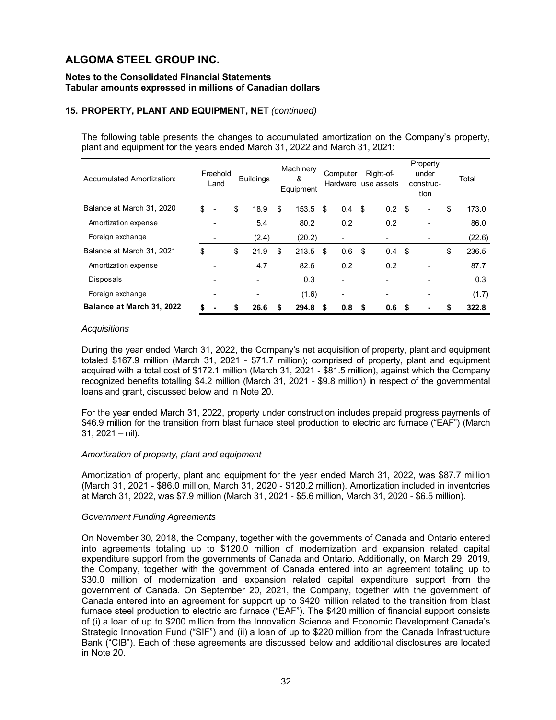#### **Notes to the Consolidated Financial Statements Tabular amounts expressed in millions of Canadian dollars**

## **15. PROPERTY, PLANT AND EQUIPMENT, NET** *(continued)*

The following table presents the changes to accumulated amortization on the Company's property, plant and equipment for the years ended March 31, 2022 and March 31, 2021:

| Accumulated Amortization: | Freehold<br>Land | <b>Buildings</b> | Machinery<br>&<br>Equipment |    | Computer<br>Hardware     | Right-of-<br>use assets  |      | Property<br>under<br>construc-<br>tion | Total       |
|---------------------------|------------------|------------------|-----------------------------|----|--------------------------|--------------------------|------|----------------------------------------|-------------|
| Balance at March 31, 2020 | \$               | \$<br>18.9       | \$<br>153.5                 | \$ | 0.4                      | -\$<br>0.2               | -\$  | ۰                                      | \$<br>173.0 |
| Amortization expense      |                  | 5.4              | 80.2                        |    | 0.2                      | 0.2                      |      | ۰                                      | 86.0        |
| Foreign exchange          | -                | (2.4)            | (20.2)                      |    | $\overline{\phantom{a}}$ | ۰                        |      | ۰                                      | (22.6)      |
| Balance at March 31, 2021 | \$               | \$<br>21.9       | \$<br>213.5                 | \$ | 0.6                      | \$<br>0.4                | \$   | ۰                                      | \$<br>236.5 |
| Amortization expense      |                  | 4.7              | 82.6                        |    | 0.2                      | 0.2                      |      | ۰                                      | 87.7        |
| Disposals                 | ۰                | ۰                | 0.3                         |    | $\overline{\phantom{0}}$ | $\overline{\phantom{0}}$ |      | $\overline{\phantom{a}}$               | 0.3         |
| Foreign exchange          |                  |                  | (1.6)                       |    | $\overline{\phantom{0}}$ |                          |      |                                        | (1.7)       |
| Balance at March 31, 2022 |                  | \$<br>26.6       | \$<br>294.8                 | S. | 0.8                      | 0.6<br>£.                | - \$ | $\blacksquare$                         | \$<br>322.8 |

#### *Acquisitions*

During the year ended March 31, 2022, the Company's net acquisition of property, plant and equipment totaled \$167.9 million (March 31, 2021 - \$71.7 million); comprised of property, plant and equipment acquired with a total cost of \$172.1 million (March 31, 2021 - \$81.5 million), against which the Company recognized benefits totalling \$4.2 million (March 31, 2021 - \$9.8 million) in respect of the governmental loans and grant, discussed below and in Note 20.

For the year ended March 31, 2022, property under construction includes prepaid progress payments of \$46.9 million for the transition from blast furnace steel production to electric arc furnace ("EAF") (March 31, 2021 – nil).

#### *Amortization of property, plant and equipment*

Amortization of property, plant and equipment for the year ended March 31, 2022, was \$87.7 million (March 31, 2021 - \$86.0 million, March 31, 2020 - \$120.2 million). Amortization included in inventories at March 31, 2022, was \$7.9 million (March 31, 2021 - \$5.6 million, March 31, 2020 - \$6.5 million).

#### *Government Funding Agreements*

On November 30, 2018, the Company, together with the governments of Canada and Ontario entered into agreements totaling up to \$120.0 million of modernization and expansion related capital expenditure support from the governments of Canada and Ontario. Additionally, on March 29, 2019, the Company, together with the government of Canada entered into an agreement totaling up to \$30.0 million of modernization and expansion related capital expenditure support from the government of Canada. On September 20, 2021, the Company, together with the government of Canada entered into an agreement for support up to \$420 million related to the transition from blast furnace steel production to electric arc furnace ("EAF"). The \$420 million of financial support consists of (i) a loan of up to \$200 million from the Innovation Science and Economic Development Canada's Strategic Innovation Fund ("SIF") and (ii) a loan of up to \$220 million from the Canada Infrastructure Bank ("CIB"). Each of these agreements are discussed below and additional disclosures are located in Note 20.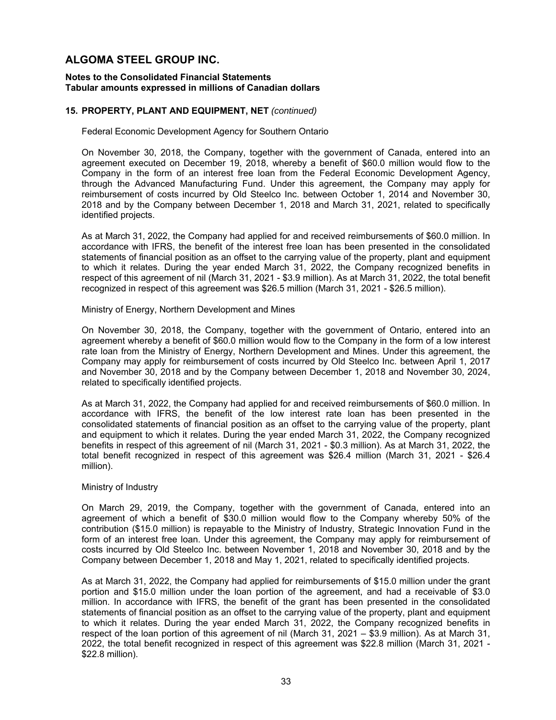#### **Notes to the Consolidated Financial Statements Tabular amounts expressed in millions of Canadian dollars**

## **15. PROPERTY, PLANT AND EQUIPMENT, NET** *(continued)*

Federal Economic Development Agency for Southern Ontario

On November 30, 2018, the Company, together with the government of Canada, entered into an agreement executed on December 19, 2018, whereby a benefit of \$60.0 million would flow to the Company in the form of an interest free loan from the Federal Economic Development Agency, through the Advanced Manufacturing Fund. Under this agreement, the Company may apply for reimbursement of costs incurred by Old Steelco Inc. between October 1, 2014 and November 30, 2018 and by the Company between December 1, 2018 and March 31, 2021, related to specifically identified projects.

As at March 31, 2022, the Company had applied for and received reimbursements of \$60.0 million. In accordance with IFRS, the benefit of the interest free loan has been presented in the consolidated statements of financial position as an offset to the carrying value of the property, plant and equipment to which it relates. During the year ended March 31, 2022, the Company recognized benefits in respect of this agreement of nil (March 31, 2021 - \$3.9 million). As at March 31, 2022, the total benefit recognized in respect of this agreement was \$26.5 million (March 31, 2021 - \$26.5 million).

Ministry of Energy, Northern Development and Mines

On November 30, 2018, the Company, together with the government of Ontario, entered into an agreement whereby a benefit of \$60.0 million would flow to the Company in the form of a low interest rate loan from the Ministry of Energy, Northern Development and Mines. Under this agreement, the Company may apply for reimbursement of costs incurred by Old Steelco Inc. between April 1, 2017 and November 30, 2018 and by the Company between December 1, 2018 and November 30, 2024, related to specifically identified projects.

As at March 31, 2022, the Company had applied for and received reimbursements of \$60.0 million. In accordance with IFRS, the benefit of the low interest rate loan has been presented in the consolidated statements of financial position as an offset to the carrying value of the property, plant and equipment to which it relates. During the year ended March 31, 2022, the Company recognized benefits in respect of this agreement of nil (March 31, 2021 - \$0.3 million). As at March 31, 2022, the total benefit recognized in respect of this agreement was \$26.4 million (March 31, 2021 - \$26.4 million).

#### Ministry of Industry

On March 29, 2019, the Company, together with the government of Canada, entered into an agreement of which a benefit of \$30.0 million would flow to the Company whereby 50% of the contribution (\$15.0 million) is repayable to the Ministry of Industry, Strategic Innovation Fund in the form of an interest free loan. Under this agreement, the Company may apply for reimbursement of costs incurred by Old Steelco Inc. between November 1, 2018 and November 30, 2018 and by the Company between December 1, 2018 and May 1, 2021, related to specifically identified projects.

As at March 31, 2022, the Company had applied for reimbursements of \$15.0 million under the grant portion and \$15.0 million under the loan portion of the agreement, and had a receivable of \$3.0 million. In accordance with IFRS, the benefit of the grant has been presented in the consolidated statements of financial position as an offset to the carrying value of the property, plant and equipment to which it relates. During the year ended March 31, 2022, the Company recognized benefits in respect of the loan portion of this agreement of nil (March 31, 2021 – \$3.9 million). As at March 31, 2022, the total benefit recognized in respect of this agreement was \$22.8 million (March 31, 2021 - \$22.8 million).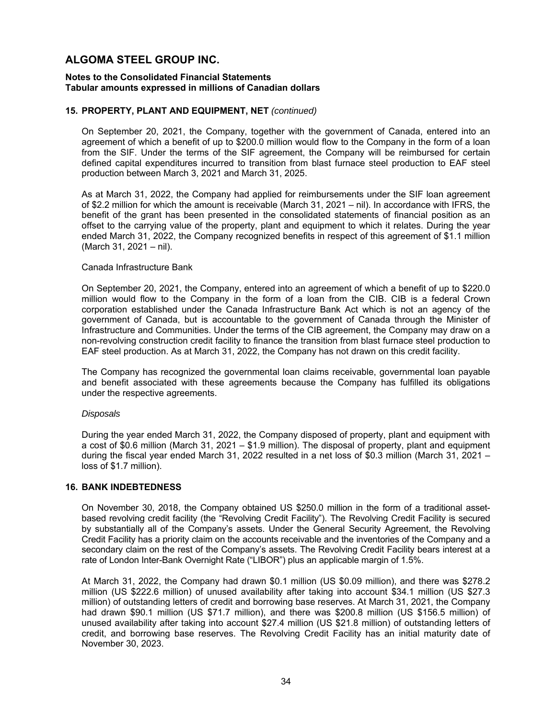#### **Notes to the Consolidated Financial Statements Tabular amounts expressed in millions of Canadian dollars**

## **15. PROPERTY, PLANT AND EQUIPMENT, NET** *(continued)*

On September 20, 2021, the Company, together with the government of Canada, entered into an agreement of which a benefit of up to \$200.0 million would flow to the Company in the form of a loan from the SIF. Under the terms of the SIF agreement, the Company will be reimbursed for certain defined capital expenditures incurred to transition from blast furnace steel production to EAF steel production between March 3, 2021 and March 31, 2025.

As at March 31, 2022, the Company had applied for reimbursements under the SIF loan agreement of \$2.2 million for which the amount is receivable (March 31, 2021 – nil). In accordance with IFRS, the benefit of the grant has been presented in the consolidated statements of financial position as an offset to the carrying value of the property, plant and equipment to which it relates. During the year ended March 31, 2022, the Company recognized benefits in respect of this agreement of \$1.1 million (March 31, 2021 – nil).

#### Canada Infrastructure Bank

On September 20, 2021, the Company, entered into an agreement of which a benefit of up to \$220.0 million would flow to the Company in the form of a loan from the CIB. CIB is a federal Crown corporation established under the Canada Infrastructure Bank Act which is not an agency of the government of Canada, but is accountable to the government of Canada through the Minister of Infrastructure and Communities. Under the terms of the CIB agreement, the Company may draw on a non-revolving construction credit facility to finance the transition from blast furnace steel production to EAF steel production. As at March 31, 2022, the Company has not drawn on this credit facility.

The Company has recognized the governmental loan claims receivable, governmental loan payable and benefit associated with these agreements because the Company has fulfilled its obligations under the respective agreements.

#### *Disposals*

During the year ended March 31, 2022, the Company disposed of property, plant and equipment with a cost of \$0.6 million (March 31, 2021 – \$1.9 million). The disposal of property, plant and equipment during the fiscal year ended March 31, 2022 resulted in a net loss of \$0.3 million (March 31, 2021 – loss of \$1.7 million).

#### **16. BANK INDEBTEDNESS**

On November 30, 2018, the Company obtained US \$250.0 million in the form of a traditional assetbased revolving credit facility (the "Revolving Credit Facility"). The Revolving Credit Facility is secured by substantially all of the Company's assets. Under the General Security Agreement, the Revolving Credit Facility has a priority claim on the accounts receivable and the inventories of the Company and a secondary claim on the rest of the Company's assets. The Revolving Credit Facility bears interest at a rate of London Inter-Bank Overnight Rate ("LIBOR") plus an applicable margin of 1.5%.

At March 31, 2022, the Company had drawn \$0.1 million (US \$0.09 million), and there was \$278.2 million (US \$222.6 million) of unused availability after taking into account \$34.1 million (US \$27.3 million) of outstanding letters of credit and borrowing base reserves. At March 31, 2021, the Company had drawn \$90.1 million (US \$71.7 million), and there was \$200.8 million (US \$156.5 million) of unused availability after taking into account \$27.4 million (US \$21.8 million) of outstanding letters of credit, and borrowing base reserves. The Revolving Credit Facility has an initial maturity date of November 30, 2023.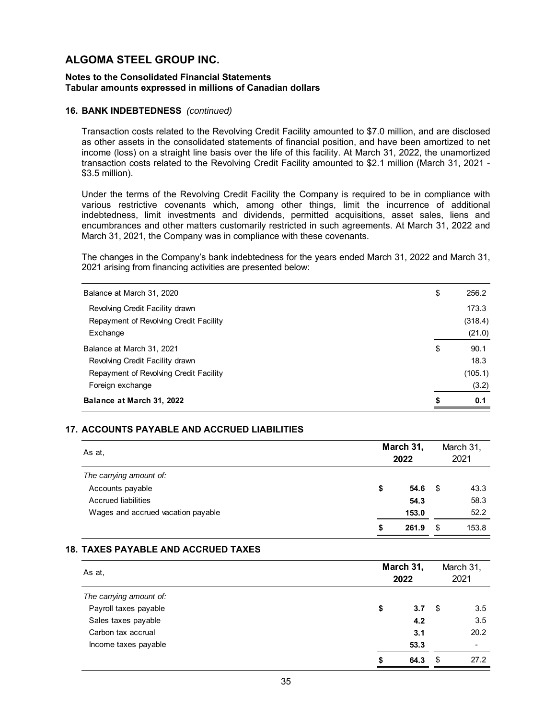#### **Notes to the Consolidated Financial Statements Tabular amounts expressed in millions of Canadian dollars**

### **16. BANK INDEBTEDNESS** *(continued)*

Transaction costs related to the Revolving Credit Facility amounted to \$7.0 million, and are disclosed as other assets in the consolidated statements of financial position, and have been amortized to net income (loss) on a straight line basis over the life of this facility. At March 31, 2022, the unamortized transaction costs related to the Revolving Credit Facility amounted to \$2.1 million (March 31, 2021 - \$3.5 million).

Under the terms of the Revolving Credit Facility the Company is required to be in compliance with various restrictive covenants which, among other things, limit the incurrence of additional indebtedness, limit investments and dividends, permitted acquisitions, asset sales, liens and encumbrances and other matters customarily restricted in such agreements. At March 31, 2022 and March 31, 2021, the Company was in compliance with these covenants.

The changes in the Company's bank indebtedness for the years ended March 31, 2022 and March 31, 2021 arising from financing activities are presented below:

| Balance at March 31, 2020              | \$<br>256.2 |
|----------------------------------------|-------------|
| Revolving Credit Facility drawn        | 173.3       |
| Repayment of Revolving Credit Facility | (318.4)     |
| Exchange                               | (21.0)      |
| Balance at March 31, 2021              | \$<br>90.1  |
| Revolving Credit Facility drawn        | 18.3        |
| Repayment of Revolving Credit Facility | (105.1)     |
| Foreign exchange                       | (3.2)       |
| Balance at March 31, 2022              | 0.1         |

#### **17. ACCOUNTS PAYABLE AND ACCRUED LIABILITIES**

| As at,                             |    | March 31,<br>2022 |    |       |  |
|------------------------------------|----|-------------------|----|-------|--|
| The carrying amount of:            |    |                   |    |       |  |
| Accounts payable                   | \$ | 54.6              | \$ | 43.3  |  |
| <b>Accrued liabilities</b>         |    | 54.3              |    | 58.3  |  |
| Wages and accrued vacation payable |    | 153.0             |    | 52.2  |  |
|                                    | S  | 261.9             |    | 153.8 |  |

#### **18. TAXES PAYABLE AND ACCRUED TAXES**

| As at,                  | March 31,<br>2022 |     | March 31,<br>2021 |      |  |  |
|-------------------------|-------------------|-----|-------------------|------|--|--|
| The carrying amount of: |                   |     |                   |      |  |  |
| Payroll taxes payable   | \$                | 3.7 | S                 | 3.5  |  |  |
| Sales taxes payable     |                   | 4.2 |                   | 3.5  |  |  |
| Carbon tax accrual      |                   | 3.1 |                   | 20.2 |  |  |
| Income taxes payable    | 53.3              |     |                   | ٠    |  |  |
|                         | 64.3<br>\$        |     | S                 | 27.2 |  |  |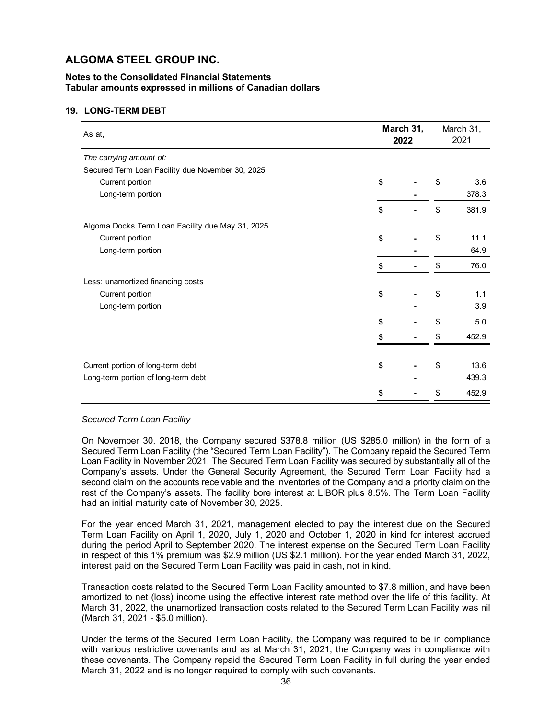# **Notes to the Consolidated Financial Statements Tabular amounts expressed in millions of Canadian dollars**

# **19. LONG-TERM DEBT**

| As at,                                           | March 31,<br>2022 |  | March 31,<br>2021 |       |
|--------------------------------------------------|-------------------|--|-------------------|-------|
| The carrying amount of:                          |                   |  |                   |       |
| Secured Term Loan Facility due November 30, 2025 |                   |  |                   |       |
| Current portion                                  | \$                |  | \$                | 3.6   |
| Long-term portion                                |                   |  |                   | 378.3 |
|                                                  |                   |  | \$                | 381.9 |
| Algoma Docks Term Loan Facility due May 31, 2025 |                   |  |                   |       |
| Current portion                                  | \$                |  | \$                | 11.1  |
| Long-term portion                                |                   |  |                   | 64.9  |
|                                                  | \$                |  | \$                | 76.0  |
| Less: unamortized financing costs                |                   |  |                   |       |
| Current portion                                  | \$                |  | \$                | 1.1   |
| Long-term portion                                |                   |  |                   | 3.9   |
|                                                  |                   |  | \$                | 5.0   |
|                                                  |                   |  |                   | 452.9 |
|                                                  |                   |  |                   |       |
| Current portion of long-term debt                | \$                |  | \$                | 13.6  |
| Long-term portion of long-term debt              |                   |  |                   | 439.3 |
|                                                  | S                 |  | \$                | 452.9 |

## *Secured Term Loan Facility*

On November 30, 2018, the Company secured \$378.8 million (US \$285.0 million) in the form of a Secured Term Loan Facility (the "Secured Term Loan Facility"). The Company repaid the Secured Term Loan Facility in November 2021. The Secured Term Loan Facility was secured by substantially all of the Company's assets. Under the General Security Agreement, the Secured Term Loan Facility had a second claim on the accounts receivable and the inventories of the Company and a priority claim on the rest of the Company's assets. The facility bore interest at LIBOR plus 8.5%. The Term Loan Facility had an initial maturity date of November 30, 2025.

For the year ended March 31, 2021, management elected to pay the interest due on the Secured Term Loan Facility on April 1, 2020, July 1, 2020 and October 1, 2020 in kind for interest accrued during the period April to September 2020. The interest expense on the Secured Term Loan Facility in respect of this 1% premium was \$2.9 million (US \$2.1 million). For the year ended March 31, 2022, interest paid on the Secured Term Loan Facility was paid in cash, not in kind.

Transaction costs related to the Secured Term Loan Facility amounted to \$7.8 million, and have been amortized to net (loss) income using the effective interest rate method over the life of this facility. At March 31, 2022, the unamortized transaction costs related to the Secured Term Loan Facility was nil (March 31, 2021 - \$5.0 million).

Under the terms of the Secured Term Loan Facility, the Company was required to be in compliance with various restrictive covenants and as at March 31, 2021, the Company was in compliance with these covenants. The Company repaid the Secured Term Loan Facility in full during the year ended March 31, 2022 and is no longer required to comply with such covenants.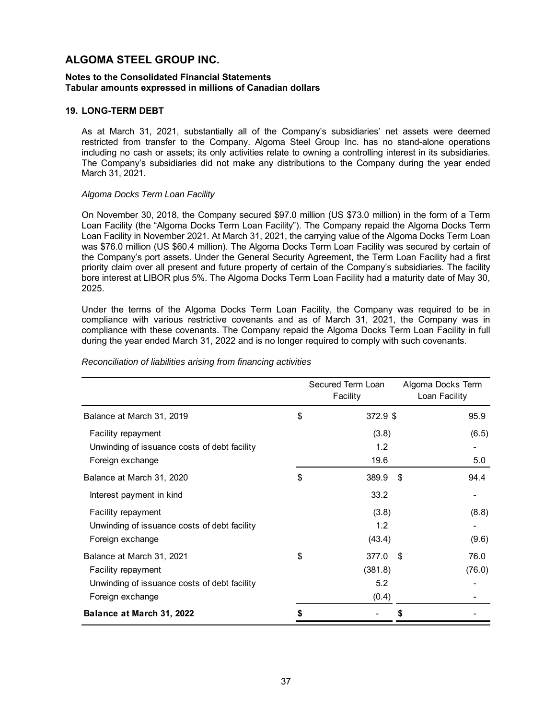#### **Notes to the Consolidated Financial Statements Tabular amounts expressed in millions of Canadian dollars**

#### **19. LONG-TERM DEBT**

As at March 31, 2021, substantially all of the Company's subsidiaries' net assets were deemed restricted from transfer to the Company. Algoma Steel Group Inc. has no stand-alone operations including no cash or assets; its only activities relate to owning a controlling interest in its subsidiaries. The Company's subsidiaries did not make any distributions to the Company during the year ended March 31, 2021.

#### *Algoma Docks Term Loan Facility*

On November 30, 2018, the Company secured \$97.0 million (US \$73.0 million) in the form of a Term Loan Facility (the "Algoma Docks Term Loan Facility"). The Company repaid the Algoma Docks Term Loan Facility in November 2021. At March 31, 2021, the carrying value of the Algoma Docks Term Loan was \$76.0 million (US \$60.4 million). The Algoma Docks Term Loan Facility was secured by certain of the Company's port assets. Under the General Security Agreement, the Term Loan Facility had a first priority claim over all present and future property of certain of the Company's subsidiaries. The facility bore interest at LIBOR plus 5%. The Algoma Docks Term Loan Facility had a maturity date of May 30, 2025.

Under the terms of the Algoma Docks Term Loan Facility, the Company was required to be in compliance with various restrictive covenants and as of March 31, 2021, the Company was in compliance with these covenants. The Company repaid the Algoma Docks Term Loan Facility in full during the year ended March 31, 2022 and is no longer required to comply with such covenants.

|                                              | Secured Term Loan<br>Facility | Algoma Docks Term<br>Loan Facility |
|----------------------------------------------|-------------------------------|------------------------------------|
| Balance at March 31, 2019                    | \$<br>372.9 \$                | 95.9                               |
| Facility repayment                           | (3.8)                         | (6.5)                              |
| Unwinding of issuance costs of debt facility | 1.2                           |                                    |
| Foreign exchange                             | 19.6                          | 5.0                                |
| Balance at March 31, 2020                    | \$<br>389.9                   | \$<br>94.4                         |
| Interest payment in kind                     | 33.2                          |                                    |
| Facility repayment                           | (3.8)                         | (8.8)                              |
| Unwinding of issuance costs of debt facility | 1.2                           |                                    |
| Foreign exchange                             | (43.4)                        | (9.6)                              |
| Balance at March 31, 2021                    | \$<br>377.0                   | \$<br>76.0                         |
| Facility repayment                           | (381.8)                       | (76.0)                             |
| Unwinding of issuance costs of debt facility | 5.2                           |                                    |
| Foreign exchange                             | (0.4)                         |                                    |
| Balance at March 31, 2022                    |                               |                                    |

#### *Reconciliation of liabilities arising from financing activities*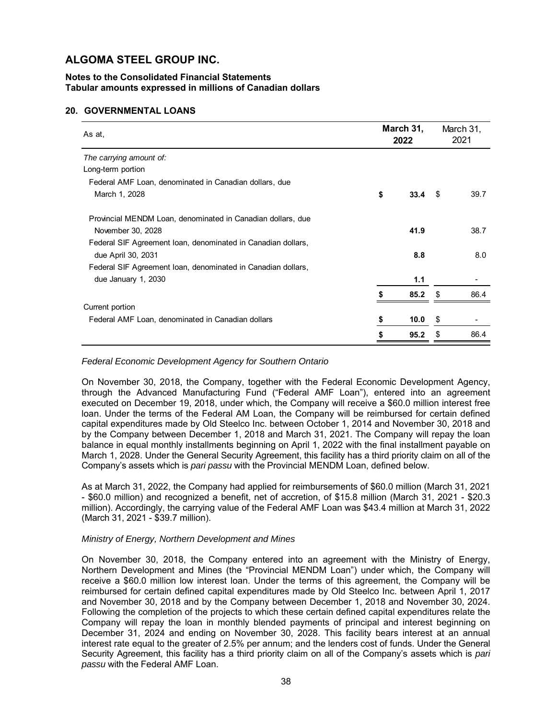## **Notes to the Consolidated Financial Statements Tabular amounts expressed in millions of Canadian dollars**

# **20. GOVERNMENTAL LOANS**

| As at,                                                       | March 31,<br>2022 |      | March 31,<br>2021 |      |
|--------------------------------------------------------------|-------------------|------|-------------------|------|
| The carrying amount of:                                      |                   |      |                   |      |
| Long-term portion                                            |                   |      |                   |      |
| Federal AMF Loan, denominated in Canadian dollars, due       |                   |      |                   |      |
| March 1, 2028                                                | \$                | 33.4 | S                 | 39.7 |
| Provincial MENDM Loan, denominated in Canadian dollars, due  |                   |      |                   |      |
| November 30, 2028                                            |                   | 41.9 |                   | 38.7 |
| Federal SIF Agreement Ioan, denominated in Canadian dollars, |                   |      |                   |      |
| due April 30, 2031                                           |                   | 8.8  |                   | 8.0  |
| Federal SIF Agreement Ioan, denominated in Canadian dollars, |                   |      |                   |      |
| due January 1, 2030                                          |                   | 1.1  |                   |      |
|                                                              |                   | 85.2 | S                 | 86.4 |
| Current portion                                              |                   |      |                   |      |
| Federal AMF Loan, denominated in Canadian dollars            | \$                | 10.0 | \$                |      |
|                                                              |                   | 95.2 | S                 | 86.4 |

# *Federal Economic Development Agency for Southern Ontario*

On November 30, 2018, the Company, together with the Federal Economic Development Agency, through the Advanced Manufacturing Fund ("Federal AMF Loan"), entered into an agreement executed on December 19, 2018, under which, the Company will receive a \$60.0 million interest free loan. Under the terms of the Federal AM Loan, the Company will be reimbursed for certain defined capital expenditures made by Old Steelco Inc. between October 1, 2014 and November 30, 2018 and by the Company between December 1, 2018 and March 31, 2021. The Company will repay the loan balance in equal monthly installments beginning on April 1, 2022 with the final installment payable on March 1, 2028. Under the General Security Agreement, this facility has a third priority claim on all of the Company's assets which is *pari passu* with the Provincial MENDM Loan, defined below.

As at March 31, 2022, the Company had applied for reimbursements of \$60.0 million (March 31, 2021 - \$60.0 million) and recognized a benefit, net of accretion, of \$15.8 million (March 31, 2021 - \$20.3 million). Accordingly, the carrying value of the Federal AMF Loan was \$43.4 million at March 31, 2022 (March 31, 2021 - \$39.7 million).

# *Ministry of Energy, Northern Development and Mines*

On November 30, 2018, the Company entered into an agreement with the Ministry of Energy, Northern Development and Mines (the "Provincial MENDM Loan") under which, the Company will receive a \$60.0 million low interest loan. Under the terms of this agreement, the Company will be reimbursed for certain defined capital expenditures made by Old Steelco Inc. between April 1, 2017 and November 30, 2018 and by the Company between December 1, 2018 and November 30, 2024. Following the completion of the projects to which these certain defined capital expenditures relate the Company will repay the loan in monthly blended payments of principal and interest beginning on December 31, 2024 and ending on November 30, 2028. This facility bears interest at an annual interest rate equal to the greater of 2.5% per annum; and the lenders cost of funds. Under the General Security Agreement, this facility has a third priority claim on all of the Company's assets which is *pari passu* with the Federal AMF Loan.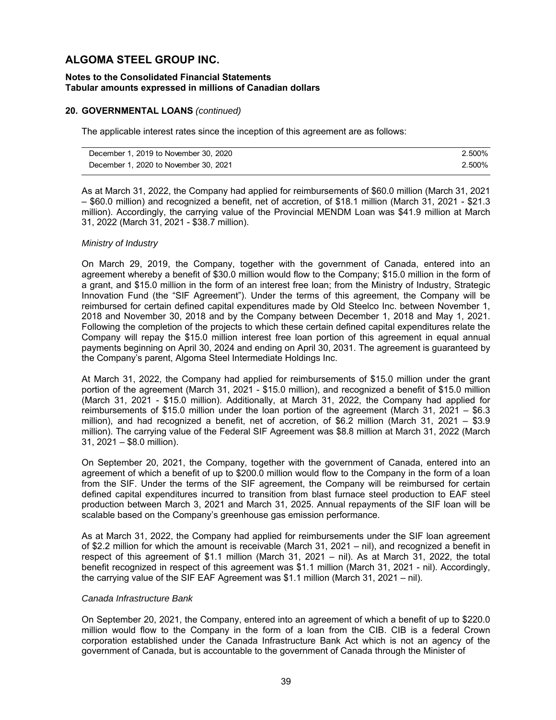#### **Notes to the Consolidated Financial Statements Tabular amounts expressed in millions of Canadian dollars**

# **20. GOVERNMENTAL LOANS** *(continued)*

The applicable interest rates since the inception of this agreement are as follows:

| December 1, 2019 to November 30, 2020 | 2.500% |
|---------------------------------------|--------|
| December 1, 2020 to November 30, 2021 | 2.500% |

As at March 31, 2022, the Company had applied for reimbursements of \$60.0 million (March 31, 2021 – \$60.0 million) and recognized a benefit, net of accretion, of \$18.1 million (March 31, 2021 - \$21.3 million). Accordingly, the carrying value of the Provincial MENDM Loan was \$41.9 million at March 31, 2022 (March 31, 2021 - \$38.7 million).

## *Ministry of Industry*

On March 29, 2019, the Company, together with the government of Canada, entered into an agreement whereby a benefit of \$30.0 million would flow to the Company; \$15.0 million in the form of a grant, and \$15.0 million in the form of an interest free loan; from the Ministry of Industry, Strategic Innovation Fund (the "SIF Agreement"). Under the terms of this agreement, the Company will be reimbursed for certain defined capital expenditures made by Old Steelco Inc. between November 1, 2018 and November 30, 2018 and by the Company between December 1, 2018 and May 1, 2021. Following the completion of the projects to which these certain defined capital expenditures relate the Company will repay the \$15.0 million interest free loan portion of this agreement in equal annual payments beginning on April 30, 2024 and ending on April 30, 2031. The agreement is guaranteed by the Company's parent, Algoma Steel Intermediate Holdings Inc.

At March 31, 2022, the Company had applied for reimbursements of \$15.0 million under the grant portion of the agreement (March 31, 2021 - \$15.0 million), and recognized a benefit of \$15.0 million (March 31, 2021 - \$15.0 million). Additionally, at March 31, 2022, the Company had applied for reimbursements of \$15.0 million under the loan portion of the agreement (March 31, 2021 – \$6.3 million), and had recognized a benefit, net of accretion, of \$6.2 million (March 31, 2021 – \$3.9 million). The carrying value of the Federal SIF Agreement was \$8.8 million at March 31, 2022 (March 31, 2021 – \$8.0 million).

On September 20, 2021, the Company, together with the government of Canada, entered into an agreement of which a benefit of up to \$200.0 million would flow to the Company in the form of a loan from the SIF. Under the terms of the SIF agreement, the Company will be reimbursed for certain defined capital expenditures incurred to transition from blast furnace steel production to EAF steel production between March 3, 2021 and March 31, 2025. Annual repayments of the SIF loan will be scalable based on the Company's greenhouse gas emission performance.

As at March 31, 2022, the Company had applied for reimbursements under the SIF loan agreement of \$2.2 million for which the amount is receivable (March 31, 2021 – nil), and recognized a benefit in respect of this agreement of \$1.1 million (March 31, 2021 – nil). As at March 31, 2022, the total benefit recognized in respect of this agreement was \$1.1 million (March 31, 2021 - nil). Accordingly, the carrying value of the SIF EAF Agreement was \$1.1 million (March 31, 2021 – nil).

## *Canada Infrastructure Bank*

On September 20, 2021, the Company, entered into an agreement of which a benefit of up to \$220.0 million would flow to the Company in the form of a loan from the CIB. CIB is a federal Crown corporation established under the Canada Infrastructure Bank Act which is not an agency of the government of Canada, but is accountable to the government of Canada through the Minister of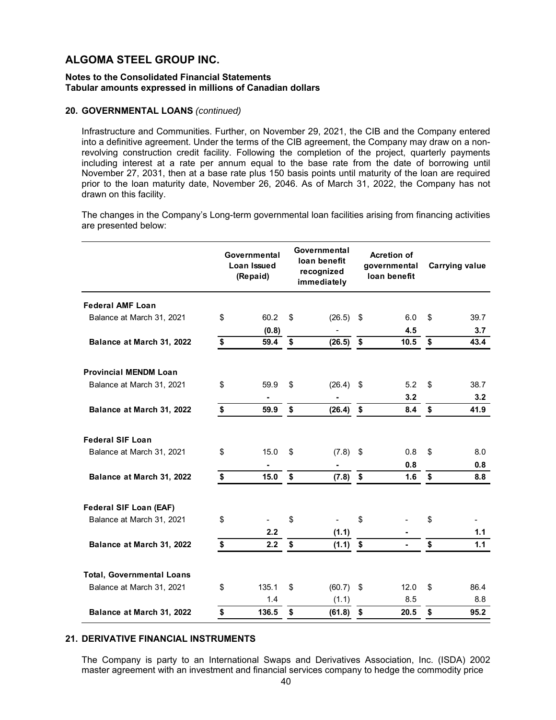#### **Notes to the Consolidated Financial Statements Tabular amounts expressed in millions of Canadian dollars**

# **20. GOVERNMENTAL LOANS** *(continued)*

Infrastructure and Communities. Further, on November 29, 2021, the CIB and the Company entered into a definitive agreement. Under the terms of the CIB agreement, the Company may draw on a nonrevolving construction credit facility. Following the completion of the project, quarterly payments including interest at a rate per annum equal to the base rate from the date of borrowing until November 27, 2031, then at a base rate plus 150 basis points until maturity of the loan are required prior to the loan maturity date, November 26, 2046. As of March 31, 2022, the Company has not drawn on this facility.

The changes in the Company's Long-term governmental loan facilities arising from financing activities are presented below:

|                                  | Governmental<br>Loan Issued<br>(Repaid) |    | Governmental<br>loan benefit<br>recognized<br>immediately |    | <b>Acretion of</b><br>governmental<br>loan benefit |    | <b>Carrying value</b> |
|----------------------------------|-----------------------------------------|----|-----------------------------------------------------------|----|----------------------------------------------------|----|-----------------------|
| <b>Federal AMF Loan</b>          |                                         |    |                                                           |    |                                                    |    |                       |
| Balance at March 31, 2021        | \$<br>60.2                              | \$ | (26.5)                                                    | \$ | 6.0                                                | \$ | 39.7                  |
|                                  | (0.8)                                   |    |                                                           |    | 4.5                                                |    | 3.7                   |
| Balance at March 31, 2022        | \$<br>59.4                              | \$ | (26.5)                                                    | \$ | 10.5                                               | \$ | 43.4                  |
| <b>Provincial MENDM Loan</b>     |                                         |    |                                                           |    |                                                    |    |                       |
| Balance at March 31, 2021        | \$<br>59.9                              | \$ | (26.4)                                                    | \$ | 5.2                                                | \$ | 38.7                  |
|                                  |                                         |    |                                                           |    | 3.2                                                |    | 3.2                   |
| Balance at March 31, 2022        | \$<br>59.9                              | \$ | (26.4)                                                    | \$ | 8.4                                                | \$ | 41.9                  |
| <b>Federal SIF Loan</b>          |                                         |    |                                                           |    |                                                    |    |                       |
| Balance at March 31, 2021        | \$<br>15.0                              | \$ | (7.8)                                                     | \$ | 0.8                                                | \$ | 8.0                   |
|                                  |                                         |    |                                                           |    | 0.8                                                |    | 0.8                   |
| Balance at March 31, 2022        | \$<br>15.0                              | \$ | $(7.8)$ \$                                                |    | 1.6                                                | \$ | 8.8                   |
| <b>Federal SIF Loan (EAF)</b>    |                                         |    |                                                           |    |                                                    |    |                       |
| Balance at March 31, 2021        | \$                                      | \$ |                                                           | \$ |                                                    | \$ |                       |
|                                  | 2.2                                     |    | (1.1)                                                     |    |                                                    |    | 1.1                   |
| Balance at March 31, 2022        | \$<br>2.2                               | \$ | (1.1)                                                     | \$ |                                                    | \$ | 1.1                   |
| <b>Total, Governmental Loans</b> |                                         |    |                                                           |    |                                                    |    |                       |
| Balance at March 31, 2021        | \$<br>135.1                             | \$ | (60.7)                                                    | \$ | 12.0                                               | \$ | 86.4                  |
|                                  | 1.4                                     |    | (1.1)                                                     |    | 8.5                                                |    | 8.8                   |
| Balance at March 31, 2022        | \$<br>136.5                             | \$ | (61.8)                                                    | \$ | 20.5                                               | \$ | 95.2                  |

## **21. DERIVATIVE FINANCIAL INSTRUMENTS**

The Company is party to an International Swaps and Derivatives Association, Inc. (ISDA) 2002 master agreement with an investment and financial services company to hedge the commodity price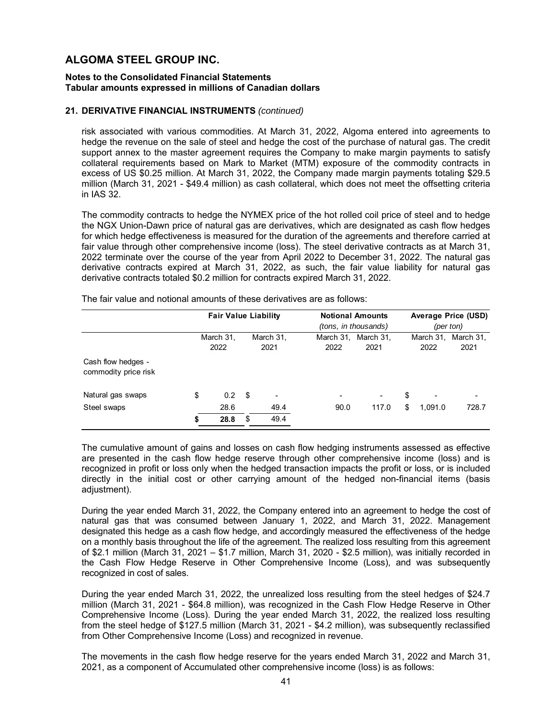#### **Notes to the Consolidated Financial Statements Tabular amounts expressed in millions of Canadian dollars**

# **21. DERIVATIVE FINANCIAL INSTRUMENTS** *(continued)*

risk associated with various commodities. At March 31, 2022, Algoma entered into agreements to hedge the revenue on the sale of steel and hedge the cost of the purchase of natural gas. The credit support annex to the master agreement requires the Company to make margin payments to satisfy collateral requirements based on Mark to Market (MTM) exposure of the commodity contracts in excess of US \$0.25 million. At March 31, 2022, the Company made margin payments totaling \$29.5 million (March 31, 2021 - \$49.4 million) as cash collateral, which does not meet the offsetting criteria in IAS 32.

The commodity contracts to hedge the NYMEX price of the hot rolled coil price of steel and to hedge the NGX Union-Dawn price of natural gas are derivatives, which are designated as cash flow hedges for which hedge effectiveness is measured for the duration of the agreements and therefore carried at fair value through other comprehensive income (loss). The steel derivative contracts as at March 31, 2022 terminate over the course of the year from April 2022 to December 31, 2022. The natural gas derivative contracts expired at March 31, 2022, as such, the fair value liability for natural gas derivative contracts totaled \$0.2 million for contracts expired March 31, 2022.

|                                            |                   | <b>Fair Value Liability</b> |                   |                          |                   | <b>Notional Amounts</b><br>(tons, in thousands) | Average Price (USD)<br>(per ton) |                          |                   |  |  |
|--------------------------------------------|-------------------|-----------------------------|-------------------|--------------------------|-------------------|-------------------------------------------------|----------------------------------|--------------------------|-------------------|--|--|
|                                            | March 31,<br>2022 |                             | March 31,<br>2021 |                          | March 31,<br>2022 | March 31,<br>2021                               | March 31,<br>2022                |                          | March 31,<br>2021 |  |  |
| Cash flow hedges -<br>commodity price risk |                   |                             |                   |                          |                   |                                                 |                                  |                          |                   |  |  |
| Natural gas swaps                          | \$                | 0.2                         | - \$              | $\overline{\phantom{a}}$ | $\blacksquare$    | $\blacksquare$                                  | \$                               | $\overline{\phantom{0}}$ |                   |  |  |
| Steel swaps                                |                   | 28.6                        |                   | 49.4                     | 90.0              | 117.0                                           | \$                               | 1.091.0                  | 728.7             |  |  |
|                                            |                   | 28.8                        | \$                | 49.4                     |                   |                                                 |                                  |                          |                   |  |  |

The fair value and notional amounts of these derivatives are as follows:

The cumulative amount of gains and losses on cash flow hedging instruments assessed as effective are presented in the cash flow hedge reserve through other comprehensive income (loss) and is recognized in profit or loss only when the hedged transaction impacts the profit or loss, or is included directly in the initial cost or other carrying amount of the hedged non-financial items (basis adjustment).

During the year ended March 31, 2022, the Company entered into an agreement to hedge the cost of natural gas that was consumed between January 1, 2022, and March 31, 2022. Management designated this hedge as a cash flow hedge, and accordingly measured the effectiveness of the hedge on a monthly basis throughout the life of the agreement. The realized loss resulting from this agreement of \$2.1 million (March 31, 2021 – \$1.7 million, March 31, 2020 - \$2.5 million), was initially recorded in the Cash Flow Hedge Reserve in Other Comprehensive Income (Loss), and was subsequently recognized in cost of sales.

During the year ended March 31, 2022, the unrealized loss resulting from the steel hedges of \$24.7 million (March 31, 2021 - \$64.8 million), was recognized in the Cash Flow Hedge Reserve in Other Comprehensive Income (Loss). During the year ended March 31, 2022, the realized loss resulting from the steel hedge of \$127.5 million (March 31, 2021 - \$4.2 million), was subsequently reclassified from Other Comprehensive Income (Loss) and recognized in revenue.

The movements in the cash flow hedge reserve for the years ended March 31, 2022 and March 31, 2021, as a component of Accumulated other comprehensive income (loss) is as follows: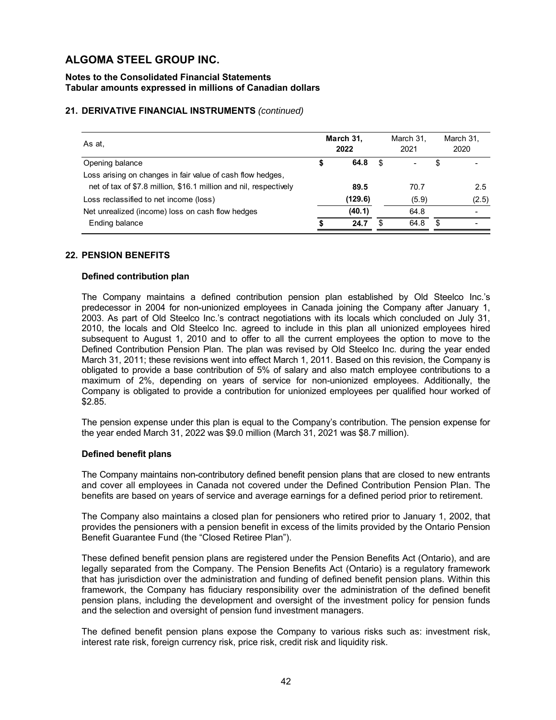#### **Notes to the Consolidated Financial Statements Tabular amounts expressed in millions of Canadian dollars**

# **21. DERIVATIVE FINANCIAL INSTRUMENTS** *(continued)*

| As at,                                                            | March 31,<br>2022 |         | March 31,<br>2021 |       | March 31,<br>2020 |       |
|-------------------------------------------------------------------|-------------------|---------|-------------------|-------|-------------------|-------|
| Opening balance                                                   | S                 | 64.8    | - \$              |       | S                 |       |
| Loss arising on changes in fair value of cash flow hedges,        |                   |         |                   |       |                   |       |
| net of tax of \$7.8 million, \$16.1 million and nil, respectively |                   | 89.5    |                   | 70.7  |                   | 2.5   |
| Loss reclassified to net income (loss)                            |                   | (129.6) |                   | (5.9) |                   | (2.5) |
| Net unrealized (income) loss on cash flow hedges                  |                   | (40.1)  |                   | 64.8  |                   |       |
| Ending balance                                                    |                   | 24.7    | S.                | 64.8  | \$.               |       |

# **22. PENSION BENEFITS**

## **Defined contribution plan**

The Company maintains a defined contribution pension plan established by Old Steelco Inc.'s predecessor in 2004 for non-unionized employees in Canada joining the Company after January 1, 2003. As part of Old Steelco Inc.'s contract negotiations with its locals which concluded on July 31, 2010, the locals and Old Steelco Inc. agreed to include in this plan all unionized employees hired subsequent to August 1, 2010 and to offer to all the current employees the option to move to the Defined Contribution Pension Plan. The plan was revised by Old Steelco Inc. during the year ended March 31, 2011; these revisions went into effect March 1, 2011. Based on this revision, the Company is obligated to provide a base contribution of 5% of salary and also match employee contributions to a maximum of 2%, depending on years of service for non-unionized employees. Additionally, the Company is obligated to provide a contribution for unionized employees per qualified hour worked of \$2.85.

The pension expense under this plan is equal to the Company's contribution. The pension expense for the year ended March 31, 2022 was \$9.0 million (March 31, 2021 was \$8.7 million).

## **Defined benefit plans**

The Company maintains non-contributory defined benefit pension plans that are closed to new entrants and cover all employees in Canada not covered under the Defined Contribution Pension Plan. The benefits are based on years of service and average earnings for a defined period prior to retirement.

The Company also maintains a closed plan for pensioners who retired prior to January 1, 2002, that provides the pensioners with a pension benefit in excess of the limits provided by the Ontario Pension Benefit Guarantee Fund (the "Closed Retiree Plan").

These defined benefit pension plans are registered under the Pension Benefits Act (Ontario), and are legally separated from the Company. The Pension Benefits Act (Ontario) is a regulatory framework that has jurisdiction over the administration and funding of defined benefit pension plans. Within this framework, the Company has fiduciary responsibility over the administration of the defined benefit pension plans, including the development and oversight of the investment policy for pension funds and the selection and oversight of pension fund investment managers.

The defined benefit pension plans expose the Company to various risks such as: investment risk, interest rate risk, foreign currency risk, price risk, credit risk and liquidity risk.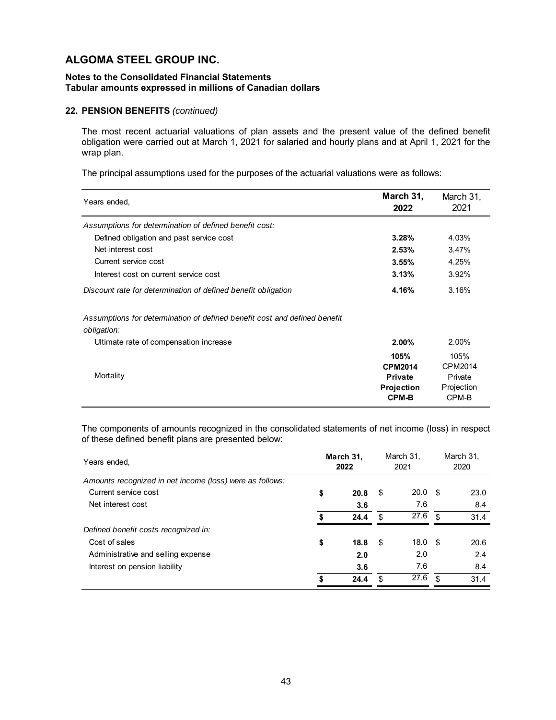# **Notes to the Consolidated Financial Statements Tabular amounts expressed in millions of Canadian dollars**

# **22. PENSION BENEFITS** *(continued)*

The most recent actuarial valuations of plan assets and the present value of the defined benefit obligation were carried out at March 1, 2021 for salaried and hourly plans and at April 1, 2021 for the wrap plan.

The principal assumptions used for the purposes of the actuarial valuations were as follows:

| Years ended,                                                              | March 31,<br>2022                                                      | March 31,<br>2021                                 |
|---------------------------------------------------------------------------|------------------------------------------------------------------------|---------------------------------------------------|
| Assumptions for determination of defined benefit cost:                    |                                                                        |                                                   |
| Defined obligation and past service cost                                  | 3.28%                                                                  | 4.03%                                             |
| Net interest cost                                                         | 2.53%                                                                  | 3.47%                                             |
| Current service cost                                                      | 3.55%                                                                  | 4.25%                                             |
| Interest cost on current service cost                                     | 3.13%                                                                  | 3.92%                                             |
| Discount rate for determination of defined benefit obligation             | 4.16%                                                                  | 3.16%                                             |
| Assumptions for determination of defined benefit cost and defined benefit |                                                                        |                                                   |
| obligation:                                                               |                                                                        |                                                   |
| Ultimate rate of compensation increase                                    | $2.00\%$                                                               | 2.00%                                             |
| Mortality                                                                 | 105%<br><b>CPM2014</b><br><b>Private</b><br><b>Projection</b><br>CPM-B | 105%<br>CPM2014<br>Private<br>Projection<br>CPM-B |

The components of amounts recognized in the consolidated statements of net income (loss) in respect of these defined benefit plans are presented below:

| Years ended,                                             |    | March 31,<br>2022 | March 31,<br>2021 |                   | March 31,<br>2020 |      |
|----------------------------------------------------------|----|-------------------|-------------------|-------------------|-------------------|------|
| Amounts recognized in net income (loss) were as follows: |    |                   |                   |                   |                   |      |
| Current service cost                                     | \$ | 20.8              | - \$              | 20.0 <sup>5</sup> |                   | 23.0 |
| Net interest cost                                        |    | 3.6               |                   | 7.6               |                   | 8.4  |
|                                                          |    | 24.4              | \$                | 27.6              | \$                | 31.4 |
| Defined benefit costs recognized in:                     |    |                   |                   |                   |                   |      |
| Cost of sales                                            | \$ | 18.8              | -\$               | 18.0 <sup>5</sup> |                   | 20.6 |
| Administrative and selling expense                       |    | 2.0               |                   | 2.0               |                   | 2.4  |
| Interest on pension liability                            |    | 3.6               |                   | 7.6               |                   | 8.4  |
|                                                          |    | 24.4              | -\$               | 27.6              | \$                | 31.4 |
|                                                          |    |                   |                   |                   |                   |      |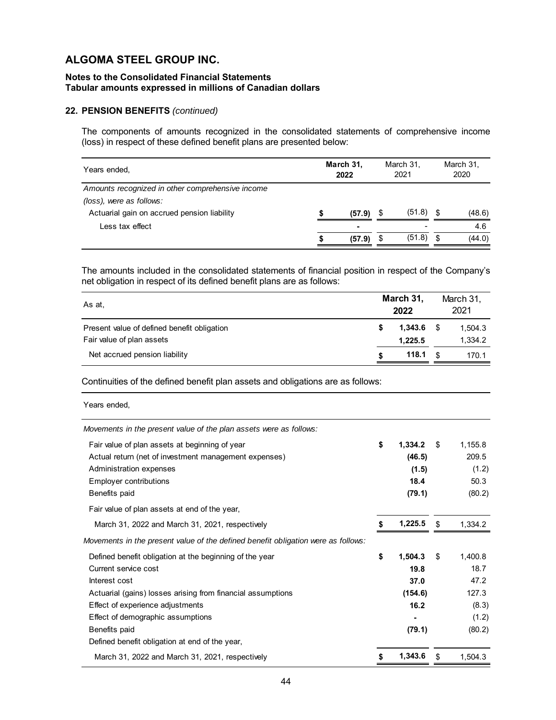### **Notes to the Consolidated Financial Statements Tabular amounts expressed in millions of Canadian dollars**

# **22. PENSION BENEFITS** *(continued)*

The components of amounts recognized in the consolidated statements of comprehensive income (loss) in respect of these defined benefit plans are presented below:

| Years ended,                                                                 | March 31,<br>2022 |                |   | March 31.<br>2021 |     | March 31,<br>2020 |
|------------------------------------------------------------------------------|-------------------|----------------|---|-------------------|-----|-------------------|
| Amounts recognized in other comprehensive income<br>(loss), were as follows: |                   |                |   |                   |     |                   |
| Actuarial gain on accrued pension liability                                  |                   | (57.9)         | S | (51.8)            | -\$ | (48.6)            |
| Less tax effect                                                              |                   | $\blacksquare$ |   |                   |     | 4.6               |
|                                                                              |                   | (57.9)         | S | (51.8)            | \$  | (44.0)            |

The amounts included in the consolidated statements of financial position in respect of the Company's net obligation in respect of its defined benefit plans are as follows:

| As at.                                      | March 31,<br>2022 |         |    | March 31,<br>2021 |
|---------------------------------------------|-------------------|---------|----|-------------------|
| Present value of defined benefit obligation |                   | 1.343.6 |    | 1,504.3           |
| Fair value of plan assets                   |                   | 1,225.5 |    | 1,334.2           |
| Net accrued pension liability               |                   | 118.1   | .S | 170.1             |

Continuities of the defined benefit plan assets and obligations are as follows:

#### Years ended,

| Movements in the present value of the plan assets were as follows:                |               |               |
|-----------------------------------------------------------------------------------|---------------|---------------|
| Fair value of plan assets at beginning of year                                    | \$<br>1,334.2 | \$<br>1,155.8 |
| Actual return (net of investment management expenses)                             | (46.5)        | 209.5         |
| Administration expenses                                                           | (1.5)         | (1.2)         |
| <b>Employer contributions</b>                                                     | 18.4          | 50.3          |
| Benefits paid                                                                     | (79.1)        | (80.2)        |
| Fair value of plan assets at end of the year,                                     |               |               |
| March 31, 2022 and March 31, 2021, respectively                                   | 1,225.5       | \$<br>1,334.2 |
| Movements in the present value of the defined benefit obligation were as follows: |               |               |
| Defined benefit obligation at the beginning of the year                           | \$<br>1,504.3 | \$<br>1,400.8 |
| Current service cost                                                              | 19.8          | 18.7          |
| Interest cost                                                                     | 37.0          | 47.2          |
| Actuarial (gains) losses arising from financial assumptions                       | (154.6)       | 127.3         |
| Effect of experience adjustments                                                  | 16.2          | (8.3)         |
| Effect of demographic assumptions                                                 |               | (1.2)         |
| Benefits paid                                                                     | (79.1)        | (80.2)        |
| Defined benefit obligation at end of the year,                                    |               |               |
| March 31, 2022 and March 31, 2021, respectively                                   | \$<br>1,343.6 | \$<br>1,504.3 |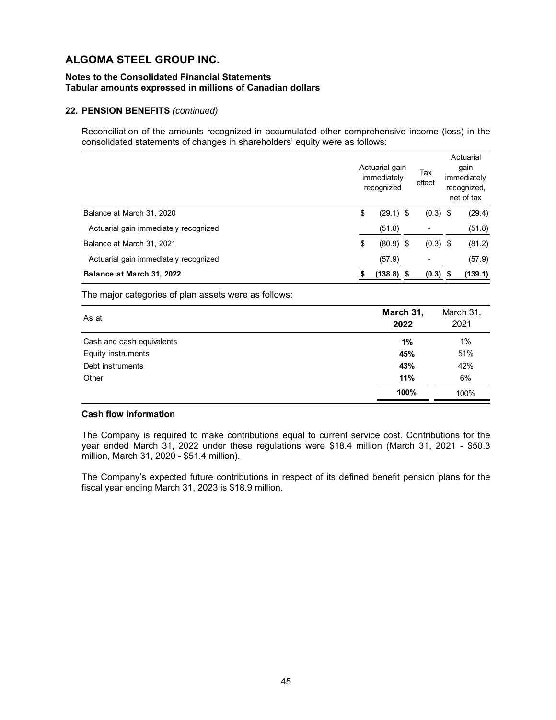#### **Notes to the Consolidated Financial Statements Tabular amounts expressed in millions of Canadian dollars**

# **22. PENSION BENEFITS** *(continued)*

Reconciliation of the amounts recognized in accumulated other comprehensive income (loss) in the consolidated statements of changes in shareholders' equity were as follows:

|                                       | Actuarial gain<br>immediately<br>recognized |              |  | Tax<br>effect |  | Actuarial<br>qain<br>immediately<br>recognized,<br>net of tax |  |
|---------------------------------------|---------------------------------------------|--------------|--|---------------|--|---------------------------------------------------------------|--|
| Balance at March 31, 2020             | \$                                          | $(29.1)$ \$  |  | $(0.3)$ \$    |  | (29.4)                                                        |  |
| Actuarial gain immediately recognized |                                             | (51.8)       |  |               |  | (51.8)                                                        |  |
| Balance at March 31, 2021             | \$                                          | $(80.9)$ \$  |  | $(0.3)$ \$    |  | (81.2)                                                        |  |
| Actuarial gain immediately recognized |                                             | (57.9)       |  |               |  | (57.9)                                                        |  |
| Balance at March 31, 2022             |                                             | $(138.8)$ \$ |  | $(0.3)$ \$    |  | (139.1)                                                       |  |

The major categories of plan assets were as follows:

| As at                     | March 31,<br>2022 | March 31,<br>2021 |
|---------------------------|-------------------|-------------------|
| Cash and cash equivalents | 1%                | 1%                |
| Equity instruments        | 45%               | 51%               |
| Debt instruments          | 43%               | 42%               |
| Other                     | 11%               | 6%                |
|                           | 100%              | 100%              |

## **Cash flow information**

The Company is required to make contributions equal to current service cost. Contributions for the year ended March 31, 2022 under these regulations were \$18.4 million (March 31, 2021 - \$50.3 million, March 31, 2020 - \$51.4 million).

The Company's expected future contributions in respect of its defined benefit pension plans for the fiscal year ending March 31, 2023 is \$18.9 million.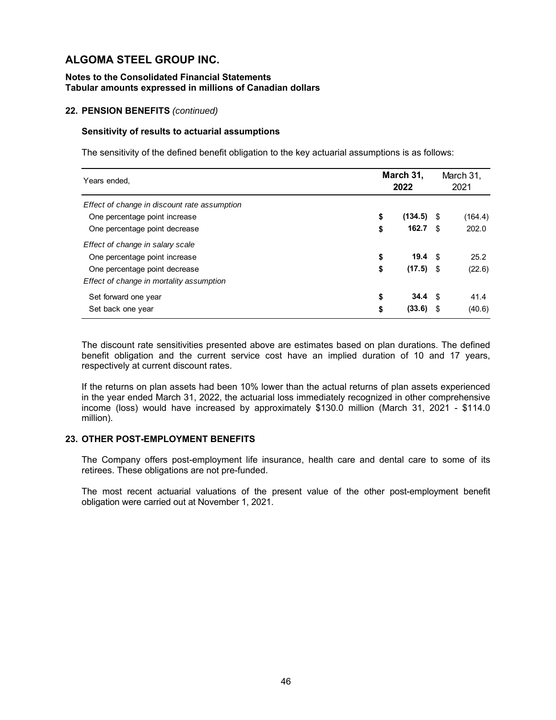#### **Notes to the Consolidated Financial Statements Tabular amounts expressed in millions of Canadian dollars**

## **22. PENSION BENEFITS** *(continued)*

#### **Sensitivity of results to actuarial assumptions**

The sensitivity of the defined benefit obligation to the key actuarial assumptions is as follows:

| Years ended,                                 | March 31,<br>2022 |         |      | March 31,<br>2021 |
|----------------------------------------------|-------------------|---------|------|-------------------|
| Effect of change in discount rate assumption |                   |         |      |                   |
| One percentage point increase                | \$                | (134.5) | - \$ | (164.4)           |
| One percentage point decrease                | \$                | 162.7   | - \$ | 202.0             |
| Effect of change in salary scale             |                   |         |      |                   |
| One percentage point increase                | \$                | 19.4    | \$   | 25.2              |
| One percentage point decrease                | \$                | (17.5)  | - \$ | (22.6)            |
| Effect of change in mortality assumption     |                   |         |      |                   |
| Set forward one year                         | \$                | 34.4    | - \$ | 41.4              |
| Set back one year                            | \$                | (33.6)  | - \$ | (40.6)            |

The discount rate sensitivities presented above are estimates based on plan durations. The defined benefit obligation and the current service cost have an implied duration of 10 and 17 years, respectively at current discount rates.

If the returns on plan assets had been 10% lower than the actual returns of plan assets experienced in the year ended March 31, 2022, the actuarial loss immediately recognized in other comprehensive income (loss) would have increased by approximately \$130.0 million (March 31, 2021 - \$114.0 million).

## **23. OTHER POST-EMPLOYMENT BENEFITS**

The Company offers post-employment life insurance, health care and dental care to some of its retirees. These obligations are not pre-funded.

The most recent actuarial valuations of the present value of the other post-employment benefit obligation were carried out at November 1, 2021.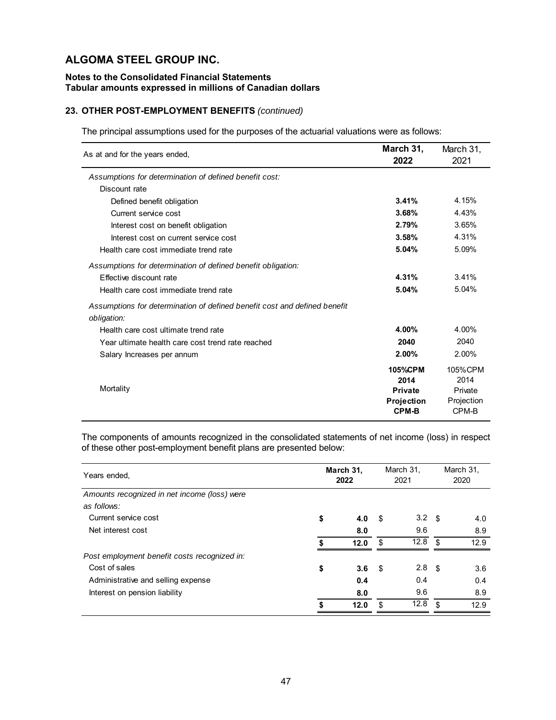## **Notes to the Consolidated Financial Statements Tabular amounts expressed in millions of Canadian dollars**

# **23. OTHER POST-EMPLOYMENT BENEFITS** *(continued)*

The principal assumptions used for the purposes of the actuarial valuations were as follows:

| As at and for the years ended,                                                           | March 31,<br>2022          | March 31,<br>2021   |
|------------------------------------------------------------------------------------------|----------------------------|---------------------|
| Assumptions for determination of defined benefit cost:                                   |                            |                     |
| Discount rate                                                                            |                            |                     |
| Defined benefit obligation                                                               | 3.41%                      | 4.15%               |
| Current service cost                                                                     | 3.68%                      | 4.43%               |
| Interest cost on benefit obligation                                                      | 2.79%                      | 3.65%               |
| Interest cost on current service cost                                                    | 3.58%                      | 4.31%               |
| Health care cost immediate trend rate                                                    | 5.04%                      | 5.09%               |
| Assumptions for determination of defined benefit obligation:                             |                            |                     |
| <b>Effective discount rate</b>                                                           | 4.31%                      | 3.41%               |
| Health care cost immediate trend rate                                                    | 5.04%                      | 5.04%               |
| Assumptions for determination of defined benefit cost and defined benefit<br>obligation: |                            |                     |
| Health care cost ultimate trend rate                                                     | 4.00%                      | 4.00%               |
| Year ultimate health care cost trend rate reached                                        | 2040                       | 2040                |
| Salary Increases per annum                                                               | $2.00\%$                   | 2.00%               |
|                                                                                          | 105%CPM                    | 105%CPM             |
|                                                                                          | 2014                       | 2014                |
| Mortality                                                                                | <b>Private</b>             | Private             |
|                                                                                          | Projection<br><b>CPM-B</b> | Projection<br>CPM-B |

The components of amounts recognized in the consolidated statements of net income (loss) in respect of these other post-employment benefit plans are presented below:

| Years ended,                                 | March 31,<br>2022 |      | March 31,<br>2021 |                  |     | March 31,<br>2020 |
|----------------------------------------------|-------------------|------|-------------------|------------------|-----|-------------------|
| Amounts recognized in net income (loss) were |                   |      |                   |                  |     |                   |
| as follows:                                  |                   |      |                   |                  |     |                   |
| Current service cost                         | \$                | 4.0  | -\$               | 3.2 <sup>5</sup> |     | 4.0               |
| Net interest cost                            |                   | 8.0  |                   | 9.6              |     | 8.9               |
|                                              | \$                | 12.0 | -\$               | 12.8             | -\$ | 12.9              |
| Post employment benefit costs recognized in: |                   |      |                   |                  |     |                   |
| Cost of sales                                | \$                | 3.6  | -\$               | 2.8 <sub>5</sub> |     | 3.6               |
| Administrative and selling expense           |                   | 0.4  |                   | 0.4              |     | 0.4               |
| Interest on pension liability                |                   | 8.0  |                   | 9.6              |     | 8.9               |
|                                              | \$                | 12.0 | \$                | 12.8             | \$  | 12.9              |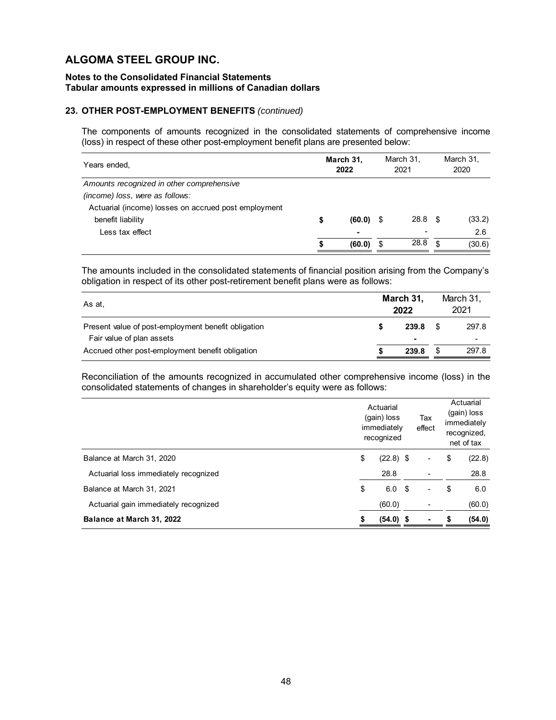## **Notes to the Consolidated Financial Statements Tabular amounts expressed in millions of Canadian dollars**

# **23. OTHER POST-EMPLOYMENT BENEFITS** *(continued)*

The components of amounts recognized in the consolidated statements of comprehensive income (loss) in respect of these other post-employment benefit plans are presented below:

| Years ended,                                         | March 31,<br>2022 |                |      |                   |    |        |  |  |  |  |  |  |  |  |  |  |  |  |  |  |  |  |  |  |  |  | March 31,<br>2021 |  |  |  |  |  |  | March 31,<br>2020 |
|------------------------------------------------------|-------------------|----------------|------|-------------------|----|--------|--|--|--|--|--|--|--|--|--|--|--|--|--|--|--|--|--|--|--|--|-------------------|--|--|--|--|--|--|-------------------|
| Amounts recognized in other comprehensive            |                   |                |      |                   |    |        |  |  |  |  |  |  |  |  |  |  |  |  |  |  |  |  |  |  |  |  |                   |  |  |  |  |  |  |                   |
| (income) loss, were as follows:                      |                   |                |      |                   |    |        |  |  |  |  |  |  |  |  |  |  |  |  |  |  |  |  |  |  |  |  |                   |  |  |  |  |  |  |                   |
| Actuarial (income) losses on accrued post employment |                   |                |      |                   |    |        |  |  |  |  |  |  |  |  |  |  |  |  |  |  |  |  |  |  |  |  |                   |  |  |  |  |  |  |                   |
| benefit liability                                    | S                 | (60.0)         | - \$ | 28.8 <sup>5</sup> |    | (33.2) |  |  |  |  |  |  |  |  |  |  |  |  |  |  |  |  |  |  |  |  |                   |  |  |  |  |  |  |                   |
| Less tax effect                                      |                   | $\blacksquare$ |      |                   |    | 2.6    |  |  |  |  |  |  |  |  |  |  |  |  |  |  |  |  |  |  |  |  |                   |  |  |  |  |  |  |                   |
|                                                      | S                 | (60.0)         | \$   | 28.8              | -S | (30.6) |  |  |  |  |  |  |  |  |  |  |  |  |  |  |  |  |  |  |  |  |                   |  |  |  |  |  |  |                   |

The amounts included in the consolidated statements of financial position arising from the Company's obligation in respect of its other post-retirement benefit plans were as follows:

| As at,                                                                           | March 31,<br>2022 |                                   |  | March 31,<br>2021 |  |  |
|----------------------------------------------------------------------------------|-------------------|-----------------------------------|--|-------------------|--|--|
| Present value of post-employment benefit obligation<br>Fair value of plan assets |                   | 239.8<br>$\overline{\phantom{0}}$ |  | 297.8             |  |  |
| Accrued other post-employment benefit obligation                                 |                   | 239.8                             |  | 297.8             |  |  |

Reconciliation of the amounts recognized in accumulated other comprehensive income (loss) in the consolidated statements of changes in shareholder's equity were as follows:

|                                       | Actuarial<br>(gain) loss<br>immediately<br>recognized |             |    | Tax<br>effect            | Actuarial<br>(gain) loss<br>immediately<br>recognized,<br>net of tax |        |
|---------------------------------------|-------------------------------------------------------|-------------|----|--------------------------|----------------------------------------------------------------------|--------|
| Balance at March 31, 2020             | \$                                                    | $(22.8)$ \$ |    | $\overline{\phantom{a}}$ | \$                                                                   | (22.8) |
| Actuarial loss immediately recognized |                                                       | 28.8        |    | $\overline{\phantom{a}}$ |                                                                      | 28.8   |
| Balance at March 31, 2021             | \$                                                    | 6.0         | \$ |                          | \$                                                                   | 6.0    |
| Actuarial gain immediately recognized |                                                       | (60.0)      |    |                          |                                                                      | (60.0) |
| Balance at March 31, 2022             |                                                       | $(54.0)$ \$ |    | $\blacksquare$           |                                                                      | (54.0) |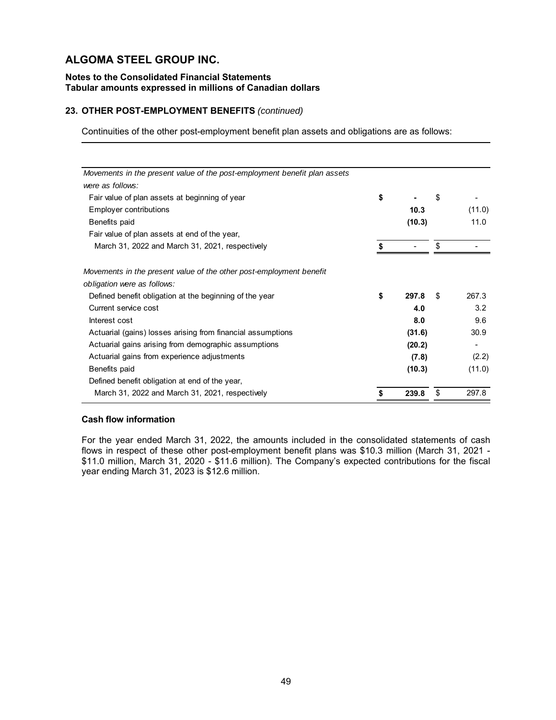# **Notes to the Consolidated Financial Statements Tabular amounts expressed in millions of Canadian dollars**

# **23. OTHER POST-EMPLOYMENT BENEFITS** *(continued)*

Continuities of the other post-employment benefit plan assets and obligations are as follows:

| Movements in the present value of the post-employment benefit plan assets |             |    |        |
|---------------------------------------------------------------------------|-------------|----|--------|
| were as follows:                                                          |             |    |        |
| Fair value of plan assets at beginning of year                            | \$          | \$ |        |
| <b>Employer contributions</b>                                             | 10.3        |    | (11.0) |
| Benefits paid                                                             | (10.3)      |    | 11.0   |
| Fair value of plan assets at end of the year,                             |             |    |        |
| March 31, 2022 and March 31, 2021, respectively                           |             | \$ |        |
| Movements in the present value of the other post-employment benefit       |             |    |        |
| obligation were as follows:                                               |             |    |        |
| Defined benefit obligation at the beginning of the year                   | \$<br>297.8 | S  | 267.3  |
| Current service cost                                                      | 4.0         |    | 3.2    |
| Interest cost                                                             | 8.0         |    | 9.6    |
| Actuarial (gains) losses arising from financial assumptions               | (31.6)      |    | 30.9   |
| Actuarial gains arising from demographic assumptions                      | (20.2)      |    |        |
| Actuarial gains from experience adjustments                               | (7.8)       |    | (2.2)  |
| Benefits paid                                                             | (10.3)      |    | (11.0) |
| Defined benefit obligation at end of the year,                            |             |    |        |
| March 31, 2022 and March 31, 2021, respectively                           | 239.8       | S  | 297.8  |

# **Cash flow information**

For the year ended March 31, 2022, the amounts included in the consolidated statements of cash flows in respect of these other post-employment benefit plans was \$10.3 million (March 31, 2021 - \$11.0 million, March 31, 2020 - \$11.6 million). The Company's expected contributions for the fiscal year ending March 31, 2023 is \$12.6 million.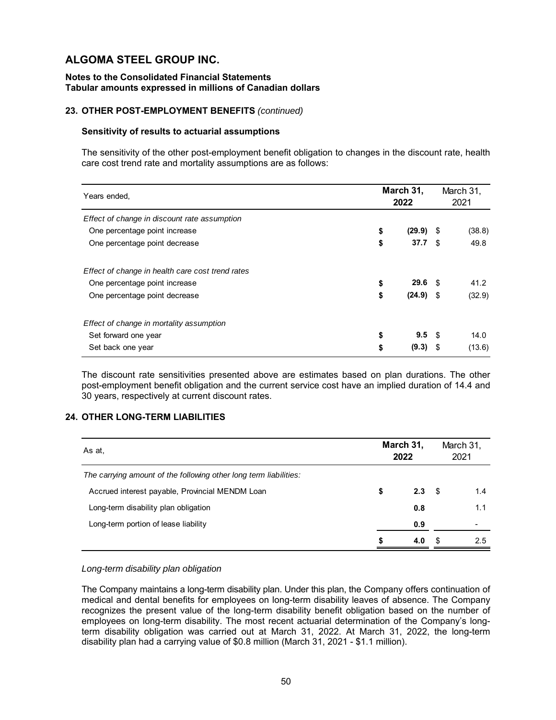#### **Notes to the Consolidated Financial Statements Tabular amounts expressed in millions of Canadian dollars**

# **23. OTHER POST-EMPLOYMENT BENEFITS** *(continued)*

#### **Sensitivity of results to actuarial assumptions**

The sensitivity of the other post-employment benefit obligation to changes in the discount rate, health care cost trend rate and mortality assumptions are as follows:

| Years ended.                                     | March 31,<br>2022 |             |      | March 31,<br>2021 |
|--------------------------------------------------|-------------------|-------------|------|-------------------|
| Effect of change in discount rate assumption     |                   |             |      |                   |
| One percentage point increase                    | \$                | (29.9)      | -S   | (38.8)            |
| One percentage point decrease                    | \$                | 37.7        | \$   | 49.8              |
| Effect of change in health care cost trend rates |                   |             |      |                   |
| One percentage point increase                    | \$                | 29.6        | - \$ | 41.2              |
| One percentage point decrease                    | \$                | $(24.9)$ \$ |      | (32.9)            |
| Effect of change in mortality assumption         |                   |             |      |                   |
| Set forward one year                             | \$                | 9.5         | -S   | 14.0              |
| Set back one year                                | \$                | (9.3)       | \$   | (13.6)            |

The discount rate sensitivities presented above are estimates based on plan durations. The other post-employment benefit obligation and the current service cost have an implied duration of 14.4 and 30 years, respectively at current discount rates.

# **24. OTHER LONG-TERM LIABILITIES**

| As at,                                                            | March 31,<br>2022 |     |    | March 31,<br>2021 |
|-------------------------------------------------------------------|-------------------|-----|----|-------------------|
| The carrying amount of the following other long term liabilities: |                   |     |    |                   |
| Accrued interest payable, Provincial MENDM Loan                   | S                 | 2.3 | \$ | 1.4               |
| Long-term disability plan obligation                              |                   | 0.8 |    | 1.1               |
| Long-term portion of lease liability                              |                   | 0.9 |    |                   |
|                                                                   |                   | 4.0 | S  | 2.5               |

*Long-term disability plan obligation* 

The Company maintains a long-term disability plan. Under this plan, the Company offers continuation of medical and dental benefits for employees on long-term disability leaves of absence. The Company recognizes the present value of the long-term disability benefit obligation based on the number of employees on long-term disability. The most recent actuarial determination of the Company's longterm disability obligation was carried out at March 31, 2022. At March 31, 2022, the long-term disability plan had a carrying value of \$0.8 million (March 31, 2021 - \$1.1 million).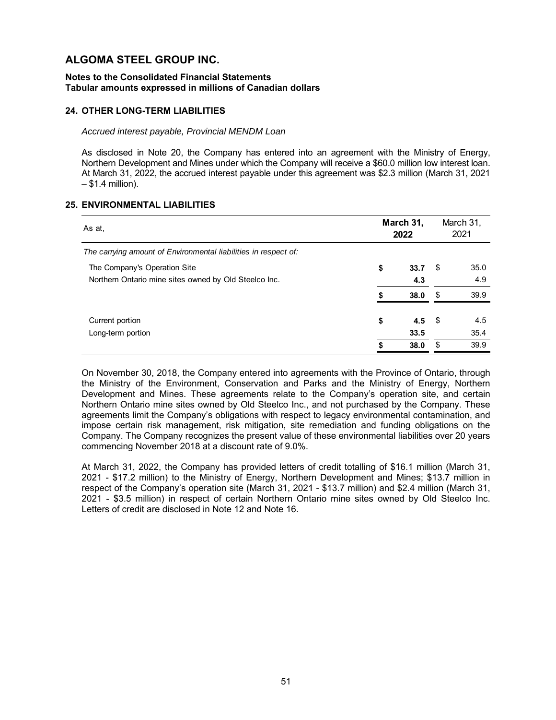#### **Notes to the Consolidated Financial Statements Tabular amounts expressed in millions of Canadian dollars**

# **24. OTHER LONG-TERM LIABILITIES**

#### *Accrued interest payable, Provincial MENDM Loan*

As disclosed in Note 20, the Company has entered into an agreement with the Ministry of Energy, Northern Development and Mines under which the Company will receive a \$60.0 million low interest loan. At March 31, 2022, the accrued interest payable under this agreement was \$2.3 million (March 31, 2021 – \$1.4 million).

# **25. ENVIRONMENTAL LIABILITIES**

| As at,                                                          | March 31,<br>2022 | March 31,<br>2021 |      |      |
|-----------------------------------------------------------------|-------------------|-------------------|------|------|
| The carrying amount of Environmental liabilities in respect of: |                   |                   |      |      |
| The Company's Operation Site                                    | \$                | 33.7              | \$   | 35.0 |
| Northern Ontario mine sites owned by Old Steelco Inc.           |                   | 4.3               |      | 4.9  |
|                                                                 | \$                | 38.0              | - \$ | 39.9 |
| Current portion                                                 | \$                | 4.5               | - \$ | 4.5  |
| Long-term portion                                               |                   | 33.5              |      | 35.4 |
|                                                                 | \$                | 38.0              | S    | 39.9 |

On November 30, 2018, the Company entered into agreements with the Province of Ontario, through the Ministry of the Environment, Conservation and Parks and the Ministry of Energy, Northern Development and Mines. These agreements relate to the Company's operation site, and certain Northern Ontario mine sites owned by Old Steelco Inc., and not purchased by the Company. These agreements limit the Company's obligations with respect to legacy environmental contamination, and impose certain risk management, risk mitigation, site remediation and funding obligations on the Company. The Company recognizes the present value of these environmental liabilities over 20 years commencing November 2018 at a discount rate of 9.0%.

At March 31, 2022, the Company has provided letters of credit totalling of \$16.1 million (March 31, 2021 - \$17.2 million) to the Ministry of Energy, Northern Development and Mines; \$13.7 million in respect of the Company's operation site (March 31, 2021 - \$13.7 million) and \$2.4 million (March 31, 2021 - \$3.5 million) in respect of certain Northern Ontario mine sites owned by Old Steelco Inc. Letters of credit are disclosed in Note 12 and Note 16.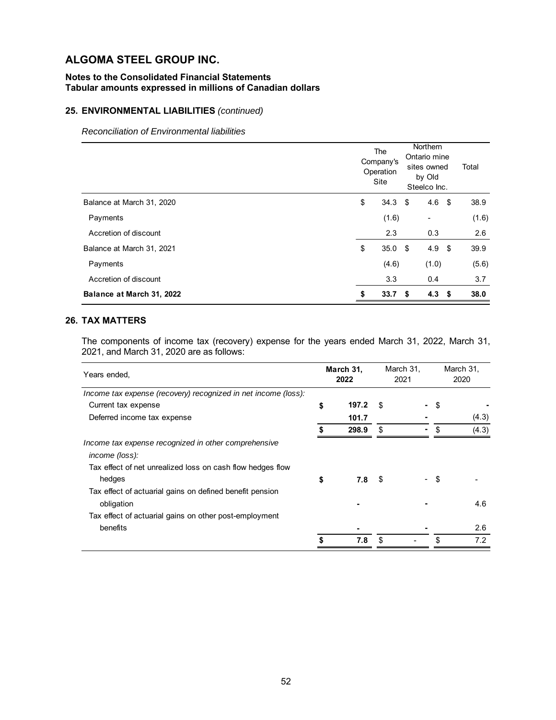## **Notes to the Consolidated Financial Statements Tabular amounts expressed in millions of Canadian dollars**

# **25. ENVIRONMENTAL LIABILITIES** *(continued)*

*Reconciliation of Environmental liabilities* 

|                           | The<br>Company's<br>Operation<br>Site |     | Northern<br>Ontario mine<br>sites owned<br>by Old<br>Steelco Inc. |      | Total |
|---------------------------|---------------------------------------|-----|-------------------------------------------------------------------|------|-------|
| Balance at March 31, 2020 | \$<br>34.3                            | \$  | 4.6                                                               | - \$ | 38.9  |
| Payments                  | (1.6)                                 |     | $\overline{\phantom{a}}$                                          |      | (1.6) |
| Accretion of discount     | 2.3                                   |     | 0.3                                                               |      | 2.6   |
| Balance at March 31, 2021 | \$<br>35.0                            | -\$ | 4.9 <sup>5</sup>                                                  |      | 39.9  |
| Payments                  | (4.6)                                 |     | (1.0)                                                             |      | (5.6) |
| Accretion of discount     | 3.3                                   |     | 0.4                                                               |      | 3.7   |
| Balance at March 31, 2022 | 33.7                                  | \$  | 4.3 <sup>5</sup>                                                  |      | 38.0  |

# **26. TAX MATTERS**

The components of income tax (recovery) expense for the years ended March 31, 2022, March 31, 2021, and March 31, 2020 are as follows:

| Years ended,                                                                                                                                          | March 31,<br>2022 | 2021 | March 31, | March 31,<br>2020 |       |  |
|-------------------------------------------------------------------------------------------------------------------------------------------------------|-------------------|------|-----------|-------------------|-------|--|
| Income tax expense (recovery) recognized in net income (loss):                                                                                        |                   |      |           |                   |       |  |
| Current tax expense                                                                                                                                   | \$<br>197.2       | -\$  |           | \$                |       |  |
| Deferred income tax expense                                                                                                                           | 101.7             |      |           |                   | (4.3) |  |
|                                                                                                                                                       | 298.9             | \$   |           | \$                | (4.3) |  |
| Income tax expense recognized in other comprehensive<br><i>income (loss):</i><br>Tax effect of net unrealized loss on cash flow hedges flow<br>hedges | \$<br>7.8         | -\$  |           | - \$              |       |  |
| Tax effect of actuarial gains on defined benefit pension<br>obligation<br>Tax effect of actuarial gains on other post-employment                      |                   |      |           |                   | 4.6   |  |
| benefits                                                                                                                                              |                   |      |           |                   | 2.6   |  |
|                                                                                                                                                       | 7.8               | \$   |           | \$.               | 7.2   |  |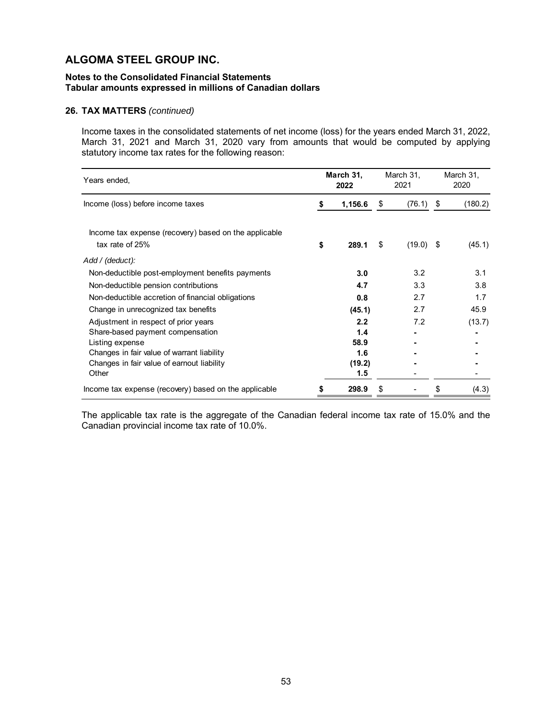# **Notes to the Consolidated Financial Statements Tabular amounts expressed in millions of Canadian dollars**

# **26. TAX MATTERS** *(continued)*

Income taxes in the consolidated statements of net income (loss) for the years ended March 31, 2022, March 31, 2021 and March 31, 2020 vary from amounts that would be computed by applying statutory income tax rates for the following reason:

| Years ended,                                          |    | March 31,<br>2022 |    | March 31,<br>2021 | March 31,<br>2020 |         |  |
|-------------------------------------------------------|----|-------------------|----|-------------------|-------------------|---------|--|
| Income (loss) before income taxes                     |    | 1,156.6           | \$ | (76.1)            | \$                | (180.2) |  |
| Income tax expense (recovery) based on the applicable |    |                   |    |                   |                   |         |  |
| tax rate of 25%                                       | \$ | 289.1             | S  | $(19.0)$ \$       |                   | (45.1)  |  |
| Add / (deduct):                                       |    |                   |    |                   |                   |         |  |
| Non-deductible post-employment benefits payments      |    | 3.0               |    | 3.2               |                   | 3.1     |  |
| Non-deductible pension contributions                  |    | 4.7               |    | 3.3               |                   | 3.8     |  |
| Non-deductible accretion of financial obligations     |    | 0.8               |    | 2.7               |                   | 1.7     |  |
| Change in unrecognized tax benefits                   |    | (45.1)            |    | 2.7               |                   | 45.9    |  |
| Adjustment in respect of prior years                  |    | 2.2               |    | 7.2               |                   | (13.7)  |  |
| Share-based payment compensation                      |    | 1.4               |    |                   |                   |         |  |
| Listing expense                                       |    | 58.9              |    |                   |                   |         |  |
| Changes in fair value of warrant liability            |    | 1.6               |    |                   |                   |         |  |
| Changes in fair value of earnout liability            |    | (19.2)            |    |                   |                   |         |  |
| Other                                                 |    | 1.5               |    |                   |                   |         |  |
| Income tax expense (recovery) based on the applicable |    | 298.9             | \$ |                   |                   | (4.3)   |  |

The applicable tax rate is the aggregate of the Canadian federal income tax rate of 15.0% and the Canadian provincial income tax rate of 10.0%.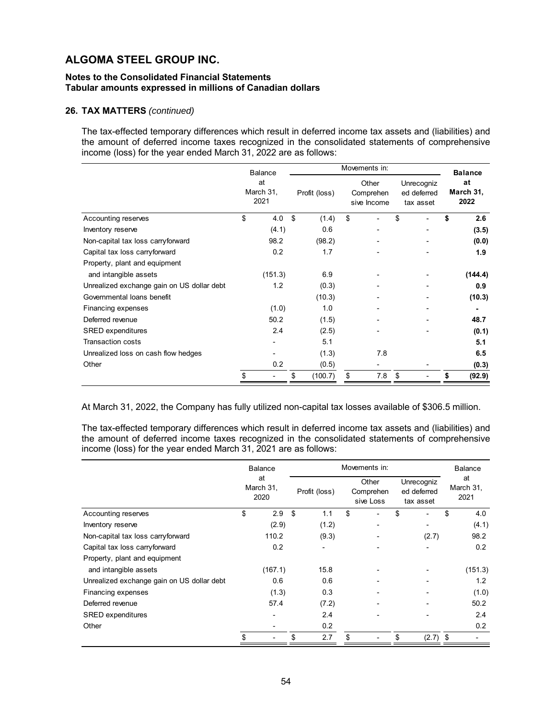#### **Notes to the Consolidated Financial Statements Tabular amounts expressed in millions of Canadian dollars**

# **26. TAX MATTERS** *(continued)*

The tax-effected temporary differences which result in deferred income tax assets and (liabilities) and the amount of deferred income taxes recognized in the consolidated statements of comprehensive income (loss) for the year ended March 31, 2022 are as follows:

|                                            | Balance                 |               |                                   | <b>Balance</b> |                                        |    |                         |
|--------------------------------------------|-------------------------|---------------|-----------------------------------|----------------|----------------------------------------|----|-------------------------|
|                                            | at<br>March 31,<br>2021 | Profit (loss) | Other<br>Comprehen<br>sive Income |                | Unrecogniz<br>ed deferred<br>tax asset |    | at<br>March 31,<br>2022 |
| Accounting reserves                        | \$<br>4.0               | \$<br>(1.4)   | \$                                | \$             |                                        | \$ | 2.6                     |
| Inventory reserve                          | (4.1)                   | 0.6           |                                   |                |                                        |    | (3.5)                   |
| Non-capital tax loss carryforward          | 98.2                    | (98.2)        |                                   |                |                                        |    | (0.0)                   |
| Capital tax loss carryforward              | 0.2                     | 1.7           |                                   |                |                                        |    | 1.9                     |
| Property, plant and equipment              |                         |               |                                   |                |                                        |    |                         |
| and intangible assets                      | (151.3)                 | 6.9           |                                   |                |                                        |    | (144.4)                 |
| Unrealized exchange gain on US dollar debt | 1.2                     | (0.3)         |                                   |                |                                        |    | 0.9                     |
| Governmental loans benefit                 |                         | (10.3)        |                                   |                |                                        |    | (10.3)                  |
| Financing expenses                         | (1.0)                   | 1.0           |                                   |                |                                        |    |                         |
| Deferred revenue                           | 50.2                    | (1.5)         |                                   |                |                                        |    | 48.7                    |
| <b>SRED</b> expenditures                   | 2.4                     | (2.5)         |                                   |                |                                        |    | (0.1)                   |
| <b>Transaction costs</b>                   |                         | 5.1           |                                   |                |                                        |    | 5.1                     |
| Unrealized loss on cash flow hedges        |                         | (1.3)         | 7.8                               |                |                                        |    | 6.5                     |
| Other                                      | 0.2                     | (0.5)         |                                   |                |                                        |    | (0.3)                   |
|                                            |                         | \$<br>(100.7) | \$<br>7.8                         | \$             |                                        | S  | (92.9)                  |

At March 31, 2022, the Company has fully utilized non-capital tax losses available of \$306.5 million.

The tax-effected temporary differences which result in deferred income tax assets and (liabilities) and the amount of deferred income taxes recognized in the consolidated statements of comprehensive income (loss) for the year ended March 31, 2021 are as follows:

|                                            |                         | <b>Balance</b> |    |               | Movements in:                   |    |                                        | <b>Balance</b>          |  |
|--------------------------------------------|-------------------------|----------------|----|---------------|---------------------------------|----|----------------------------------------|-------------------------|--|
|                                            | at<br>March 31,<br>2020 |                |    | Profit (loss) | Other<br>Comprehen<br>sive Loss |    | Unrecogniz<br>ed deferred<br>tax asset | at<br>March 31,<br>2021 |  |
| Accounting reserves                        | \$                      | 2.9            | \$ | 1.1           | \$                              | \$ |                                        | \$<br>4.0               |  |
| Inventory reserve                          |                         | (2.9)          |    | (1.2)         |                                 |    |                                        | (4.1)                   |  |
| Non-capital tax loss carryforward          |                         | 110.2          |    | (9.3)         |                                 |    | (2.7)                                  | 98.2                    |  |
| Capital tax loss carryforward              |                         | 0.2            |    | -             |                                 |    |                                        | 0.2                     |  |
| Property, plant and equipment              |                         |                |    |               |                                 |    |                                        |                         |  |
| and intangible assets                      |                         | (167.1)        |    | 15.8          |                                 |    |                                        | (151.3)                 |  |
| Unrealized exchange gain on US dollar debt |                         | 0.6            |    | 0.6           |                                 |    |                                        | 1.2                     |  |
| Financing expenses                         |                         | (1.3)          |    | 0.3           |                                 |    |                                        | (1.0)                   |  |
| Deferred revenue                           |                         | 57.4           |    | (7.2)         |                                 |    |                                        | 50.2                    |  |
| <b>SRED</b> expenditures                   |                         |                |    | 2.4           |                                 |    |                                        | 2.4                     |  |
| Other                                      |                         |                |    | 0.2           |                                 |    |                                        | 0.2                     |  |
|                                            |                         |                | \$ | 2.7           | \$                              | S  | $(2.7)$ \$                             |                         |  |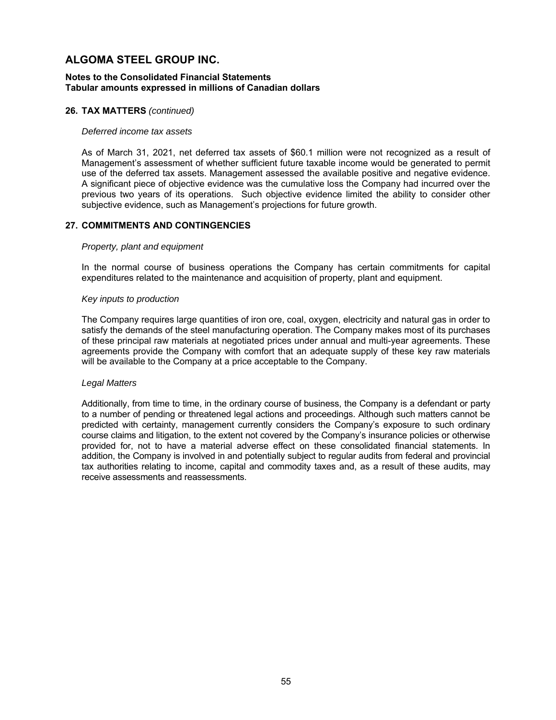#### **Notes to the Consolidated Financial Statements Tabular amounts expressed in millions of Canadian dollars**

# **26. TAX MATTERS** *(continued)*

#### *Deferred income tax assets*

As of March 31, 2021, net deferred tax assets of \$60.1 million were not recognized as a result of Management's assessment of whether sufficient future taxable income would be generated to permit use of the deferred tax assets. Management assessed the available positive and negative evidence. A significant piece of objective evidence was the cumulative loss the Company had incurred over the previous two years of its operations. Such objective evidence limited the ability to consider other subjective evidence, such as Management's projections for future growth.

# **27. COMMITMENTS AND CONTINGENCIES**

#### *Property, plant and equipment*

In the normal course of business operations the Company has certain commitments for capital expenditures related to the maintenance and acquisition of property, plant and equipment.

#### *Key inputs to production*

The Company requires large quantities of iron ore, coal, oxygen, electricity and natural gas in order to satisfy the demands of the steel manufacturing operation. The Company makes most of its purchases of these principal raw materials at negotiated prices under annual and multi-year agreements. These agreements provide the Company with comfort that an adequate supply of these key raw materials will be available to the Company at a price acceptable to the Company.

## *Legal Matters*

Additionally, from time to time, in the ordinary course of business, the Company is a defendant or party to a number of pending or threatened legal actions and proceedings. Although such matters cannot be predicted with certainty, management currently considers the Company's exposure to such ordinary course claims and litigation, to the extent not covered by the Company's insurance policies or otherwise provided for, not to have a material adverse effect on these consolidated financial statements. In addition, the Company is involved in and potentially subject to regular audits from federal and provincial tax authorities relating to income, capital and commodity taxes and, as a result of these audits, may receive assessments and reassessments.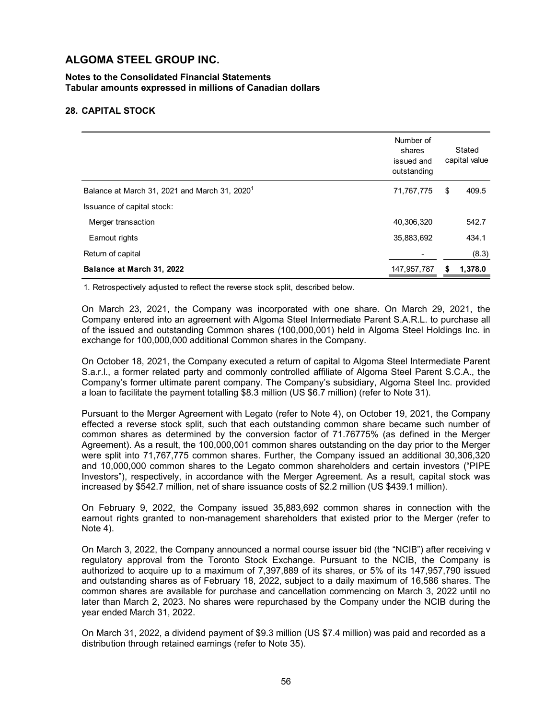#### **Notes to the Consolidated Financial Statements Tabular amounts expressed in millions of Canadian dollars**

# **28. CAPITAL STOCK**

|                                                           | Number of<br>shares<br>issued and<br>outstanding |    | Stated<br>capital value |
|-----------------------------------------------------------|--------------------------------------------------|----|-------------------------|
| Balance at March 31, 2021 and March 31, 2020 <sup>1</sup> | 71,767,775                                       | \$ | 409.5                   |
| Issuance of capital stock:                                |                                                  |    |                         |
| Merger transaction                                        | 40,306,320                                       |    | 542.7                   |
| Earnout rights                                            | 35,883,692                                       |    | 434.1                   |
| Return of capital                                         |                                                  |    | (8.3)                   |
| Balance at March 31, 2022                                 | 147,957,787                                      | S  | 1,378.0                 |

1. Retrospectively adjusted to reflect the reverse stock split, described below.

On March 23, 2021, the Company was incorporated with one share. On March 29, 2021, the Company entered into an agreement with Algoma Steel Intermediate Parent S.A.R.L. to purchase all of the issued and outstanding Common shares (100,000,001) held in Algoma Steel Holdings Inc. in exchange for 100,000,000 additional Common shares in the Company.

On October 18, 2021, the Company executed a return of capital to Algoma Steel Intermediate Parent S.a.r.l., a former related party and commonly controlled affiliate of Algoma Steel Parent S.C.A., the Company's former ultimate parent company. The Company's subsidiary, Algoma Steel Inc. provided a loan to facilitate the payment totalling \$8.3 million (US \$6.7 million) (refer to Note 31).

Pursuant to the Merger Agreement with Legato (refer to Note 4), on October 19, 2021, the Company effected a reverse stock split, such that each outstanding common share became such number of common shares as determined by the conversion factor of 71.76775% (as defined in the Merger Agreement). As a result, the 100,000,001 common shares outstanding on the day prior to the Merger were split into 71,767,775 common shares. Further, the Company issued an additional 30,306,320 and 10,000,000 common shares to the Legato common shareholders and certain investors ("PIPE Investors"), respectively, in accordance with the Merger Agreement. As a result, capital stock was increased by \$542.7 million, net of share issuance costs of \$2.2 million (US \$439.1 million).

On February 9, 2022, the Company issued 35,883,692 common shares in connection with the earnout rights granted to non-management shareholders that existed prior to the Merger (refer to Note 4).

On March 3, 2022, the Company announced a normal course issuer bid (the "NCIB") after receiving v regulatory approval from the Toronto Stock Exchange. Pursuant to the NCIB, the Company is authorized to acquire up to a maximum of 7,397,889 of its shares, or 5% of its 147,957,790 issued and outstanding shares as of February 18, 2022, subject to a daily maximum of 16,586 shares. The common shares are available for purchase and cancellation commencing on March 3, 2022 until no later than March 2, 2023. No shares were repurchased by the Company under the NCIB during the year ended March 31, 2022.

On March 31, 2022, a dividend payment of \$9.3 million (US \$7.4 million) was paid and recorded as a distribution through retained earnings (refer to Note 35).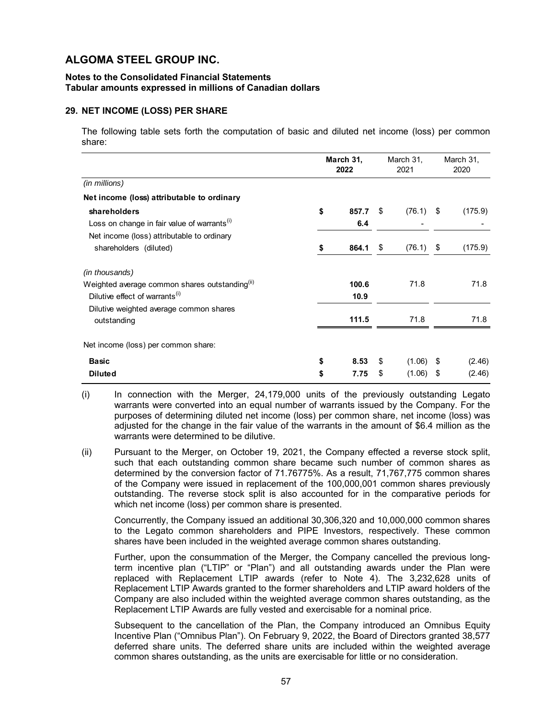#### **Notes to the Consolidated Financial Statements Tabular amounts expressed in millions of Canadian dollars**

# **29. NET INCOME (LOSS) PER SHARE**

The following table sets forth the computation of basic and diluted net income (loss) per common share:

|                                                            |    | March 31,<br>2022 |    | March 31,<br>2021 | March 31,<br>2020 |         |  |
|------------------------------------------------------------|----|-------------------|----|-------------------|-------------------|---------|--|
| (in millions)                                              |    |                   |    |                   |                   |         |  |
| Net income (loss) attributable to ordinary                 |    |                   |    |                   |                   |         |  |
| shareholders                                               | \$ | 857.7             | -S | (76.1)            | \$                | (175.9) |  |
| Loss on change in fair value of warrants <sup>(1)</sup>    |    | 6.4               |    |                   |                   |         |  |
| Net income (loss) attributable to ordinary                 |    |                   |    |                   |                   |         |  |
| shareholders (diluted)                                     | S  | 864.1             | \$ | (76.1)            | \$                | (175.9) |  |
| (in thousands)                                             |    |                   |    |                   |                   |         |  |
| Weighted average common shares outstanding <sup>(ii)</sup> |    | 100.6             |    | 71.8              |                   | 71.8    |  |
| Dilutive effect of warrants <sup>(i)</sup>                 |    | 10.9              |    |                   |                   |         |  |
| Dilutive weighted average common shares                    |    |                   |    |                   |                   |         |  |
| outstanding                                                |    | 111.5             |    | 71.8              |                   | 71.8    |  |
| Net income (loss) per common share:                        |    |                   |    |                   |                   |         |  |
| <b>Basic</b>                                               | \$ | 8.53              | \$ | (1.06)            | -\$               | (2.46)  |  |
| <b>Diluted</b>                                             | \$ | 7.75              | \$ | (1.06)            | \$                | (2.46)  |  |

(i) In connection with the Merger, 24,179,000 units of the previously outstanding Legato warrants were converted into an equal number of warrants issued by the Company. For the purposes of determining diluted net income (loss) per common share, net income (loss) was adjusted for the change in the fair value of the warrants in the amount of \$6.4 million as the warrants were determined to be dilutive.

(ii) Pursuant to the Merger, on October 19, 2021, the Company effected a reverse stock split, such that each outstanding common share became such number of common shares as determined by the conversion factor of 71.76775%. As a result, 71,767,775 common shares of the Company were issued in replacement of the 100,000,001 common shares previously outstanding. The reverse stock split is also accounted for in the comparative periods for which net income (loss) per common share is presented.

Concurrently, the Company issued an additional 30,306,320 and 10,000,000 common shares to the Legato common shareholders and PIPE Investors, respectively. These common shares have been included in the weighted average common shares outstanding.

Further, upon the consummation of the Merger, the Company cancelled the previous longterm incentive plan ("LTIP" or "Plan") and all outstanding awards under the Plan were replaced with Replacement LTIP awards (refer to Note 4). The 3,232,628 units of Replacement LTIP Awards granted to the former shareholders and LTIP award holders of the Company are also included within the weighted average common shares outstanding, as the Replacement LTIP Awards are fully vested and exercisable for a nominal price.

Subsequent to the cancellation of the Plan, the Company introduced an Omnibus Equity Incentive Plan ("Omnibus Plan"). On February 9, 2022, the Board of Directors granted 38,577 deferred share units. The deferred share units are included within the weighted average common shares outstanding, as the units are exercisable for little or no consideration.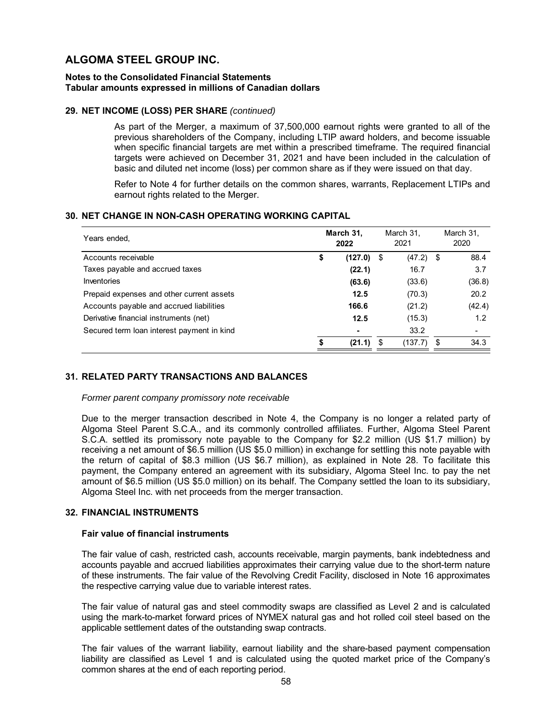#### **Notes to the Consolidated Financial Statements Tabular amounts expressed in millions of Canadian dollars**

# **29. NET INCOME (LOSS) PER SHARE** *(continued)*

As part of the Merger, a maximum of 37,500,000 earnout rights were granted to all of the previous shareholders of the Company, including LTIP award holders, and become issuable when specific financial targets are met within a prescribed timeframe. The required financial targets were achieved on December 31, 2021 and have been included in the calculation of basic and diluted net income (loss) per common share as if they were issued on that day.

Refer to Note 4 for further details on the common shares, warrants, Replacement LTIPs and earnout rights related to the Merger.

## **30. NET CHANGE IN NON-CASH OPERATING WORKING CAPITAL**

| Years ended.                               | March 31,<br>2022 | March 31,<br>2021 |      | March 31,<br>2020 |
|--------------------------------------------|-------------------|-------------------|------|-------------------|
| Accounts receivable                        | \$<br>(127.0)     | \$<br>(47.2)      | - \$ | 88.4              |
| Taxes payable and accrued taxes            | (22.1)            | 16.7              |      | 3.7               |
| Inventories                                | (63.6)            | (33.6)            |      | (36.8)            |
| Prepaid expenses and other current assets  | 12.5              | (70.3)            |      | 20.2              |
| Accounts payable and accrued liabilities   | 166.6             | (21.2)            |      | (42.4)            |
| Derivative financial instruments (net)     | 12.5              | (15.3)            |      | 1.2               |
| Secured term loan interest payment in kind | $\blacksquare$    | 33.2              |      |                   |
|                                            | (21.1)            | \$<br>(137.7)     | \$   | 34.3              |

## **31. RELATED PARTY TRANSACTIONS AND BALANCES**

#### *Former parent company promissory note receivable*

Due to the merger transaction described in Note 4, the Company is no longer a related party of Algoma Steel Parent S.C.A., and its commonly controlled affiliates. Further, Algoma Steel Parent S.C.A. settled its promissory note payable to the Company for \$2.2 million (US \$1.7 million) by receiving a net amount of \$6.5 million (US \$5.0 million) in exchange for settling this note payable with the return of capital of \$8.3 million (US \$6.7 million), as explained in Note 28. To facilitate this payment, the Company entered an agreement with its subsidiary, Algoma Steel Inc. to pay the net amount of \$6.5 million (US \$5.0 million) on its behalf. The Company settled the loan to its subsidiary, Algoma Steel Inc. with net proceeds from the merger transaction.

## **32. FINANCIAL INSTRUMENTS**

#### **Fair value of financial instruments**

The fair value of cash, restricted cash, accounts receivable, margin payments, bank indebtedness and accounts payable and accrued liabilities approximates their carrying value due to the short-term nature of these instruments. The fair value of the Revolving Credit Facility, disclosed in Note 16 approximates the respective carrying value due to variable interest rates.

The fair value of natural gas and steel commodity swaps are classified as Level 2 and is calculated using the mark-to-market forward prices of NYMEX natural gas and hot rolled coil steel based on the applicable settlement dates of the outstanding swap contracts.

The fair values of the warrant liability, earnout liability and the share-based payment compensation liability are classified as Level 1 and is calculated using the quoted market price of the Company's common shares at the end of each reporting period.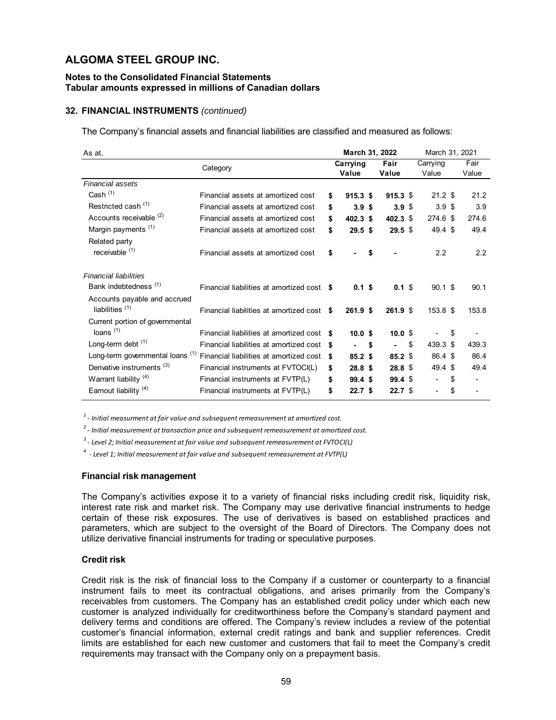#### **Notes to the Consolidated Financial Statements Tabular amounts expressed in millions of Canadian dollars**

# **32. FINANCIAL INSTRUMENTS** *(continued)*

The Company's financial assets and financial liabilities are classified and measured as follows:

| As at,                                      |                                            | March 31, 2022 |                    |                   |    |                          | March 31, 2021                 |  |  |
|---------------------------------------------|--------------------------------------------|----------------|--------------------|-------------------|----|--------------------------|--------------------------------|--|--|
|                                             | Category                                   |                | Carrying           | Fair              |    | Carrying                 | Fair                           |  |  |
|                                             |                                            |                | Value              | Value             |    | Value                    | Value                          |  |  |
| <b>Financial assets</b>                     |                                            |                |                    |                   |    |                          |                                |  |  |
| Cash <sup>(1)</sup>                         | Financial assets at amortized cost         | \$             | 915.3 <sup>5</sup> | $915.3$ \$        |    | $21.2$ \$                | 21.2                           |  |  |
| Restricted cash (1)                         | Financial assets at amortized cost         | \$             | 3.9 <sup>5</sup>   | 3.9 <sup>5</sup>  |    | 3.9 <sup>5</sup>         | 3.9                            |  |  |
| Accounts receivable (2)                     | Financial assets at amortized cost         | \$             | $402.3$ \$         | 402.3 $$$         |    | 274.6 \$                 | 274.6                          |  |  |
| Margin payments <sup>(1)</sup>              | Financial assets at amortized cost         | \$             | 29.5 <sup>°</sup>  | 29.5~\$           |    | 49.4 \$                  | 49.4                           |  |  |
| Related party<br>receivable (1)             | Financial assets at amortized cost         | \$             | S                  |                   |    | 2.2                      | 2.2                            |  |  |
| <b>Financial liabilities</b>                |                                            |                |                    |                   |    |                          |                                |  |  |
| Bank indebtedness <sup>(1)</sup>            | Financial liabilities at amortized cost \$ |                | 0.1 <sup>5</sup>   | $0.1$ \$          |    | $90.1$ \$                | 90.1                           |  |  |
| Accounts payable and accrued                |                                            |                |                    |                   |    |                          |                                |  |  |
| liabilities $(1)$                           | Financial liabilities at amortized cost    | Ŝ.             | $261.9$ \$         | $261.9$ \$        |    | 153.8 \$                 | 153.8                          |  |  |
| Current portion of governmental             |                                            |                |                    |                   |    |                          |                                |  |  |
| loans $(1)$                                 | Financial liabilities at amortized cost    | \$             | 10.0 <sup>5</sup>  | 10.0 S            |    | $\overline{\phantom{0}}$ | \$                             |  |  |
| Long-term debt (1)                          | Financial liabilities at amortized cost    | Ŝ.             | \$<br>۰            |                   | \$ | 439.3 \$                 | 439.3                          |  |  |
| Long-term governmental loans <sup>(1)</sup> | Financial liabilities at amortized cost    | \$             | 85.2 <sup>5</sup>  | 85.2 <sup>°</sup> |    | 86.4 \$                  | 86.4                           |  |  |
| Derivative instruments (3)                  | Financial instruments at FVTOCI(L)         | \$             | 28.8 <sup>5</sup>  | 28.8 <sup>°</sup> |    | 49.4 \$                  | 49.4                           |  |  |
| Warrant liability <sup>(4)</sup>            | Financial instruments at FVTP(L)           | \$             | 99.4 <sup>5</sup>  | $99.4$ \$         |    | $\overline{\phantom{a}}$ | \$<br>$\overline{\phantom{a}}$ |  |  |
| Earnout liability <sup>(4)</sup>            | Financial instruments at FVTP(L)           | \$             | 22.7 <sup>5</sup>  | 22.7 <sup>°</sup> |    | $\overline{\phantom{0}}$ | \$                             |  |  |

*<sup>1</sup> ‐ Initial measurment at fair value and subsequent remeasurement at amortized cost.*

*<sup>2</sup> ‐ Initial measurement at transaction price and subsequent remeasurement at amortized cost.*

*<sup>3</sup> ‐ Level 2; Initial measurement at fair value and subsequent remeasurement at FVTOCI(L)*

*<sup>4</sup> ‐ Level 1; Initial measurement at fair value and subsequent remeasurement at FVTP(L)*

#### **Financial risk management**

The Company's activities expose it to a variety of financial risks including credit risk, liquidity risk, interest rate risk and market risk. The Company may use derivative financial instruments to hedge certain of these risk exposures. The use of derivatives is based on established practices and parameters, which are subject to the oversight of the Board of Directors. The Company does not utilize derivative financial instruments for trading or speculative purposes.

## **Credit risk**

Credit risk is the risk of financial loss to the Company if a customer or counterparty to a financial instrument fails to meet its contractual obligations, and arises primarily from the Company's receivables from customers. The Company has an established credit policy under which each new customer is analyzed individually for creditworthiness before the Company's standard payment and delivery terms and conditions are offered. The Company's review includes a review of the potential customer's financial information, external credit ratings and bank and supplier references. Credit limits are established for each new customer and customers that fail to meet the Company's credit requirements may transact with the Company only on a prepayment basis.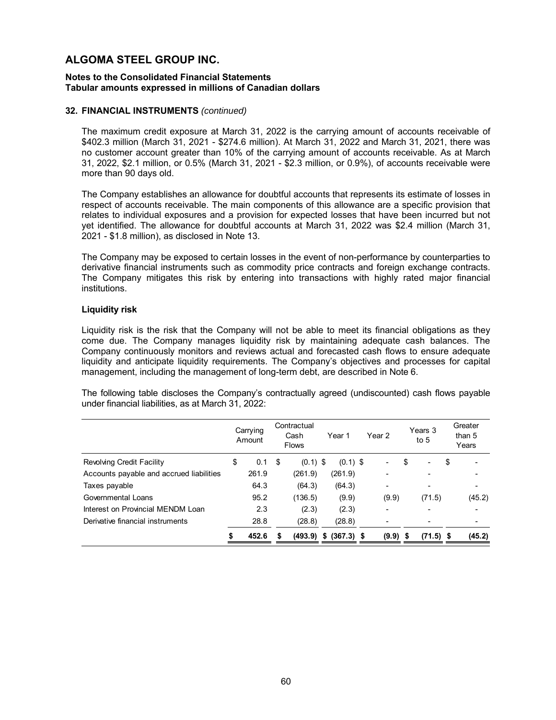#### **Notes to the Consolidated Financial Statements Tabular amounts expressed in millions of Canadian dollars**

# **32. FINANCIAL INSTRUMENTS** *(continued)*

The maximum credit exposure at March 31, 2022 is the carrying amount of accounts receivable of \$402.3 million (March 31, 2021 - \$274.6 million). At March 31, 2022 and March 31, 2021, there was no customer account greater than 10% of the carrying amount of accounts receivable. As at March 31, 2022, \$2.1 million, or 0.5% (March 31, 2021 - \$2.3 million, or 0.9%), of accounts receivable were more than 90 days old.

The Company establishes an allowance for doubtful accounts that represents its estimate of losses in respect of accounts receivable. The main components of this allowance are a specific provision that relates to individual exposures and a provision for expected losses that have been incurred but not yet identified. The allowance for doubtful accounts at March 31, 2022 was \$2.4 million (March 31, 2021 - \$1.8 million), as disclosed in Note 13.

The Company may be exposed to certain losses in the event of non-performance by counterparties to derivative financial instruments such as commodity price contracts and foreign exchange contracts. The Company mitigates this risk by entering into transactions with highly rated major financial institutions.

## **Liquidity risk**

Liquidity risk is the risk that the Company will not be able to meet its financial obligations as they come due. The Company manages liquidity risk by maintaining adequate cash balances. The Company continuously monitors and reviews actual and forecasted cash flows to ensure adequate liquidity and anticipate liquidity requirements. The Company's objectives and processes for capital management, including the management of long-term debt, are described in Note 6.

The following table discloses the Company's contractually agreed (undiscounted) cash flows payable under financial liabilities, as at March 31, 2022:

|                                          | Carrying<br>Amount |    | Contractual<br>Cash<br><b>Flows</b> | Year 1                    | Year 2     | Years 3<br>to $5$ | Greater<br>than 5<br>Years |
|------------------------------------------|--------------------|----|-------------------------------------|---------------------------|------------|-------------------|----------------------------|
| Revolving Credit Facility                | \$<br>0.1          | \$ | $(0.1)$ \$                          | $(0.1)$ \$                |            | \$                | \$                         |
| Accounts payable and accrued liabilities | 261.9              |    | (261.9)                             | (261.9)                   |            |                   |                            |
| Taxes payable                            | 64.3               |    | (64.3)                              | (64.3)                    | ۰          |                   |                            |
| Governmental Loans                       | 95.2               |    | (136.5)                             | (9.9)                     | (9.9)      | (71.5)            | (45.2)                     |
| Interest on Provincial MENDM Loan        | 2.3                |    | (2.3)                               | (2.3)                     | ٠          |                   |                            |
| Derivative financial instruments         | 28.8               |    | (28.8)                              | (28.8)                    |            |                   |                            |
|                                          | 452.6              | S  |                                     | $(493.9)$ \$ $(367.3)$ \$ | $(9.9)$ \$ | $(71.5)$ \$       | (45.2)                     |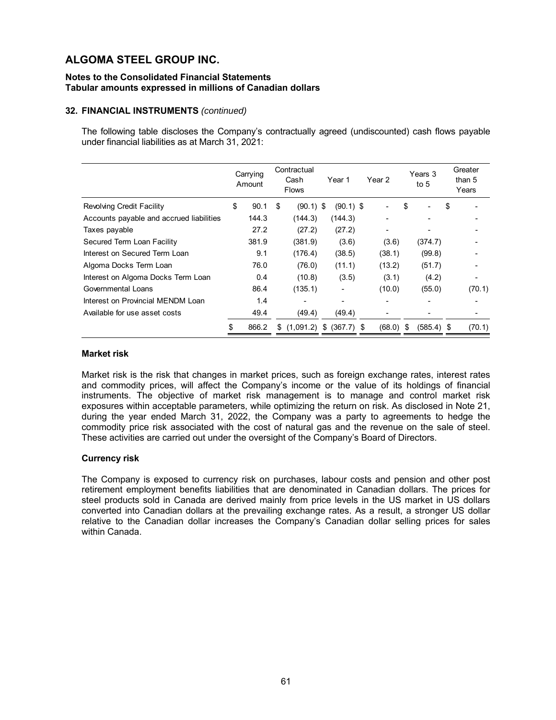#### **Notes to the Consolidated Financial Statements Tabular amounts expressed in millions of Canadian dollars**

## **32. FINANCIAL INSTRUMENTS** *(continued)*

The following table discloses the Company's contractually agreed (undiscounted) cash flows payable under financial liabilities as at March 31, 2021:

|                                          | Carrying<br>Amount | Contractual<br>Cash<br><b>Flows</b> | Year 1        |    | Year 2 |    | Years 3<br>to $5$ | Greater<br>than 5<br>Years |
|------------------------------------------|--------------------|-------------------------------------|---------------|----|--------|----|-------------------|----------------------------|
| <b>Revolving Credit Facility</b>         | \$<br>90.1         | \$<br>$(90.1)$ \$                   | $(90.1)$ \$   |    |        | \$ |                   | \$                         |
| Accounts payable and accrued liabilities | 144.3              | (144.3)                             | (144.3)       |    |        |    |                   |                            |
| Taxes payable                            | 27.2               | (27.2)                              | (27.2)        |    |        |    |                   |                            |
| Secured Term Loan Facility               | 381.9              | (381.9)                             | (3.6)         |    | (3.6)  |    | (374.7)           |                            |
| Interest on Secured Term Loan            | 9.1                | (176.4)                             | (38.5)        |    | (38.1) |    | (99.8)            |                            |
| Algoma Docks Term Loan                   | 76.0               | (76.0)                              | (11.1)        |    | (13.2) |    | (51.7)            |                            |
| Interest on Algoma Docks Term Loan       | 0.4                | (10.8)                              | (3.5)         |    | (3.1)  |    | (4.2)             |                            |
| Governmental Loans                       | 86.4               | (135.1)                             | ٠             |    | (10.0) |    | (55.0)            | (70.1)                     |
| Interest on Provincial MENDM Loan        | 1.4                |                                     |               |    |        |    |                   |                            |
| Available for use asset costs            | 49.4               | (49.4)                              | (49.4)        |    |        |    |                   |                            |
|                                          | 866.2              | \$<br>(1,091.2)                     | \$<br>(367.7) | -S | (68.0) | S  | $(585.4)$ \$      | (70.1)                     |

#### **Market risk**

Market risk is the risk that changes in market prices, such as foreign exchange rates, interest rates and commodity prices, will affect the Company's income or the value of its holdings of financial instruments. The objective of market risk management is to manage and control market risk exposures within acceptable parameters, while optimizing the return on risk. As disclosed in Note 21, during the year ended March 31, 2022, the Company was a party to agreements to hedge the commodity price risk associated with the cost of natural gas and the revenue on the sale of steel. These activities are carried out under the oversight of the Company's Board of Directors.

## **Currency risk**

The Company is exposed to currency risk on purchases, labour costs and pension and other post retirement employment benefits liabilities that are denominated in Canadian dollars. The prices for steel products sold in Canada are derived mainly from price levels in the US market in US dollars converted into Canadian dollars at the prevailing exchange rates. As a result, a stronger US dollar relative to the Canadian dollar increases the Company's Canadian dollar selling prices for sales within Canada.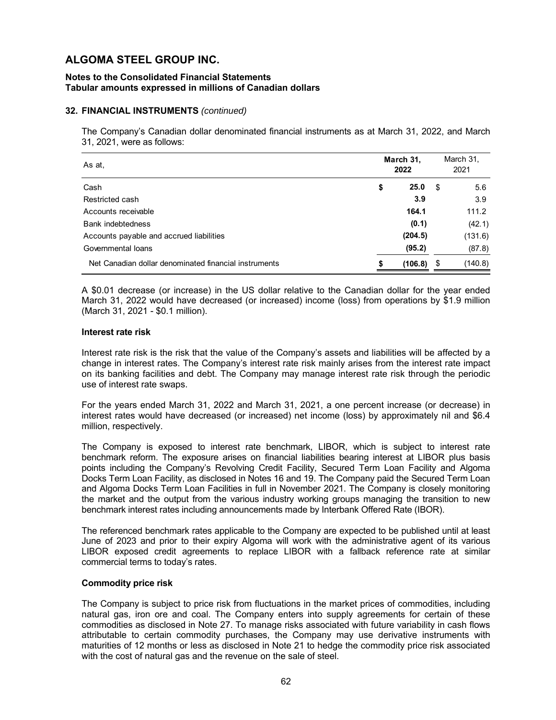#### **Notes to the Consolidated Financial Statements Tabular amounts expressed in millions of Canadian dollars**

## **32. FINANCIAL INSTRUMENTS** *(continued)*

The Company's Canadian dollar denominated financial instruments as at March 31, 2022, and March 31, 2021, were as follows:

| As at,                                                |    | March 31,<br>2022 |    | March 31,<br>2021 |
|-------------------------------------------------------|----|-------------------|----|-------------------|
| Cash                                                  | \$ | 25.0              | \$ | 5.6               |
| Restricted cash                                       |    | 3.9               |    | 3.9               |
| Accounts receivable                                   |    | 164.1             |    | 111.2             |
| Bank indebtedness                                     |    | (0.1)             |    | (42.1)            |
| Accounts payable and accrued liabilities              |    | (204.5)           |    | (131.6)           |
| Governmental loans                                    |    | (95.2)            |    | (87.8)            |
| Net Canadian dollar denominated financial instruments | \$ | (106.8)           | S  | (140.8)           |

A \$0.01 decrease (or increase) in the US dollar relative to the Canadian dollar for the year ended March 31, 2022 would have decreased (or increased) income (loss) from operations by \$1.9 million (March 31, 2021 - \$0.1 million).

## **Interest rate risk**

Interest rate risk is the risk that the value of the Company's assets and liabilities will be affected by a change in interest rates. The Company's interest rate risk mainly arises from the interest rate impact on its banking facilities and debt. The Company may manage interest rate risk through the periodic use of interest rate swaps.

For the years ended March 31, 2022 and March 31, 2021, a one percent increase (or decrease) in interest rates would have decreased (or increased) net income (loss) by approximately nil and \$6.4 million, respectively.

The Company is exposed to interest rate benchmark, LIBOR, which is subject to interest rate benchmark reform. The exposure arises on financial liabilities bearing interest at LIBOR plus basis points including the Company's Revolving Credit Facility, Secured Term Loan Facility and Algoma Docks Term Loan Facility, as disclosed in Notes 16 and 19. The Company paid the Secured Term Loan and Algoma Docks Term Loan Facilities in full in November 2021. The Company is closely monitoring the market and the output from the various industry working groups managing the transition to new benchmark interest rates including announcements made by Interbank Offered Rate (IBOR).

The referenced benchmark rates applicable to the Company are expected to be published until at least June of 2023 and prior to their expiry Algoma will work with the administrative agent of its various LIBOR exposed credit agreements to replace LIBOR with a fallback reference rate at similar commercial terms to today's rates.

## **Commodity price risk**

The Company is subject to price risk from fluctuations in the market prices of commodities, including natural gas, iron ore and coal. The Company enters into supply agreements for certain of these commodities as disclosed in Note 27. To manage risks associated with future variability in cash flows attributable to certain commodity purchases, the Company may use derivative instruments with maturities of 12 months or less as disclosed in Note 21 to hedge the commodity price risk associated with the cost of natural gas and the revenue on the sale of steel.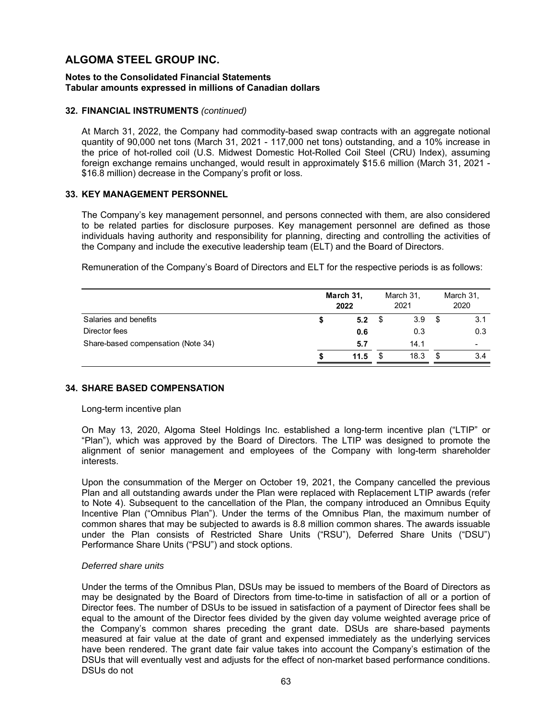#### **Notes to the Consolidated Financial Statements Tabular amounts expressed in millions of Canadian dollars**

# **32. FINANCIAL INSTRUMENTS** *(continued)*

At March 31, 2022, the Company had commodity-based swap contracts with an aggregate notional quantity of 90,000 net tons (March 31, 2021 - 117,000 net tons) outstanding, and a 10% increase in the price of hot-rolled coil (U.S. Midwest Domestic Hot-Rolled Coil Steel (CRU) Index), assuming foreign exchange remains unchanged, would result in approximately \$15.6 million (March 31, 2021 - \$16.8 million) decrease in the Company's profit or loss.

# **33. KEY MANAGEMENT PERSONNEL**

The Company's key management personnel, and persons connected with them, are also considered to be related parties for disclosure purposes. Key management personnel are defined as those individuals having authority and responsibility for planning, directing and controlling the activities of the Company and include the executive leadership team (ELT) and the Board of Directors.

Remuneration of the Company's Board of Directors and ELT for the respective periods is as follows:

|                                    | March 31,<br>2022 |      | March 31,<br>2021 | March 31,<br>2020 |     |  |
|------------------------------------|-------------------|------|-------------------|-------------------|-----|--|
| Salaries and benefits              | 5.2               | - \$ | 3.9               | \$.               | 3.1 |  |
| Director fees                      | 0.6               |      | 0.3               |                   | 0.3 |  |
| Share-based compensation (Note 34) | 5.7               |      | 14.1              |                   |     |  |
|                                    | 11.5              | S    | 18.3              | S                 | 3.4 |  |

# **34. SHARE BASED COMPENSATION**

Long-term incentive plan

On May 13, 2020, Algoma Steel Holdings Inc. established a long-term incentive plan ("LTIP" or "Plan"), which was approved by the Board of Directors. The LTIP was designed to promote the alignment of senior management and employees of the Company with long-term shareholder interests.

Upon the consummation of the Merger on October 19, 2021, the Company cancelled the previous Plan and all outstanding awards under the Plan were replaced with Replacement LTIP awards (refer to Note 4). Subsequent to the cancellation of the Plan, the company introduced an Omnibus Equity Incentive Plan ("Omnibus Plan"). Under the terms of the Omnibus Plan, the maximum number of common shares that may be subjected to awards is 8.8 million common shares. The awards issuable under the Plan consists of Restricted Share Units ("RSU"), Deferred Share Units ("DSU") Performance Share Units ("PSU") and stock options.

## *Deferred share units*

Under the terms of the Omnibus Plan, DSUs may be issued to members of the Board of Directors as may be designated by the Board of Directors from time-to-time in satisfaction of all or a portion of Director fees. The number of DSUs to be issued in satisfaction of a payment of Director fees shall be equal to the amount of the Director fees divided by the given day volume weighted average price of the Company's common shares preceding the grant date. DSUs are share-based payments measured at fair value at the date of grant and expensed immediately as the underlying services have been rendered. The grant date fair value takes into account the Company's estimation of the DSUs that will eventually vest and adjusts for the effect of non-market based performance conditions. DSUs do not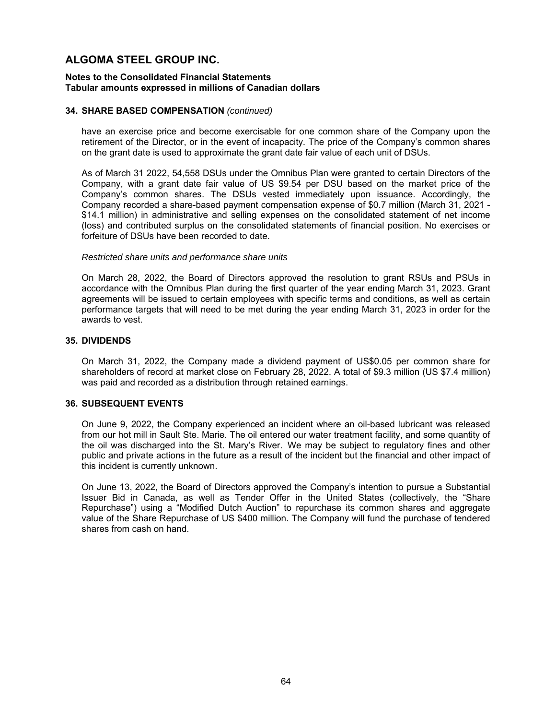#### **Notes to the Consolidated Financial Statements Tabular amounts expressed in millions of Canadian dollars**

## **34. SHARE BASED COMPENSATION** *(continued)*

have an exercise price and become exercisable for one common share of the Company upon the retirement of the Director, or in the event of incapacity. The price of the Company's common shares on the grant date is used to approximate the grant date fair value of each unit of DSUs.

As of March 31 2022, 54,558 DSUs under the Omnibus Plan were granted to certain Directors of the Company, with a grant date fair value of US \$9.54 per DSU based on the market price of the Company's common shares. The DSUs vested immediately upon issuance. Accordingly, the Company recorded a share-based payment compensation expense of \$0.7 million (March 31, 2021 - \$14.1 million) in administrative and selling expenses on the consolidated statement of net income (loss) and contributed surplus on the consolidated statements of financial position. No exercises or forfeiture of DSUs have been recorded to date.

## *Restricted share units and performance share units*

On March 28, 2022, the Board of Directors approved the resolution to grant RSUs and PSUs in accordance with the Omnibus Plan during the first quarter of the year ending March 31, 2023. Grant agreements will be issued to certain employees with specific terms and conditions, as well as certain performance targets that will need to be met during the year ending March 31, 2023 in order for the awards to vest.

# **35. DIVIDENDS**

On March 31, 2022, the Company made a dividend payment of US\$0.05 per common share for shareholders of record at market close on February 28, 2022. A total of \$9.3 million (US \$7.4 million) was paid and recorded as a distribution through retained earnings.

## **36. SUBSEQUENT EVENTS**

On June 9, 2022, the Company experienced an incident where an oil-based lubricant was released from our hot mill in Sault Ste. Marie. The oil entered our water treatment facility, and some quantity of the oil was discharged into the St. Mary's River. We may be subject to regulatory fines and other public and private actions in the future as a result of the incident but the financial and other impact of this incident is currently unknown.

On June 13, 2022, the Board of Directors approved the Company's intention to pursue a Substantial Issuer Bid in Canada, as well as Tender Offer in the United States (collectively, the "Share Repurchase") using a "Modified Dutch Auction" to repurchase its common shares and aggregate value of the Share Repurchase of US \$400 million. The Company will fund the purchase of tendered shares from cash on hand.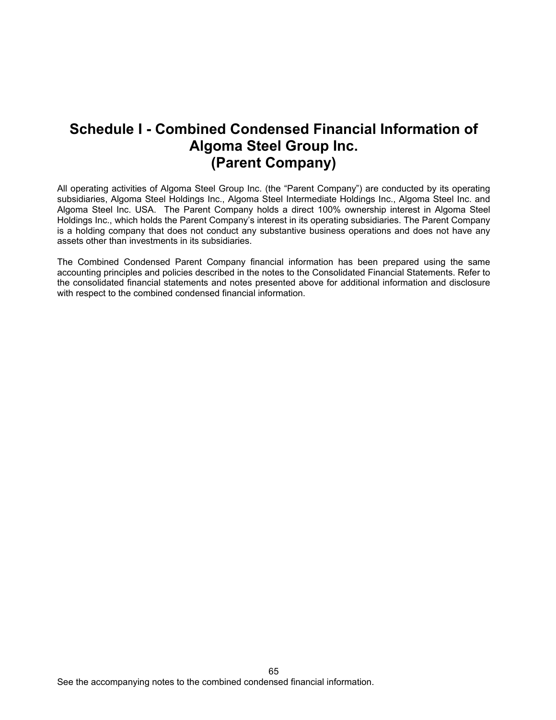# **Schedule I - Combined Condensed Financial Information of Algoma Steel Group Inc. (Parent Company)**

All operating activities of Algoma Steel Group Inc. (the "Parent Company") are conducted by its operating subsidiaries, Algoma Steel Holdings Inc., Algoma Steel Intermediate Holdings Inc., Algoma Steel Inc. and Algoma Steel Inc. USA. The Parent Company holds a direct 100% ownership interest in Algoma Steel Holdings Inc., which holds the Parent Company's interest in its operating subsidiaries. The Parent Company is a holding company that does not conduct any substantive business operations and does not have any assets other than investments in its subsidiaries.

The Combined Condensed Parent Company financial information has been prepared using the same accounting principles and policies described in the notes to the Consolidated Financial Statements. Refer to the consolidated financial statements and notes presented above for additional information and disclosure with respect to the combined condensed financial information.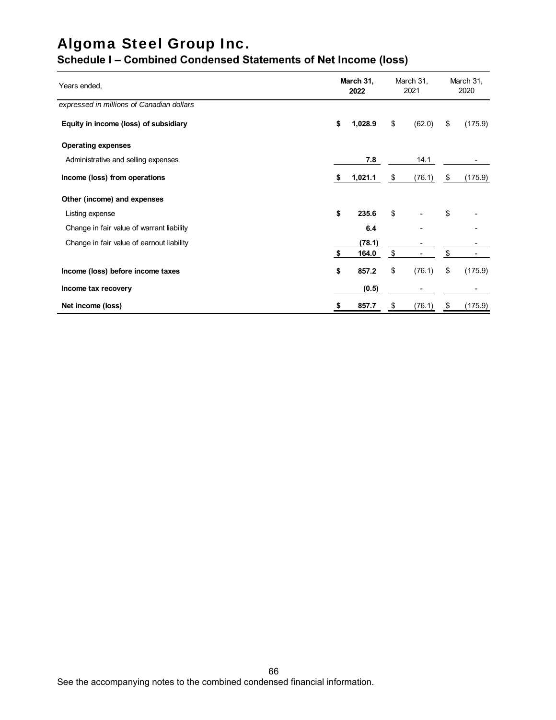# **Schedule I – Combined Condensed Statements of Net Income (loss)**

| Years ended,                              | March 31,<br>2022 |         |    | March 31,<br>2021 | March 31,<br>2020 |         |  |
|-------------------------------------------|-------------------|---------|----|-------------------|-------------------|---------|--|
| expressed in millions of Canadian dollars |                   |         |    |                   |                   |         |  |
| Equity in income (loss) of subsidiary     | \$                | 1,028.9 | \$ | (62.0)            | \$                | (175.9) |  |
| <b>Operating expenses</b>                 |                   |         |    |                   |                   |         |  |
| Administrative and selling expenses       |                   | 7.8     |    | 14.1              |                   |         |  |
| Income (loss) from operations             | \$                | 1,021.1 | \$ | (76.1)            | \$                | (175.9) |  |
| Other (income) and expenses               |                   |         |    |                   |                   |         |  |
| Listing expense                           | \$                | 235.6   | \$ |                   | \$                |         |  |
| Change in fair value of warrant liability |                   | 6.4     |    |                   |                   |         |  |
| Change in fair value of earnout liability |                   | (78.1)  |    |                   |                   |         |  |
|                                           | \$                | 164.0   | \$ |                   | \$                |         |  |
| Income (loss) before income taxes         | \$                | 857.2   | \$ | (76.1)            | \$                | (175.9) |  |
| Income tax recovery                       |                   | (0.5)   |    |                   |                   |         |  |
| Net income (loss)                         | \$                | 857.7   | \$ | (76.1)            | \$                | (175.9) |  |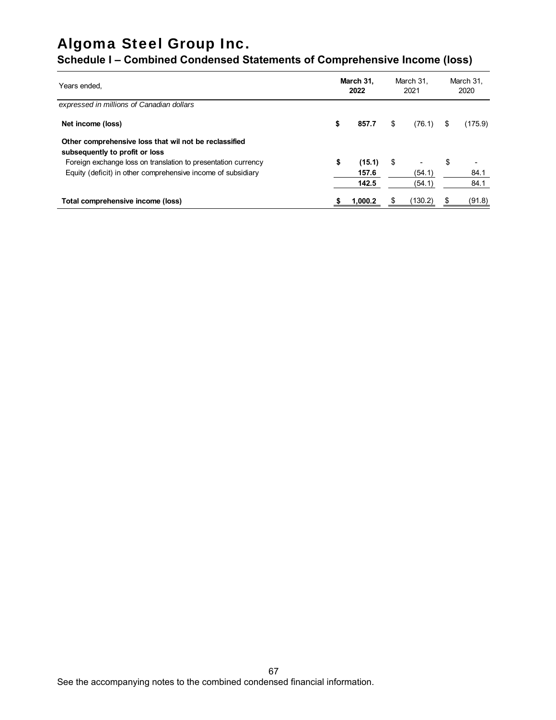# **Schedule I – Combined Condensed Statements of Comprehensive Income (loss)**

| Years ended.                                                                            | March 31.<br>2022 |         |    | March 31.<br>2021 | March 31.<br>2020 |         |  |
|-----------------------------------------------------------------------------------------|-------------------|---------|----|-------------------|-------------------|---------|--|
| expressed in millions of Canadian dollars                                               |                   |         |    |                   |                   |         |  |
| Net income (loss)                                                                       | \$                | 857.7   | \$ | (76.1)            | S                 | (175.9) |  |
| Other comprehensive loss that wil not be reclassified<br>subsequently to profit or loss |                   |         |    |                   |                   |         |  |
| Foreign exchange loss on translation to presentation currency                           | \$                | (15.1)  | \$ |                   | S                 |         |  |
| Equity (deficit) in other comprehensive income of subsidiary                            |                   | 157.6   |    | (54.1)            |                   | 84.1    |  |
|                                                                                         |                   | 142.5   |    | (54.1)            |                   | 84.1    |  |
| Total comprehensive income (loss)                                                       |                   | 1,000.2 |    | (130.2)           |                   | (91.8)  |  |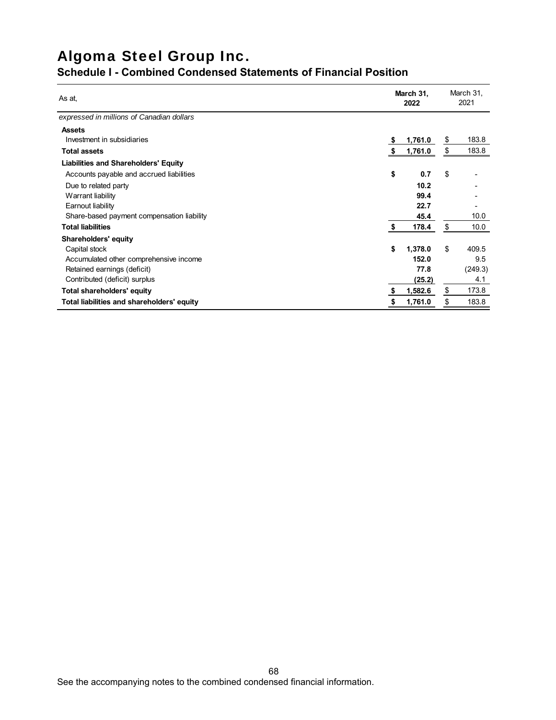**Schedule I - Combined Condensed Statements of Financial Position** 

| As at,                                      | March 31.<br>2022 |         | March 31,<br>2021 |         |  |
|---------------------------------------------|-------------------|---------|-------------------|---------|--|
| expressed in millions of Canadian dollars   |                   |         |                   |         |  |
| <b>Assets</b>                               |                   |         |                   |         |  |
| Investment in subsidiaries                  |                   | 1,761.0 | \$                | 183.8   |  |
| <b>Total assets</b>                         | S                 | 1,761.0 | \$                | 183.8   |  |
| <b>Liabilities and Shareholders' Equity</b> |                   |         |                   |         |  |
| Accounts payable and accrued liabilities    | \$                | 0.7     | \$                |         |  |
| Due to related party                        |                   | 10.2    |                   |         |  |
| Warrant liability                           |                   | 99.4    |                   |         |  |
| Earnout liability                           |                   | 22.7    |                   |         |  |
| Share-based payment compensation liability  |                   | 45.4    |                   | 10.0    |  |
| <b>Total liabilities</b>                    | £.                | 178.4   | \$                | 10.0    |  |
| Shareholders' equity                        |                   |         |                   |         |  |
| Capital stock                               | \$                | 1,378.0 | \$                | 409.5   |  |
| Accumulated other comprehensive income      |                   | 152.0   |                   | 9.5     |  |
| Retained earnings (deficit)                 |                   | 77.8    |                   | (249.3) |  |
| Contributed (deficit) surplus               |                   | (25.2)  |                   | 4.1     |  |
| <b>Total shareholders' equity</b>           |                   | 1,582.6 | \$                | 173.8   |  |
| Total liabilities and shareholders' equity  | \$                | 1,761.0 | \$                | 183.8   |  |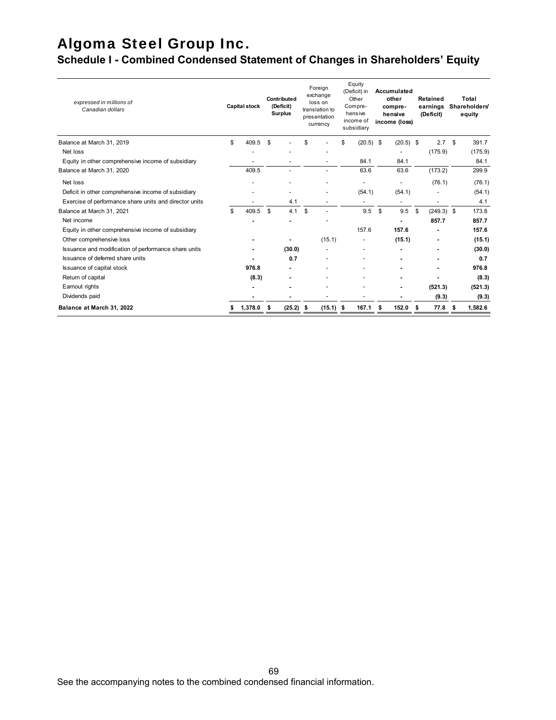**Schedule I - Combined Condensed Statement of Changes in Shareholders' Equity** 

| expressed in millions of<br>Canadian dollars           | <b>Capital stock</b> |         | Contributed<br>(Deficit)<br><b>Surplus</b> |             | Foreign<br>exchange<br>loss on<br>translation to<br>presentation<br>currency |             | Equity<br>(Deficit) in<br>Other<br>Compre-<br>hensive<br>income of<br>subsidiary | Accumulated<br>other<br>compre-<br>hensive<br>income (loss) | Retained<br>earnings<br>(Deficit) | Total<br>Shareholders'<br>equity |
|--------------------------------------------------------|----------------------|---------|--------------------------------------------|-------------|------------------------------------------------------------------------------|-------------|----------------------------------------------------------------------------------|-------------------------------------------------------------|-----------------------------------|----------------------------------|
| Balance at March 31, 2019                              | \$                   | 409.5   | \$                                         |             | ፍ                                                                            |             | (20.5)<br>\$                                                                     | $(20.5)$ \$<br><b>S</b>                                     | 2.7                               | \$<br>391.7                      |
| Net loss                                               |                      |         |                                            |             |                                                                              |             |                                                                                  |                                                             | (175.9)                           | (175.9)                          |
| Equity in other comprehensive income of subsidiary     |                      |         |                                            |             |                                                                              |             | 84.1                                                                             | 84.1                                                        |                                   | 84.1                             |
| Balance at March 31, 2020                              |                      | 409.5   |                                            |             |                                                                              |             | 63.6                                                                             | 63.6                                                        | (173.2)                           | 299.9                            |
| Net loss                                               |                      |         |                                            |             |                                                                              |             |                                                                                  |                                                             | (76.1)                            | (76.1)                           |
| Deficit in other comprehensive income of subsidiary    |                      |         |                                            |             |                                                                              |             | (54.1)                                                                           | (54.1)                                                      |                                   | (54.1)                           |
| Exercise of performance share units and director units |                      |         |                                            | 4.1         |                                                                              | ٠           |                                                                                  | ٠                                                           | $\blacksquare$                    | 4.1                              |
| Balance at March 31, 2021                              | \$                   | 409.5   | \$                                         | 4.1         | \$                                                                           |             | 9.5                                                                              | \$<br>9.5                                                   | \$<br>$(249.3)$ \$                | 173.8                            |
| Net income                                             |                      |         |                                            |             |                                                                              |             |                                                                                  |                                                             | 857.7                             | 857.7                            |
| Equity in other comprehensive income of subsidiary     |                      |         |                                            |             |                                                                              |             | 157.6                                                                            | 157.6                                                       |                                   | 157.6                            |
| Other comprehensive loss                               |                      |         |                                            |             |                                                                              | (15.1)      |                                                                                  | (15.1)                                                      |                                   | (15.1)                           |
| Issuance and modification of performance share units   |                      |         |                                            | (30.0)      |                                                                              |             |                                                                                  |                                                             |                                   | (30.0)                           |
| Issuance of deferred share units                       |                      |         |                                            | 0.7         |                                                                              |             |                                                                                  |                                                             |                                   | 0.7                              |
| Issuance of capital stock                              |                      | 976.8   |                                            |             |                                                                              |             |                                                                                  |                                                             |                                   | 976.8                            |
| Return of capital                                      |                      | (8.3)   |                                            |             |                                                                              |             |                                                                                  |                                                             |                                   | (8.3)                            |
| Earnout rights                                         |                      |         |                                            |             |                                                                              |             |                                                                                  |                                                             | (521.3)                           | (521.3)                          |
| Dividends paid                                         |                      |         |                                            |             |                                                                              |             |                                                                                  |                                                             | (9.3)                             | (9.3)                            |
| Balance at March 31, 2022                              |                      | 1.378.0 |                                            | $(25.2)$ \$ |                                                                              | $(15.1)$ \$ | 167.1                                                                            | 152.0<br>\$                                                 | 77.8<br>s                         | 1.582.6                          |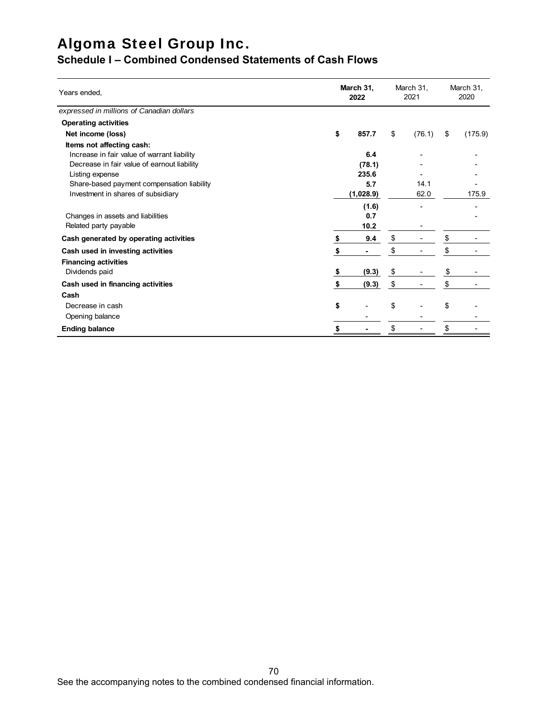# **Schedule I – Combined Condensed Statements of Cash Flows**

| Years ended,                                | March 31.<br>2022 |           |    | March 31,<br>2021 | March 31,<br>2020 |         |
|---------------------------------------------|-------------------|-----------|----|-------------------|-------------------|---------|
| expressed in millions of Canadian dollars   |                   |           |    |                   |                   |         |
| <b>Operating activities</b>                 |                   |           |    |                   |                   |         |
| Net income (loss)                           | \$                | 857.7     | \$ | (76.1)            | \$                | (175.9) |
| Items not affecting cash:                   |                   |           |    |                   |                   |         |
| Increase in fair value of warrant liability |                   | 6.4       |    |                   |                   |         |
| Decrease in fair value of earnout liability |                   | (78.1)    |    |                   |                   |         |
| Listing expense                             |                   | 235.6     |    |                   |                   |         |
| Share-based payment compensation liability  |                   | 5.7       |    | 14.1              |                   |         |
| Investment in shares of subsidiary          |                   | (1,028.9) |    | 62.0              |                   | 175.9   |
|                                             |                   | (1.6)     |    |                   |                   |         |
| Changes in assets and liabilities           |                   | 0.7       |    |                   |                   |         |
| Related party payable                       |                   | 10.2      |    |                   |                   |         |
| Cash generated by operating activities      | \$                | 9.4       | \$ |                   | \$                |         |
| Cash used in investing activities           |                   |           | \$ |                   | \$                |         |
| <b>Financing activities</b>                 |                   |           |    |                   |                   |         |
| Dividends paid                              | \$                | (9.3)     | \$ |                   | \$                |         |
| Cash used in financing activities           | \$                | (9.3)     | \$ |                   | \$                |         |
| Cash                                        |                   |           |    |                   |                   |         |
| Decrease in cash                            | \$                |           | \$ |                   | \$                |         |
| Opening balance                             |                   |           |    |                   |                   |         |
| <b>Ending balance</b>                       | S                 |           | \$ |                   | \$                |         |